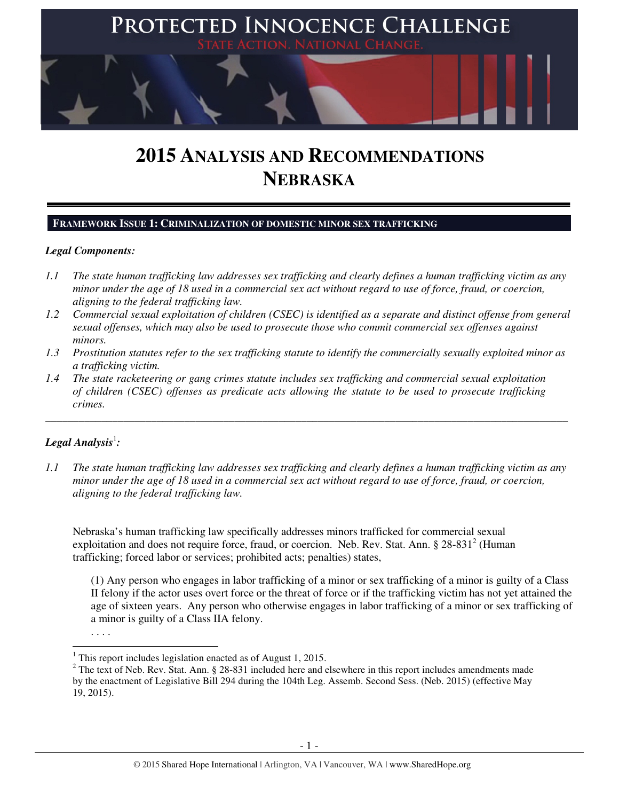

# **2015 ANALYSIS AND RECOMMENDATIONS NEBRASKA**

#### **FRAMEWORK ISSUE 1: CRIMINALIZATION OF DOMESTIC MINOR SEX TRAFFICKING**

## *Legal Components:*

- *1.1 The state human trafficking law addresses sex trafficking and clearly defines a human trafficking victim as any minor under the age of 18 used in a commercial sex act without regard to use of force, fraud, or coercion, aligning to the federal trafficking law.*
- *1.2 Commercial sexual exploitation of children (CSEC) is identified as a separate and distinct offense from general sexual offenses, which may also be used to prosecute those who commit commercial sex offenses against minors.*
- *1.3 Prostitution statutes refer to the sex trafficking statute to identify the commercially sexually exploited minor as a trafficking victim.*

\_\_\_\_\_\_\_\_\_\_\_\_\_\_\_\_\_\_\_\_\_\_\_\_\_\_\_\_\_\_\_\_\_\_\_\_\_\_\_\_\_\_\_\_\_\_\_\_\_\_\_\_\_\_\_\_\_\_\_\_\_\_\_\_\_\_\_\_\_\_\_\_\_\_\_\_\_\_\_\_\_\_\_\_\_\_\_\_\_\_\_\_\_\_

*1.4 The state racketeering or gang crimes statute includes sex trafficking and commercial sexual exploitation of children (CSEC) offenses as predicate acts allowing the statute to be used to prosecute trafficking crimes.* 

# $\bm{\mathit{Legal\, Analysis}^{\text{!}}:}$

*1.1 The state human trafficking law addresses sex trafficking and clearly defines a human trafficking victim as any minor under the age of 18 used in a commercial sex act without regard to use of force, fraud, or coercion, aligning to the federal trafficking law.* 

Nebraska's human trafficking law specifically addresses minors trafficked for commercial sexual exploitation and does not require force, fraud, or coercion. Neb. Rev. Stat. Ann. § 28-831<sup>2</sup> (Human trafficking; forced labor or services; prohibited acts; penalties) states,

(1) Any person who engages in labor trafficking of a minor or sex trafficking of a minor is guilty of a Class II felony if the actor uses overt force or the threat of force or if the trafficking victim has not yet attained the age of sixteen years. Any person who otherwise engages in labor trafficking of a minor or sex trafficking of a minor is guilty of a Class IIA felony.

. . . .

<sup>&</sup>lt;sup>1</sup> This report includes legislation enacted as of August 1, 2015.

 $2^2$  The text of Neb. Rev. Stat. Ann. § 28-831 included here and elsewhere in this report includes amendments made by the enactment of Legislative Bill 294 during the 104th Leg. Assemb. Second Sess. (Neb. 2015) (effective May 19, 2015).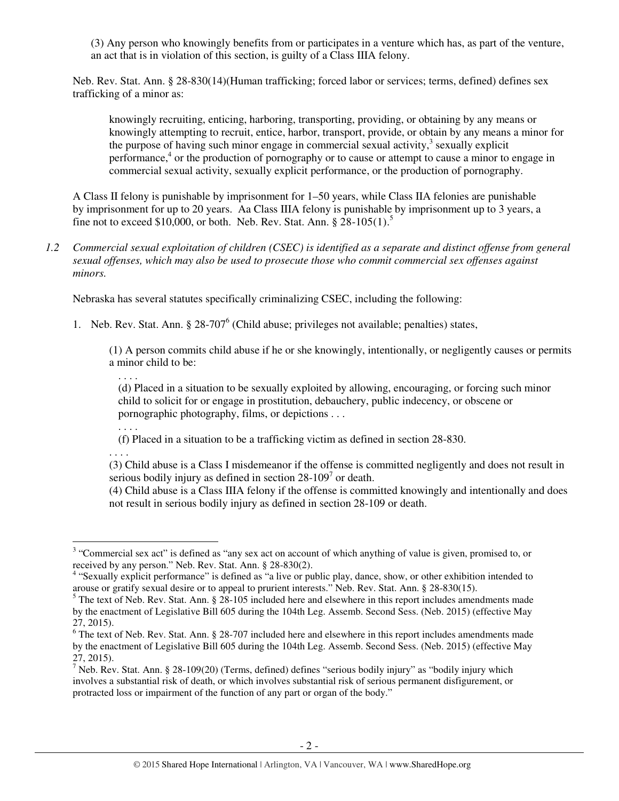(3) Any person who knowingly benefits from or participates in a venture which has, as part of the venture, an act that is in violation of this section, is guilty of a Class IIIA felony.

Neb. Rev. Stat. Ann. § 28-830(14)(Human trafficking; forced labor or services; terms, defined) defines sex trafficking of a minor as:

knowingly recruiting, enticing, harboring, transporting, providing, or obtaining by any means or knowingly attempting to recruit, entice, harbor, transport, provide, or obtain by any means a minor for the purpose of having such minor engage in commercial sexual activity, $3$  sexually explicit performance,<sup>4</sup> or the production of pornography or to cause or attempt to cause a minor to engage in commercial sexual activity, sexually explicit performance, or the production of pornography.

A Class II felony is punishable by imprisonment for 1–50 years, while Class IIA felonies are punishable by imprisonment for up to 20 years. Aa Class IIIA felony is punishable by imprisonment up to 3 years, a fine not to exceed \$10,000, or both. Neb. Rev. Stat. Ann.  $\S 28-105(1)$ .<sup>5</sup>

*1.2 Commercial sexual exploitation of children (CSEC) is identified as a separate and distinct offense from general sexual offenses, which may also be used to prosecute those who commit commercial sex offenses against minors.* 

Nebraska has several statutes specifically criminalizing CSEC, including the following:

1. Neb. Rev. Stat. Ann. § 28-707<sup>6</sup> (Child abuse; privileges not available; penalties) states,

(1) A person commits child abuse if he or she knowingly, intentionally, or negligently causes or permits a minor child to be:

. . . .

(d) Placed in a situation to be sexually exploited by allowing, encouraging, or forcing such minor child to solicit for or engage in prostitution, debauchery, public indecency, or obscene or pornographic photography, films, or depictions . . .

. . . .

(f) Placed in a situation to be a trafficking victim as defined in section 28-830.

. . . .

 $\overline{a}$ 

(3) Child abuse is a Class I misdemeanor if the offense is committed negligently and does not result in serious bodily injury as defined in section  $28-109^7$  or death.

(4) Child abuse is a Class IIIA felony if the offense is committed knowingly and intentionally and does not result in serious bodily injury as defined in section 28-109 or death.

 $3$  "Commercial sex act" is defined as "any sex act on account of which anything of value is given, promised to, or received by any person." Neb. Rev. Stat. Ann. § 28-830(2).

<sup>&</sup>lt;sup>4</sup> "Sexually explicit performance" is defined as "a live or public play, dance, show, or other exhibition intended to arouse or gratify sexual desire or to appeal to prurient interests." Neb. Rev. Stat. Ann. § 28-830(15).

 $<sup>5</sup>$  The text of Neb. Rev. Stat. Ann. § 28-105 included here and elsewhere in this report includes amendments made</sup> by the enactment of Legislative Bill 605 during the 104th Leg. Assemb. Second Sess. (Neb. 2015) (effective May 27, 2015).

 $6$  The text of Neb. Rev. Stat. Ann. § 28-707 included here and elsewhere in this report includes amendments made by the enactment of Legislative Bill 605 during the 104th Leg. Assemb. Second Sess. (Neb. 2015) (effective May 27, 2015).

<sup>&</sup>lt;sup>7</sup> Neb. Rev. Stat. Ann. § 28-109(20) (Terms, defined) defines "serious bodily injury" as "bodily injury which involves a substantial risk of death, or which involves substantial risk of serious permanent disfigurement, or protracted loss or impairment of the function of any part or organ of the body."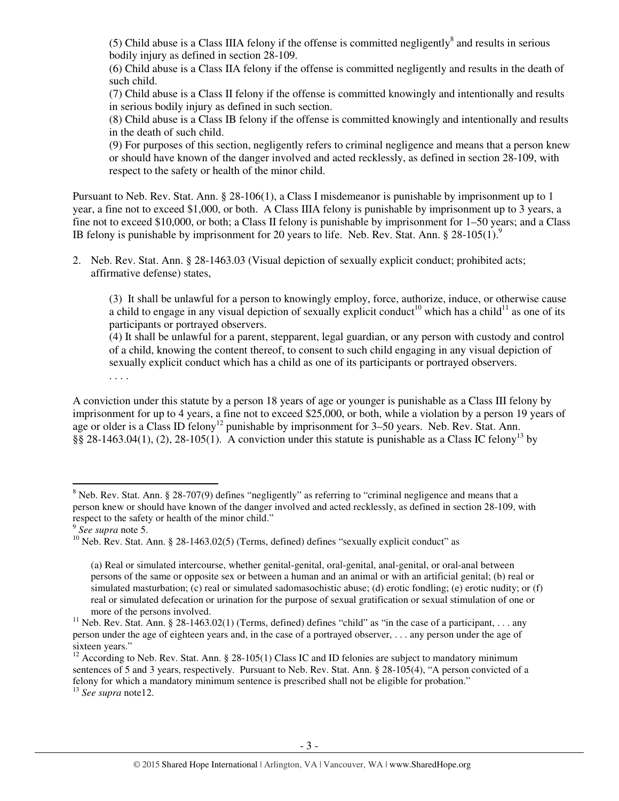(5) Child abuse is a Class IIIA felony if the offense is committed negligently $\delta$  and results in serious bodily injury as defined in section 28-109.

(6) Child abuse is a Class IIA felony if the offense is committed negligently and results in the death of such child.

(7) Child abuse is a Class II felony if the offense is committed knowingly and intentionally and results in serious bodily injury as defined in such section.

(8) Child abuse is a Class IB felony if the offense is committed knowingly and intentionally and results in the death of such child.

(9) For purposes of this section, negligently refers to criminal negligence and means that a person knew or should have known of the danger involved and acted recklessly, as defined in section 28-109, with respect to the safety or health of the minor child.

Pursuant to Neb. Rev. Stat. Ann. § 28-106(1), a Class I misdemeanor is punishable by imprisonment up to 1 year, a fine not to exceed \$1,000, or both. A Class IIIA felony is punishable by imprisonment up to 3 years, a fine not to exceed \$10,000, or both; a Class II felony is punishable by imprisonment for 1–50 years; and a Class IB felony is punishable by imprisonment for 20 years to life. Neb. Rev. Stat. Ann.  $\S 28-105(1)$ .

2. Neb. Rev. Stat. Ann. § 28-1463.03 (Visual depiction of sexually explicit conduct; prohibited acts; affirmative defense) states,

(3) It shall be unlawful for a person to knowingly employ, force, authorize, induce, or otherwise cause a child to engage in any visual depiction of sexually explicit conduct<sup>10</sup> which has a child<sup>11</sup> as one of its participants or portrayed observers.

(4) It shall be unlawful for a parent, stepparent, legal guardian, or any person with custody and control of a child, knowing the content thereof, to consent to such child engaging in any visual depiction of sexually explicit conduct which has a child as one of its participants or portrayed observers.

. . . .

A conviction under this statute by a person 18 years of age or younger is punishable as a Class III felony by imprisonment for up to 4 years, a fine not to exceed \$25,000, or both, while a violation by a person 19 years of age or older is a Class ID felony<sup>12</sup> punishable by imprisonment for 3–50 years. Neb. Rev. Stat. Ann. §§ 28-1463.04(1), (2), 28-105(1). A conviction under this statute is punishable as a Class IC felony<sup>13</sup> by

 $8$  Neb. Rev. Stat. Ann. § 28-707(9) defines "negligently" as referring to "criminal negligence and means that a person knew or should have known of the danger involved and acted recklessly, as defined in section 28-109, with respect to the safety or health of the minor child."

<sup>9</sup> *See supra* note 5.

<sup>&</sup>lt;sup>10</sup> Neb. Rev. Stat. Ann. § 28-1463.02(5) (Terms, defined) defines "sexually explicit conduct" as

<sup>(</sup>a) Real or simulated intercourse, whether genital-genital, oral-genital, anal-genital, or oral-anal between persons of the same or opposite sex or between a human and an animal or with an artificial genital; (b) real or simulated masturbation; (c) real or simulated sadomasochistic abuse; (d) erotic fondling; (e) erotic nudity; or (f) real or simulated defecation or urination for the purpose of sexual gratification or sexual stimulation of one or more of the persons involved.

<sup>&</sup>lt;sup>11</sup> Neb. Rev. Stat. Ann. § 28-1463.02(1) (Terms, defined) defines "child" as "in the case of a participant, . . . any person under the age of eighteen years and, in the case of a portrayed observer, . . . any person under the age of sixteen years."

<sup>&</sup>lt;sup>12</sup> According to Neb. Rev. Stat. Ann. § 28-105(1) Class IC and ID felonies are subject to mandatory minimum sentences of 5 and 3 years, respectively. Pursuant to Neb. Rev. Stat. Ann. § 28-105(4), "A person convicted of a felony for which a mandatory minimum sentence is prescribed shall not be eligible for probation." <sup>13</sup> *See supra* note12.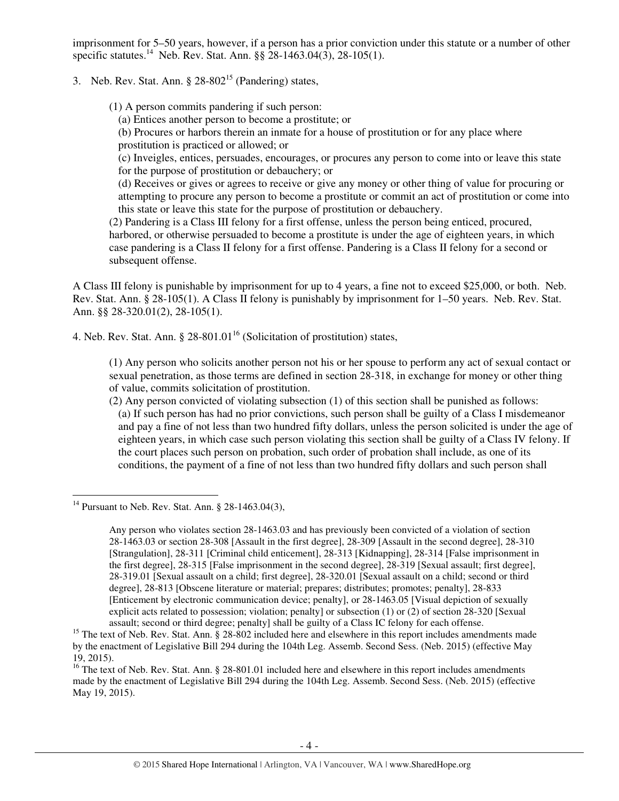imprisonment for 5–50 years, however, if a person has a prior conviction under this statute or a number of other specific statutes.<sup>14</sup> Neb. Rev. Stat. Ann.  $\S$ § 28-1463.04(3), 28-105(1).

3. Neb. Rev. Stat. Ann.  $\S 28-802^{15}$  (Pandering) states,

(1) A person commits pandering if such person:

(a) Entices another person to become a prostitute; or

(b) Procures or harbors therein an inmate for a house of prostitution or for any place where prostitution is practiced or allowed; or

(c) Inveigles, entices, persuades, encourages, or procures any person to come into or leave this state for the purpose of prostitution or debauchery; or

(d) Receives or gives or agrees to receive or give any money or other thing of value for procuring or attempting to procure any person to become a prostitute or commit an act of prostitution or come into this state or leave this state for the purpose of prostitution or debauchery.

(2) Pandering is a Class III felony for a first offense, unless the person being enticed, procured, harbored, or otherwise persuaded to become a prostitute is under the age of eighteen years, in which case pandering is a Class II felony for a first offense. Pandering is a Class II felony for a second or subsequent offense.

A Class III felony is punishable by imprisonment for up to 4 years, a fine not to exceed \$25,000, or both. Neb. Rev. Stat. Ann. § 28-105(1). A Class II felony is punishably by imprisonment for 1–50 years. Neb. Rev. Stat. Ann. §§ 28-320.01(2), 28-105(1).

4. Neb. Rev. Stat. Ann.  $\S$  28-801.01<sup>16</sup> (Solicitation of prostitution) states,

(1) Any person who solicits another person not his or her spouse to perform any act of sexual contact or sexual penetration, as those terms are defined in section 28-318, in exchange for money or other thing of value, commits solicitation of prostitution.

(2) Any person convicted of violating subsection (1) of this section shall be punished as follows: (a) If such person has had no prior convictions, such person shall be guilty of a Class I misdemeanor and pay a fine of not less than two hundred fifty dollars, unless the person solicited is under the age of eighteen years, in which case such person violating this section shall be guilty of a Class IV felony. If the court places such person on probation, such order of probation shall include, as one of its conditions, the payment of a fine of not less than two hundred fifty dollars and such person shall

<sup>14</sup> Pursuant to Neb. Rev. Stat. Ann. § 28-1463.04(3),

Any person who violates section 28-1463.03 and has previously been convicted of a violation of section 28-1463.03 or section 28-308 [Assault in the first degree], 28-309 [Assault in the second degree], 28-310 [Strangulation], 28-311 [Criminal child enticement], 28-313 [Kidnapping], 28-314 [False imprisonment in the first degree], 28-315 [False imprisonment in the second degree], 28-319 [Sexual assault; first degree], 28-319.01 [Sexual assault on a child; first degree], 28-320.01 [Sexual assault on a child; second or third degree], 28-813 [Obscene literature or material; prepares; distributes; promotes; penalty], 28-833 [Enticement by electronic communication device; penalty], or 28-1463.05 [Visual depiction of sexually explicit acts related to possession; violation; penalty] or subsection (1) or (2) of section 28-320 [Sexual assault; second or third degree; penalty] shall be guilty of a Class IC felony for each offense.

<sup>&</sup>lt;sup>15</sup> The text of Neb. Rev. Stat. Ann. § 28-802 included here and elsewhere in this report includes amendments made by the enactment of Legislative Bill 294 during the 104th Leg. Assemb. Second Sess. (Neb. 2015) (effective May 19, 2015).

<sup>&</sup>lt;sup>16</sup> The text of Neb. Rev. Stat. Ann. § 28-801.01 included here and elsewhere in this report includes amendments made by the enactment of Legislative Bill 294 during the 104th Leg. Assemb. Second Sess. (Neb. 2015) (effective May 19, 2015).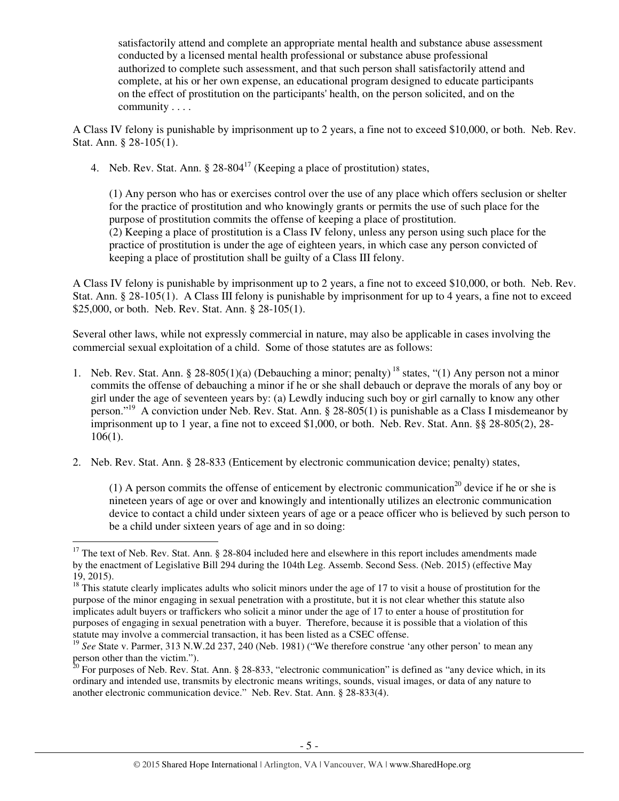satisfactorily attend and complete an appropriate mental health and substance abuse assessment conducted by a licensed mental health professional or substance abuse professional authorized to complete such assessment, and that such person shall satisfactorily attend and complete, at his or her own expense, an educational program designed to educate participants on the effect of prostitution on the participants' health, on the person solicited, and on the community . . . .

A Class IV felony is punishable by imprisonment up to 2 years, a fine not to exceed \$10,000, or both. Neb. Rev. Stat. Ann. § 28-105(1).

4. Neb. Rev. Stat. Ann.  $\S 28-804^{17}$  (Keeping a place of prostitution) states,

(1) Any person who has or exercises control over the use of any place which offers seclusion or shelter for the practice of prostitution and who knowingly grants or permits the use of such place for the purpose of prostitution commits the offense of keeping a place of prostitution. (2) Keeping a place of prostitution is a Class IV felony, unless any person using such place for the practice of prostitution is under the age of eighteen years, in which case any person convicted of keeping a place of prostitution shall be guilty of a Class III felony.

A Class IV felony is punishable by imprisonment up to 2 years, a fine not to exceed \$10,000, or both. Neb. Rev. Stat. Ann. § 28-105(1). A Class III felony is punishable by imprisonment for up to 4 years, a fine not to exceed \$25,000, or both. Neb. Rev. Stat. Ann. § 28-105(1).

Several other laws, while not expressly commercial in nature, may also be applicable in cases involving the commercial sexual exploitation of a child. Some of those statutes are as follows:

- 1. Neb. Rev. Stat. Ann. § 28-805(1)(a) (Debauching a minor; penalty)<sup>18</sup> states, "(1) Any person not a minor commits the offense of debauching a minor if he or she shall debauch or deprave the morals of any boy or girl under the age of seventeen years by: (a) Lewdly inducing such boy or girl carnally to know any other person."<sup>19</sup> A conviction under Neb. Rev. Stat. Ann. § 28-805(1) is punishable as a Class I misdemeanor by imprisonment up to 1 year, a fine not to exceed \$1,000, or both. Neb. Rev. Stat. Ann. §§ 28-805(2), 28- 106(1).
- 2. Neb. Rev. Stat. Ann. § 28-833 (Enticement by electronic communication device; penalty) states,

(1) A person commits the offense of enticement by electronic communication<sup>20</sup> device if he or she is nineteen years of age or over and knowingly and intentionally utilizes an electronic communication device to contact a child under sixteen years of age or a peace officer who is believed by such person to be a child under sixteen years of age and in so doing:

 $17$  The text of Neb. Rev. Stat. Ann. § 28-804 included here and elsewhere in this report includes amendments made by the enactment of Legislative Bill 294 during the 104th Leg. Assemb. Second Sess. (Neb. 2015) (effective May 19, 2015).

 $18$  This statute clearly implicates adults who solicit minors under the age of 17 to visit a house of prostitution for the purpose of the minor engaging in sexual penetration with a prostitute, but it is not clear whether this statute also implicates adult buyers or traffickers who solicit a minor under the age of 17 to enter a house of prostitution for purposes of engaging in sexual penetration with a buyer. Therefore, because it is possible that a violation of this statute may involve a commercial transaction, it has been listed as a CSEC offense.

<sup>&</sup>lt;sup>19</sup> See State v. Parmer, 313 N.W.2d 237, 240 (Neb. 1981) ("We therefore construe 'any other person' to mean any person other than the victim.").

 $^{20}$  For purposes of Neb. Rev. Stat. Ann. § 28-833, "electronic communication" is defined as "any device which, in its ordinary and intended use, transmits by electronic means writings, sounds, visual images, or data of any nature to another electronic communication device." Neb. Rev. Stat. Ann. § 28-833(4).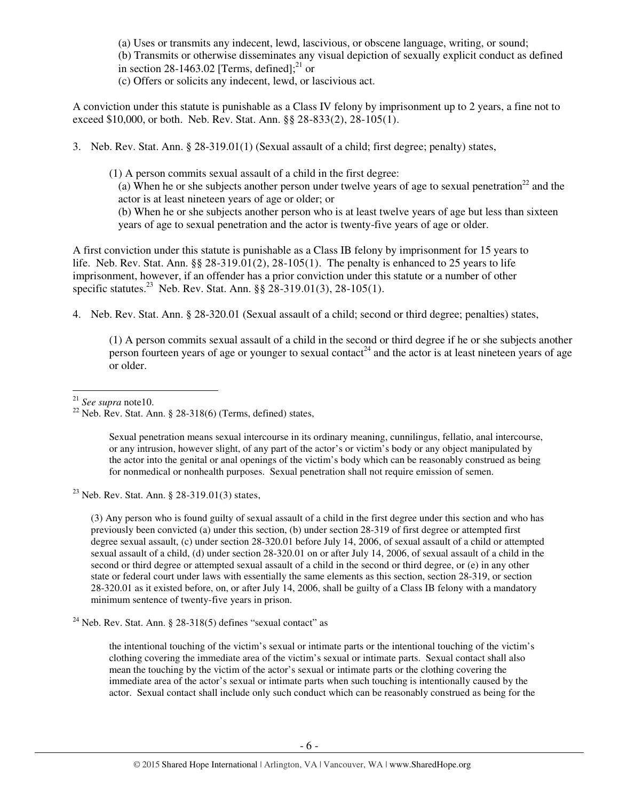(a) Uses or transmits any indecent, lewd, lascivious, or obscene language, writing, or sound; (b) Transmits or otherwise disseminates any visual depiction of sexually explicit conduct as defined in section 28-1463.02 [Terms, defined];<sup>21</sup> or

(c) Offers or solicits any indecent, lewd, or lascivious act.

A conviction under this statute is punishable as a Class IV felony by imprisonment up to 2 years, a fine not to exceed \$10,000, or both. Neb. Rev. Stat. Ann. §§ 28-833(2), 28-105(1).

3. Neb. Rev. Stat. Ann. § 28-319.01(1) (Sexual assault of a child; first degree; penalty) states,

(1) A person commits sexual assault of a child in the first degree: (a) When he or she subjects another person under twelve years of age to sexual penetration<sup>22</sup> and the actor is at least nineteen years of age or older; or (b) When he or she subjects another person who is at least twelve years of age but less than sixteen years of age to sexual penetration and the actor is twenty-five years of age or older.

A first conviction under this statute is punishable as a Class IB felony by imprisonment for 15 years to life. Neb. Rev. Stat. Ann. §§ 28-319.01(2), 28-105(1). The penalty is enhanced to 25 years to life imprisonment, however, if an offender has a prior conviction under this statute or a number of other specific statutes.<sup>23</sup> Neb. Rev. Stat. Ann.  $\S$ § 28-319.01(3), 28-105(1).

4. Neb. Rev. Stat. Ann. § 28-320.01 (Sexual assault of a child; second or third degree; penalties) states,

(1) A person commits sexual assault of a child in the second or third degree if he or she subjects another person fourteen years of age or younger to sexual contact<sup>24</sup> and the actor is at least nineteen years of age or older.

<sup>21</sup> *See supra* note10.

l

Sexual penetration means sexual intercourse in its ordinary meaning, cunnilingus, fellatio, anal intercourse, or any intrusion, however slight, of any part of the actor's or victim's body or any object manipulated by the actor into the genital or anal openings of the victim's body which can be reasonably construed as being for nonmedical or nonhealth purposes. Sexual penetration shall not require emission of semen.

<sup>23</sup> Neb. Rev. Stat. Ann. § 28-319.01(3) states,

(3) Any person who is found guilty of sexual assault of a child in the first degree under this section and who has previously been convicted (a) under this section, (b) under section 28-319 of first degree or attempted first degree sexual assault, (c) under section 28-320.01 before July 14, 2006, of sexual assault of a child or attempted sexual assault of a child, (d) under section 28-320.01 on or after July 14, 2006, of sexual assault of a child in the second or third degree or attempted sexual assault of a child in the second or third degree, or (e) in any other state or federal court under laws with essentially the same elements as this section, section 28-319, or section 28-320.01 as it existed before, on, or after July 14, 2006, shall be guilty of a Class IB felony with a mandatory minimum sentence of twenty-five years in prison.

 $24$  Neb. Rev. Stat. Ann. § 28-318(5) defines "sexual contact" as

the intentional touching of the victim's sexual or intimate parts or the intentional touching of the victim's clothing covering the immediate area of the victim's sexual or intimate parts. Sexual contact shall also mean the touching by the victim of the actor's sexual or intimate parts or the clothing covering the immediate area of the actor's sexual or intimate parts when such touching is intentionally caused by the actor. Sexual contact shall include only such conduct which can be reasonably construed as being for the

<sup>&</sup>lt;sup>22</sup> Neb. Rev. Stat. Ann. § 28-318(6) (Terms, defined) states,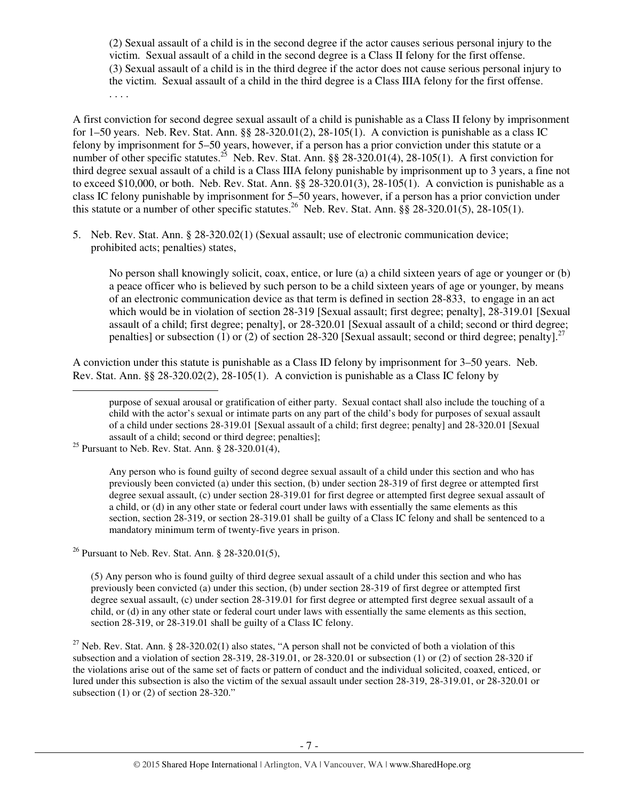(2) Sexual assault of a child is in the second degree if the actor causes serious personal injury to the victim. Sexual assault of a child in the second degree is a Class II felony for the first offense. (3) Sexual assault of a child is in the third degree if the actor does not cause serious personal injury to the victim. Sexual assault of a child in the third degree is a Class IIIA felony for the first offense. . . . .

A first conviction for second degree sexual assault of a child is punishable as a Class II felony by imprisonment for 1–50 years. Neb. Rev. Stat. Ann. §§ 28-320.01(2), 28-105(1). A conviction is punishable as a class IC felony by imprisonment for 5–50 years, however, if a person has a prior conviction under this statute or a number of other specific statutes.<sup>25</sup> Neb. Rev. Stat. Ann. §§ 28-320.01(4), 28-105(1). A first conviction for third degree sexual assault of a child is a Class IIIA felony punishable by imprisonment up to 3 years, a fine not to exceed \$10,000, or both. Neb. Rev. Stat. Ann. §§ 28-320.01(3), 28-105(1). A conviction is punishable as a class IC felony punishable by imprisonment for 5–50 years, however, if a person has a prior conviction under this statute or a number of other specific statutes.<sup>26</sup> Neb. Rev. Stat. Ann.  $\S$ § 28-320.01(5), 28-105(1).

5. Neb. Rev. Stat. Ann. § 28-320.02(1) (Sexual assault; use of electronic communication device; prohibited acts; penalties) states,

No person shall knowingly solicit, coax, entice, or lure (a) a child sixteen years of age or younger or (b) a peace officer who is believed by such person to be a child sixteen years of age or younger, by means of an electronic communication device as that term is defined in section 28-833, to engage in an act which would be in violation of section 28-319 [Sexual assault; first degree; penalty], 28-319.01 [Sexual assault of a child; first degree; penalty], or 28-320.01 [Sexual assault of a child; second or third degree; penalties] or subsection (1) or (2) of section 28-320 [Sexual assault; second or third degree; penalty].<sup>27</sup>

A conviction under this statute is punishable as a Class ID felony by imprisonment for 3–50 years. Neb. Rev. Stat. Ann. §§ 28-320.02(2), 28-105(1). A conviction is punishable as a Class IC felony by l

Any person who is found guilty of second degree sexual assault of a child under this section and who has previously been convicted (a) under this section, (b) under section 28-319 of first degree or attempted first degree sexual assault, (c) under section 28-319.01 for first degree or attempted first degree sexual assault of a child, or (d) in any other state or federal court under laws with essentially the same elements as this section, section 28-319, or section 28-319.01 shall be guilty of a Class IC felony and shall be sentenced to a mandatory minimum term of twenty-five years in prison.

<sup>26</sup> Pursuant to Neb. Rev. Stat. Ann. § 28-320.01(5),

(5) Any person who is found guilty of third degree sexual assault of a child under this section and who has previously been convicted (a) under this section, (b) under section 28-319 of first degree or attempted first degree sexual assault, (c) under section 28-319.01 for first degree or attempted first degree sexual assault of a child, or (d) in any other state or federal court under laws with essentially the same elements as this section, section 28-319, or 28-319.01 shall be guilty of a Class IC felony.

<sup>27</sup> Neb. Rev. Stat. Ann. § 28-320.02(1) also states, "A person shall not be convicted of both a violation of this subsection and a violation of section 28-319, 28-319.01, or 28-320.01 or subsection (1) or (2) of section 28-320 if the violations arise out of the same set of facts or pattern of conduct and the individual solicited, coaxed, enticed, or lured under this subsection is also the victim of the sexual assault under section 28-319, 28-319.01, or 28-320.01 or subsection  $(1)$  or  $(2)$  of section 28-320."

purpose of sexual arousal or gratification of either party. Sexual contact shall also include the touching of a child with the actor's sexual or intimate parts on any part of the child's body for purposes of sexual assault of a child under sections 28-319.01 [Sexual assault of a child; first degree; penalty] and 28-320.01 [Sexual assault of a child; second or third degree; penalties];

<sup>&</sup>lt;sup>25</sup> Pursuant to Neb. Rev. Stat. Ann.  $§$  28-320.01(4),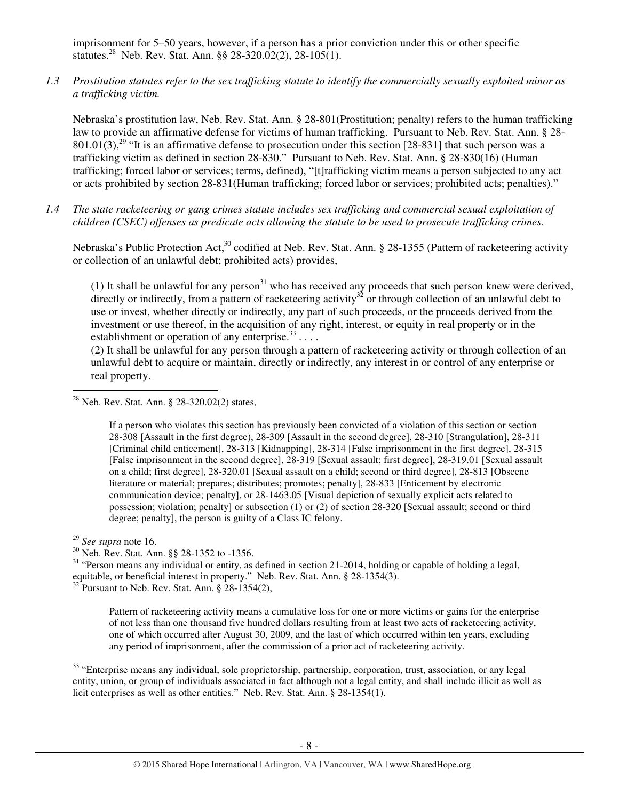imprisonment for 5–50 years, however, if a person has a prior conviction under this or other specific statutes.<sup>28</sup> Neb. Rev. Stat. Ann. §§ 28-320.02(2), 28-105(1).

*1.3 Prostitution statutes refer to the sex trafficking statute to identify the commercially sexually exploited minor as a trafficking victim.* 

Nebraska's prostitution law, Neb. Rev. Stat. Ann. § 28-801(Prostitution; penalty) refers to the human trafficking law to provide an affirmative defense for victims of human trafficking. Pursuant to Neb. Rev. Stat. Ann. § 28-  $801.01(3)$ ,<sup>29</sup> "It is an affirmative defense to prosecution under this section [28-831] that such person was a trafficking victim as defined in section 28-830." Pursuant to Neb. Rev. Stat. Ann. § 28-830(16) (Human trafficking; forced labor or services; terms, defined), "[t]rafficking victim means a person subjected to any act or acts prohibited by section 28-831(Human trafficking; forced labor or services; prohibited acts; penalties)."

*1.4 The state racketeering or gang crimes statute includes sex trafficking and commercial sexual exploitation of children (CSEC) offenses as predicate acts allowing the statute to be used to prosecute trafficking crimes.* 

Nebraska's Public Protection Act,<sup>30</sup> codified at Neb. Rev. Stat. Ann. § 28-1355 (Pattern of racketeering activity or collection of an unlawful debt; prohibited acts) provides,

(1) It shall be unlawful for any person $31$  who has received any proceeds that such person knew were derived, directly or indirectly, from a pattern of racketeering activity<sup>32</sup> or through collection of an unlawful debt to use or invest, whether directly or indirectly, any part of such proceeds, or the proceeds derived from the investment or use thereof, in the acquisition of any right, interest, or equity in real property or in the establishment or operation of any enterprise. $33$ ...

(2) It shall be unlawful for any person through a pattern of racketeering activity or through collection of an unlawful debt to acquire or maintain, directly or indirectly, any interest in or control of any enterprise or real property.

If a person who violates this section has previously been convicted of a violation of this section or section 28-308 [Assault in the first degree), 28-309 [Assault in the second degree], 28-310 [Strangulation], 28-311 [Criminal child enticement], 28-313 [Kidnapping], 28-314 [False imprisonment in the first degree], 28-315 [False imprisonment in the second degree], 28-319 [Sexual assault; first degree], 28-319.01 [Sexual assault on a child; first degree], 28-320.01 [Sexual assault on a child; second or third degree], 28-813 [Obscene literature or material; prepares; distributes; promotes; penalty], 28-833 [Enticement by electronic communication device; penalty], or 28-1463.05 [Visual depiction of sexually explicit acts related to possession; violation; penalty] or subsection (1) or (2) of section 28-320 [Sexual assault; second or third degree; penalty], the person is guilty of a Class IC felony.

l

 $31$  "Person means any individual or entity, as defined in section 21-2014, holding or capable of holding a legal, equitable, or beneficial interest in property." Neb. Rev. Stat. Ann. § 28-1354(3).  $32^{32}$  Pursuant to Neb. Rev. Stat. Ann. § 28-1354(2),

Pattern of racketeering activity means a cumulative loss for one or more victims or gains for the enterprise of not less than one thousand five hundred dollars resulting from at least two acts of racketeering activity, one of which occurred after August 30, 2009, and the last of which occurred within ten years, excluding any period of imprisonment, after the commission of a prior act of racketeering activity.

<sup>33</sup> "Enterprise means any individual, sole proprietorship, partnership, corporation, trust, association, or any legal entity, union, or group of individuals associated in fact although not a legal entity, and shall include illicit as well as licit enterprises as well as other entities." Neb. Rev. Stat. Ann. § 28-1354(1).

<sup>28</sup> Neb. Rev. Stat. Ann. § 28-320.02(2) states,

<sup>29</sup> *See supra* note 16.

<sup>30</sup> Neb. Rev. Stat. Ann. §§ 28-1352 to -1356.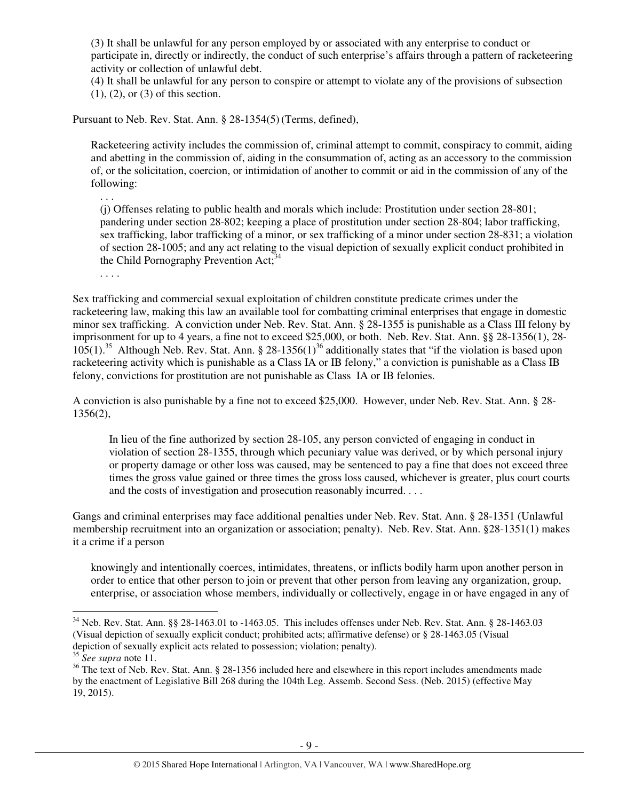(3) It shall be unlawful for any person employed by or associated with any enterprise to conduct or participate in, directly or indirectly, the conduct of such enterprise's affairs through a pattern of racketeering activity or collection of unlawful debt.

(4) It shall be unlawful for any person to conspire or attempt to violate any of the provisions of subsection (1), (2), or (3) of this section.

Pursuant to Neb. Rev. Stat. Ann. § 28-1354(5)(Terms, defined),

Racketeering activity includes the commission of, criminal attempt to commit, conspiracy to commit, aiding and abetting in the commission of, aiding in the consummation of, acting as an accessory to the commission of, or the solicitation, coercion, or intimidation of another to commit or aid in the commission of any of the following:

(j) Offenses relating to public health and morals which include: Prostitution under section 28-801; pandering under section 28-802; keeping a place of prostitution under section 28-804; labor trafficking, sex trafficking, labor trafficking of a minor, or sex trafficking of a minor under section 28-831; a violation of section 28-1005; and any act relating to the visual depiction of sexually explicit conduct prohibited in the Child Pornography Prevention Act;<sup>34</sup>

. . . .

. . .

Sex trafficking and commercial sexual exploitation of children constitute predicate crimes under the racketeering law, making this law an available tool for combatting criminal enterprises that engage in domestic minor sex trafficking. A conviction under Neb. Rev. Stat. Ann. § 28-1355 is punishable as a Class III felony by imprisonment for up to 4 years, a fine not to exceed \$25,000, or both. Neb. Rev. Stat. Ann. §§ 28-1356(1), 28- 105(1).<sup>35</sup> Although Neb. Rev. Stat. Ann. § 28-1356(1)<sup>36</sup> additionally states that "if the violation is based upon racketeering activity which is punishable as a Class IA or IB felony," a conviction is punishable as a Class IB felony, convictions for prostitution are not punishable as Class IA or IB felonies.

A conviction is also punishable by a fine not to exceed \$25,000. However, under Neb. Rev. Stat. Ann. § 28- 1356(2),

In lieu of the fine authorized by section 28-105, any person convicted of engaging in conduct in violation of section 28-1355, through which pecuniary value was derived, or by which personal injury or property damage or other loss was caused, may be sentenced to pay a fine that does not exceed three times the gross value gained or three times the gross loss caused, whichever is greater, plus court courts and the costs of investigation and prosecution reasonably incurred. . . .

Gangs and criminal enterprises may face additional penalties under Neb. Rev. Stat. Ann. § 28-1351 (Unlawful membership recruitment into an organization or association; penalty). Neb. Rev. Stat. Ann. §28-1351(1) makes it a crime if a person

knowingly and intentionally coerces, intimidates, threatens, or inflicts bodily harm upon another person in order to entice that other person to join or prevent that other person from leaving any organization, group, enterprise, or association whose members, individually or collectively, engage in or have engaged in any of

 $34$  Neb. Rev. Stat. Ann. §§ 28-1463.01 to -1463.05. This includes offenses under Neb. Rev. Stat. Ann. § 28-1463.03 (Visual depiction of sexually explicit conduct; prohibited acts; affirmative defense) or § 28-1463.05 (Visual depiction of sexually explicit acts related to possession; violation; penalty).

<sup>35</sup> *See supra* note 11.

<sup>&</sup>lt;sup>36</sup> The text of Neb. Rev. Stat. Ann. § 28-1356 included here and elsewhere in this report includes amendments made by the enactment of Legislative Bill 268 during the 104th Leg. Assemb. Second Sess. (Neb. 2015) (effective May 19, 2015).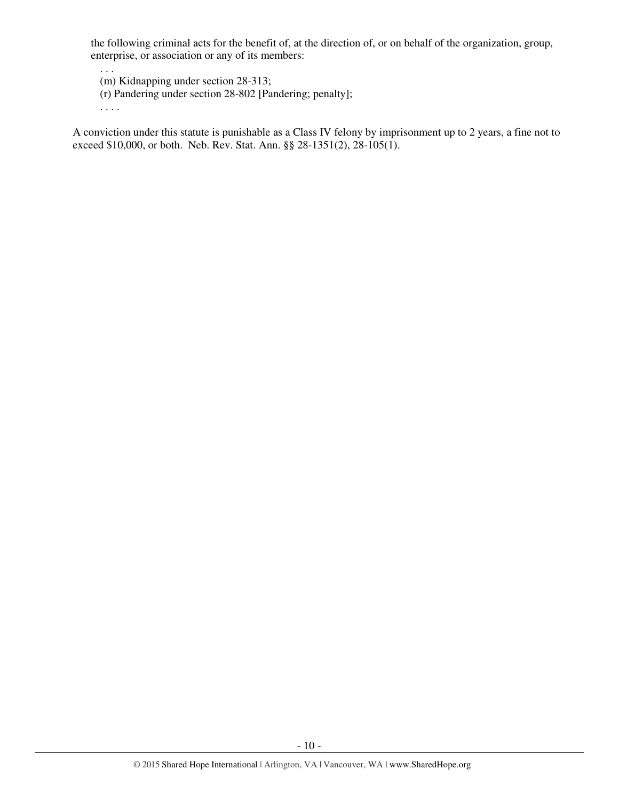the following criminal acts for the benefit of, at the direction of, or on behalf of the organization, group, enterprise, or association or any of its members:

. . . (m) Kidnapping under section 28-313;

(r) Pandering under section 28-802 [Pandering; penalty];

. . . .

A conviction under this statute is punishable as a Class IV felony by imprisonment up to 2 years, a fine not to exceed \$10,000, or both. Neb. Rev. Stat. Ann. §§ 28-1351(2), 28-105(1).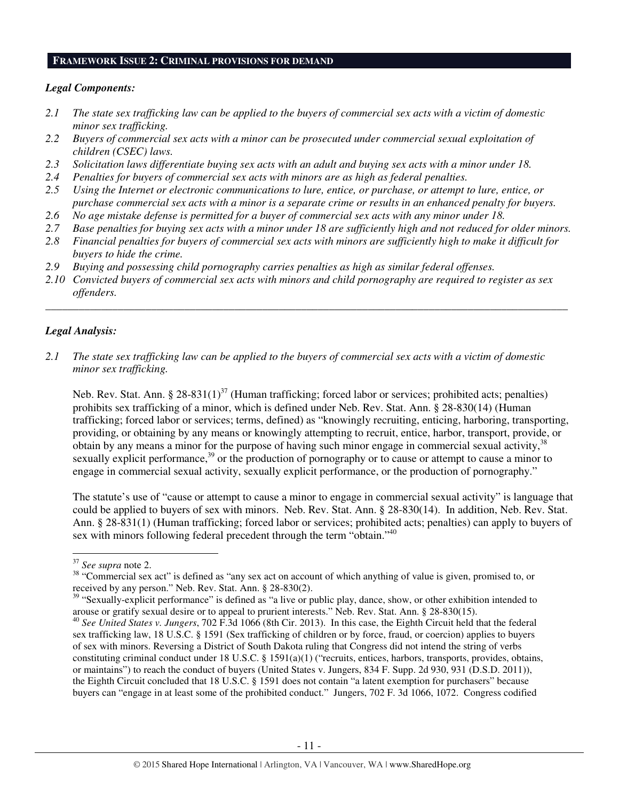#### **FRAMEWORK ISSUE 2: CRIMINAL PROVISIONS FOR DEMAND**

## *Legal Components:*

- *2.1 The state sex trafficking law can be applied to the buyers of commercial sex acts with a victim of domestic minor sex trafficking.*
- *2.2 Buyers of commercial sex acts with a minor can be prosecuted under commercial sexual exploitation of children (CSEC) laws.*
- *2.3 Solicitation laws differentiate buying sex acts with an adult and buying sex acts with a minor under 18.*
- *2.4 Penalties for buyers of commercial sex acts with minors are as high as federal penalties.*
- *2.5 Using the Internet or electronic communications to lure, entice, or purchase, or attempt to lure, entice, or purchase commercial sex acts with a minor is a separate crime or results in an enhanced penalty for buyers.*
- *2.6 No age mistake defense is permitted for a buyer of commercial sex acts with any minor under 18.*
- *2.7 Base penalties for buying sex acts with a minor under 18 are sufficiently high and not reduced for older minors.*
- *2.8 Financial penalties for buyers of commercial sex acts with minors are sufficiently high to make it difficult for buyers to hide the crime.*
- *2.9 Buying and possessing child pornography carries penalties as high as similar federal offenses.*
- *2.10 Convicted buyers of commercial sex acts with minors and child pornography are required to register as sex offenders.*

\_\_\_\_\_\_\_\_\_\_\_\_\_\_\_\_\_\_\_\_\_\_\_\_\_\_\_\_\_\_\_\_\_\_\_\_\_\_\_\_\_\_\_\_\_\_\_\_\_\_\_\_\_\_\_\_\_\_\_\_\_\_\_\_\_\_\_\_\_\_\_\_\_\_\_\_\_\_\_\_\_\_\_\_\_\_\_\_\_\_\_\_\_\_

## *Legal Analysis:*

*2.1 The state sex trafficking law can be applied to the buyers of commercial sex acts with a victim of domestic minor sex trafficking.* 

Neb. Rev. Stat. Ann. § 28-831(1)<sup>37</sup> (Human trafficking; forced labor or services; prohibited acts; penalties) prohibits sex trafficking of a minor, which is defined under Neb. Rev. Stat. Ann. § 28-830(14) (Human trafficking; forced labor or services; terms, defined) as "knowingly recruiting, enticing, harboring, transporting, providing, or obtaining by any means or knowingly attempting to recruit, entice, harbor, transport, provide, or obtain by any means a minor for the purpose of having such minor engage in commercial sexual activity,<sup>38</sup> sexually explicit performance,<sup>39</sup> or the production of pornography or to cause or attempt to cause a minor to engage in commercial sexual activity, sexually explicit performance, or the production of pornography."

The statute's use of "cause or attempt to cause a minor to engage in commercial sexual activity" is language that could be applied to buyers of sex with minors. Neb. Rev. Stat. Ann. § 28-830(14). In addition, Neb. Rev. Stat. Ann. § 28-831(1) (Human trafficking; forced labor or services; prohibited acts; penalties) can apply to buyers of sex with minors following federal precedent through the term "obtain."<sup>40</sup>

<sup>37</sup> *See supra* note 2.

<sup>&</sup>lt;sup>38</sup> "Commercial sex act" is defined as "any sex act on account of which anything of value is given, promised to, or received by any person." Neb. Rev. Stat. Ann. § 28-830(2).

<sup>&</sup>lt;sup>39</sup> "Sexually-explicit performance" is defined as "a live or public play, dance, show, or other exhibition intended to arouse or gratify sexual desire or to appeal to prurient interests." Neb. Rev. Stat. Ann. § 28-830(15).

<sup>40</sup> *See United States v. Jungers*, 702 F.3d 1066 (8th Cir. 2013). In this case, the Eighth Circuit held that the federal sex trafficking law, 18 U.S.C. § 1591 (Sex trafficking of children or by force, fraud, or coercion) applies to buyers of sex with minors. Reversing a District of South Dakota ruling that Congress did not intend the string of verbs constituting criminal conduct under 18 U.S.C. § 1591(a)(1) ("recruits, entices, harbors, transports, provides, obtains, or maintains") to reach the conduct of buyers (United States v. Jungers, 834 F. Supp. 2d 930, 931 (D.S.D. 2011)), the Eighth Circuit concluded that 18 U.S.C. § 1591 does not contain "a latent exemption for purchasers" because buyers can "engage in at least some of the prohibited conduct." Jungers, 702 F. 3d 1066, 1072. Congress codified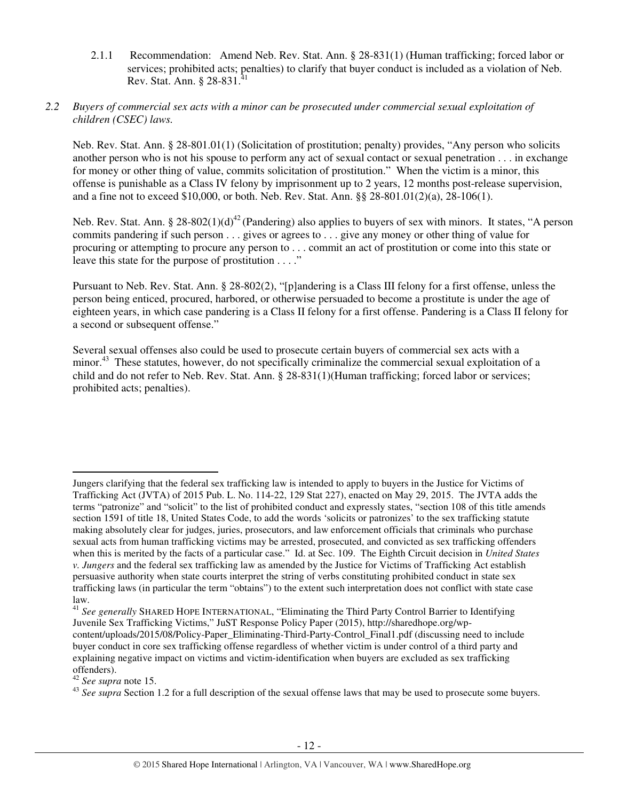2.1.1 Recommendation: Amend Neb. Rev. Stat. Ann. § 28-831(1) (Human trafficking; forced labor or services; prohibited acts; penalties) to clarify that buyer conduct is included as a violation of Neb. Rev. Stat. Ann. § 28-831.<sup>41</sup>

## *2.2 Buyers of commercial sex acts with a minor can be prosecuted under commercial sexual exploitation of children (CSEC) laws.*

Neb. Rev. Stat. Ann. § 28-801.01(1) (Solicitation of prostitution; penalty) provides, "Any person who solicits another person who is not his spouse to perform any act of sexual contact or sexual penetration . . . in exchange for money or other thing of value, commits solicitation of prostitution." When the victim is a minor, this offense is punishable as a Class IV felony by imprisonment up to 2 years, 12 months post-release supervision, and a fine not to exceed \$10,000, or both. Neb. Rev. Stat. Ann. §§ 28-801.01(2)(a), 28-106(1).

Neb. Rev. Stat. Ann. § 28-802(1)(d)<sup>42</sup> (Pandering) also applies to buyers of sex with minors. It states, "A person commits pandering if such person . . . gives or agrees to . . . give any money or other thing of value for procuring or attempting to procure any person to . . . commit an act of prostitution or come into this state or leave this state for the purpose of prostitution . . . ."

Pursuant to Neb. Rev. Stat. Ann. § 28-802(2), "[p]andering is a Class III felony for a first offense, unless the person being enticed, procured, harbored, or otherwise persuaded to become a prostitute is under the age of eighteen years, in which case pandering is a Class II felony for a first offense. Pandering is a Class II felony for a second or subsequent offense."

Several sexual offenses also could be used to prosecute certain buyers of commercial sex acts with a minor.<sup>43</sup> These statutes, however, do not specifically criminalize the commercial sexual exploitation of a child and do not refer to Neb. Rev. Stat. Ann. § 28-831(1)(Human trafficking; forced labor or services; prohibited acts; penalties).

<sup>41</sup> *See generally* SHARED HOPE INTERNATIONAL, "Eliminating the Third Party Control Barrier to Identifying Juvenile Sex Trafficking Victims," JuST Response Policy Paper (2015), http://sharedhope.org/wpcontent/uploads/2015/08/Policy-Paper\_Eliminating-Third-Party-Control\_Final1.pdf (discussing need to include buyer conduct in core sex trafficking offense regardless of whether victim is under control of a third party and explaining negative impact on victims and victim-identification when buyers are excluded as sex trafficking offenders).

<sup>42</sup> *See supra* note 15.

l

<sup>43</sup> See supra Section 1.2 for a full description of the sexual offense laws that may be used to prosecute some buyers.

Jungers clarifying that the federal sex trafficking law is intended to apply to buyers in the Justice for Victims of Trafficking Act (JVTA) of 2015 Pub. L. No. 114-22, 129 Stat 227), enacted on May 29, 2015. The JVTA adds the terms "patronize" and "solicit" to the list of prohibited conduct and expressly states, "section 108 of this title amends section 1591 of title 18, United States Code, to add the words 'solicits or patronizes' to the sex trafficking statute making absolutely clear for judges, juries, prosecutors, and law enforcement officials that criminals who purchase sexual acts from human trafficking victims may be arrested, prosecuted, and convicted as sex trafficking offenders when this is merited by the facts of a particular case." Id. at Sec. 109. The Eighth Circuit decision in *United States v. Jungers* and the federal sex trafficking law as amended by the Justice for Victims of Trafficking Act establish persuasive authority when state courts interpret the string of verbs constituting prohibited conduct in state sex trafficking laws (in particular the term "obtains") to the extent such interpretation does not conflict with state case law.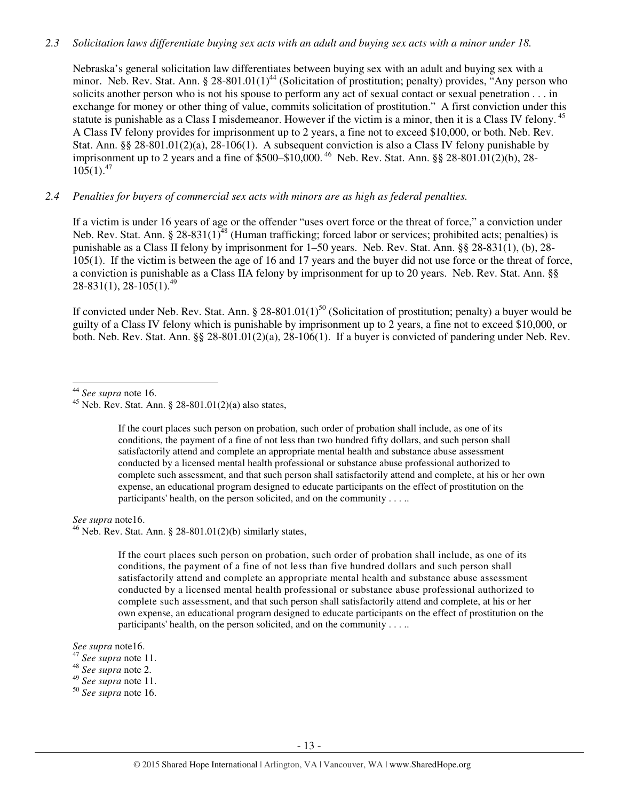#### *2.3 Solicitation laws differentiate buying sex acts with an adult and buying sex acts with a minor under 18.*

Nebraska's general solicitation law differentiates between buying sex with an adult and buying sex with a minor. Neb. Rev. Stat. Ann. § 28-801.01(1)<sup>44</sup> (Solicitation of prostitution; penalty) provides, "Any person who solicits another person who is not his spouse to perform any act of sexual contact or sexual penetration . . . in exchange for money or other thing of value, commits solicitation of prostitution." A first conviction under this statute is punishable as a Class I misdemeanor. However if the victim is a minor, then it is a Class IV felony.<sup>45</sup> A Class IV felony provides for imprisonment up to 2 years, a fine not to exceed \$10,000, or both. Neb. Rev. Stat. Ann. §§ 28-801.01(2)(a), 28-106(1). A subsequent conviction is also a Class IV felony punishable by imprisonment up to 2 years and a fine of \$500–\$10,000.<sup>46</sup> Neb. Rev. Stat. Ann. §§ 28-801.01(2)(b), 28- $105(1).^{47}$ 

#### *2.4 Penalties for buyers of commercial sex acts with minors are as high as federal penalties.*

If a victim is under 16 years of age or the offender "uses overt force or the threat of force," a conviction under Neb. Rev. Stat. Ann. § 28-831(1)<sup>48</sup> (Human trafficking; forced labor or services; prohibited acts; penalties) is punishable as a Class II felony by imprisonment for 1–50 years. Neb. Rev. Stat. Ann. §§ 28-831(1), (b), 28- 105(1). If the victim is between the age of 16 and 17 years and the buyer did not use force or the threat of force, a conviction is punishable as a Class IIA felony by imprisonment for up to 20 years. Neb. Rev. Stat. Ann. §§  $28-831(1)$ ,  $28-105(1)$ ,  $49$ 

If convicted under Neb. Rev. Stat. Ann. § 28-801.01(1)<sup>50</sup> (Solicitation of prostitution; penalty) a buyer would be guilty of a Class IV felony which is punishable by imprisonment up to 2 years, a fine not to exceed \$10,000, or both. Neb. Rev. Stat. Ann. §§ 28-801.01(2)(a), 28-106(1). If a buyer is convicted of pandering under Neb. Rev.

l

If the court places such person on probation, such order of probation shall include, as one of its conditions, the payment of a fine of not less than two hundred fifty dollars, and such person shall satisfactorily attend and complete an appropriate mental health and substance abuse assessment conducted by a licensed mental health professional or substance abuse professional authorized to complete such assessment, and that such person shall satisfactorily attend and complete, at his or her own expense, an educational program designed to educate participants on the effect of prostitution on the participants' health, on the person solicited, and on the community . . . ..

*See supra* note16.

 $^{46}$  Neb. Rev. Stat. Ann. § 28-801.01(2)(b) similarly states,

If the court places such person on probation, such order of probation shall include, as one of its conditions, the payment of a fine of not less than five hundred dollars and such person shall satisfactorily attend and complete an appropriate mental health and substance abuse assessment conducted by a licensed mental health professional or substance abuse professional authorized to complete such assessment, and that such person shall satisfactorily attend and complete, at his or her own expense, an educational program designed to educate participants on the effect of prostitution on the participants' health, on the person solicited, and on the community . . . ..

*See supra* note16.

<sup>44</sup> *See supra* note 16.

<sup>&</sup>lt;sup>45</sup> Neb. Rev. Stat. Ann. § 28-801.01(2)(a) also states,

<sup>47</sup> *See supra* note 11.

<sup>48</sup> *See supra* note 2.

<sup>49</sup> *See supra* note 11.

<sup>50</sup> *See supra* note 16.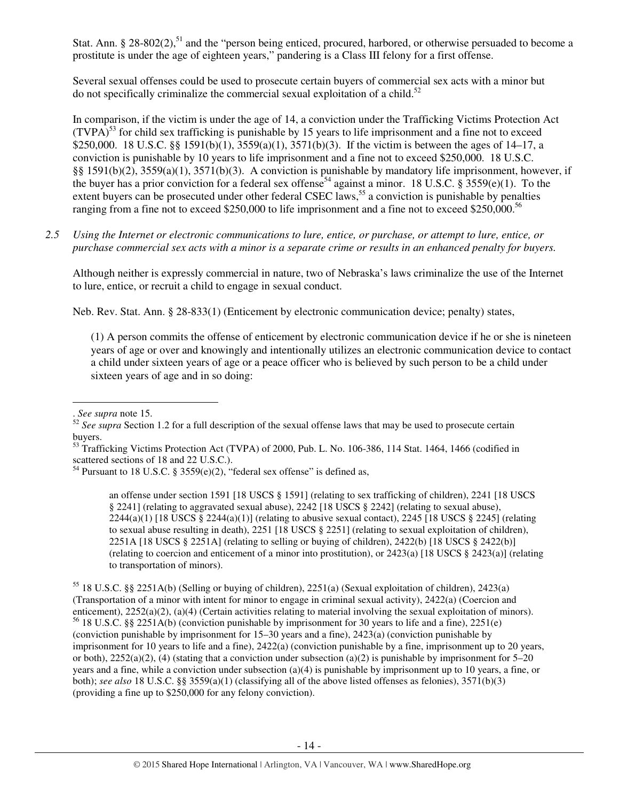Stat. Ann. § 28-802(2),<sup>51</sup> and the "person being enticed, procured, harbored, or otherwise persuaded to become a prostitute is under the age of eighteen years," pandering is a Class III felony for a first offense.

Several sexual offenses could be used to prosecute certain buyers of commercial sex acts with a minor but do not specifically criminalize the commercial sexual exploitation of a child.<sup>52</sup>

In comparison, if the victim is under the age of 14, a conviction under the Trafficking Victims Protection Act  $(TVPA)^{53}$  for child sex trafficking is punishable by 15 years to life imprisonment and a fine not to exceed \$250,000. 18 U.S.C. §§ 1591(b)(1), 3559(a)(1), 3571(b)(3). If the victim is between the ages of 14–17, a conviction is punishable by 10 years to life imprisonment and a fine not to exceed \$250,000. 18 U.S.C. §§ 1591(b)(2), 3559(a)(1), 3571(b)(3). A conviction is punishable by mandatory life imprisonment, however, if the buyer has a prior conviction for a federal sex offense<sup>54</sup> against a minor. 18 U.S.C. § 3559(e)(1). To the extent buyers can be prosecuted under other federal CSEC laws,<sup>55</sup> a conviction is punishable by penalties ranging from a fine not to exceed \$250,000 to life imprisonment and a fine not to exceed \$250,000.<sup>56</sup>

*2.5 Using the Internet or electronic communications to lure, entice, or purchase, or attempt to lure, entice, or purchase commercial sex acts with a minor is a separate crime or results in an enhanced penalty for buyers.* 

Although neither is expressly commercial in nature, two of Nebraska's laws criminalize the use of the Internet to lure, entice, or recruit a child to engage in sexual conduct.

Neb. Rev. Stat. Ann. § 28-833(1) (Enticement by electronic communication device; penalty) states,

(1) A person commits the offense of enticement by electronic communication device if he or she is nineteen years of age or over and knowingly and intentionally utilizes an electronic communication device to contact a child under sixteen years of age or a peace officer who is believed by such person to be a child under sixteen years of age and in so doing:

 $\overline{a}$ 

an offense under section 1591 [18 USCS § 1591] (relating to sex trafficking of children), 2241 [18 USCS § 2241] (relating to aggravated sexual abuse), 2242 [18 USCS § 2242] (relating to sexual abuse),  $2244(a)(1)$  [18 USCS §  $2244(a)(1)$ ] (relating to abusive sexual contact),  $2245$  [18 USCS § 2245] (relating to sexual abuse resulting in death), 2251 [18 USCS § 2251] (relating to sexual exploitation of children), 2251A [18 USCS § 2251A] (relating to selling or buying of children), 2422(b) [18 USCS § 2422(b)] (relating to coercion and enticement of a minor into prostitution), or 2423(a) [18 USCS § 2423(a)] (relating to transportation of minors).

<sup>55</sup> 18 U.S.C. §§ 2251A(b) (Selling or buying of children), 2251(a) (Sexual exploitation of children), 2423(a) (Transportation of a minor with intent for minor to engage in criminal sexual activity), 2422(a) (Coercion and enticement), 2252(a)(2), (a)(4) (Certain activities relating to material involving the sexual exploitation of minors). <sup>56</sup> 18 U.S.C. §§ 2251A(b) (conviction punishable by imprisonment for 30 years to life and a fine), 2251(e) (conviction punishable by imprisonment for 15–30 years and a fine), 2423(a) (conviction punishable by imprisonment for 10 years to life and a fine), 2422(a) (conviction punishable by a fine, imprisonment up to 20 years, or both),  $2252(a)(2)$ , (4) (stating that a conviction under subsection (a)(2) is punishable by imprisonment for 5–20 years and a fine, while a conviction under subsection (a)(4) is punishable by imprisonment up to 10 years, a fine, or both); *see also* 18 U.S.C. §§ 3559(a)(1) (classifying all of the above listed offenses as felonies), 3571(b)(3) (providing a fine up to \$250,000 for any felony conviction).

<sup>.</sup> *See supra* note 15.

<sup>&</sup>lt;sup>52</sup> See supra Section 1.2 for a full description of the sexual offense laws that may be used to prosecute certain buyers.

<sup>&</sup>lt;sup>53</sup> Trafficking Victims Protection Act (TVPA) of 2000, Pub. L. No. 106-386, 114 Stat. 1464, 1466 (codified in scattered sections of 18 and 22 U.S.C.).

<sup>&</sup>lt;sup>54</sup> Pursuant to 18 U.S.C. § 3559(e)(2), "federal sex offense" is defined as,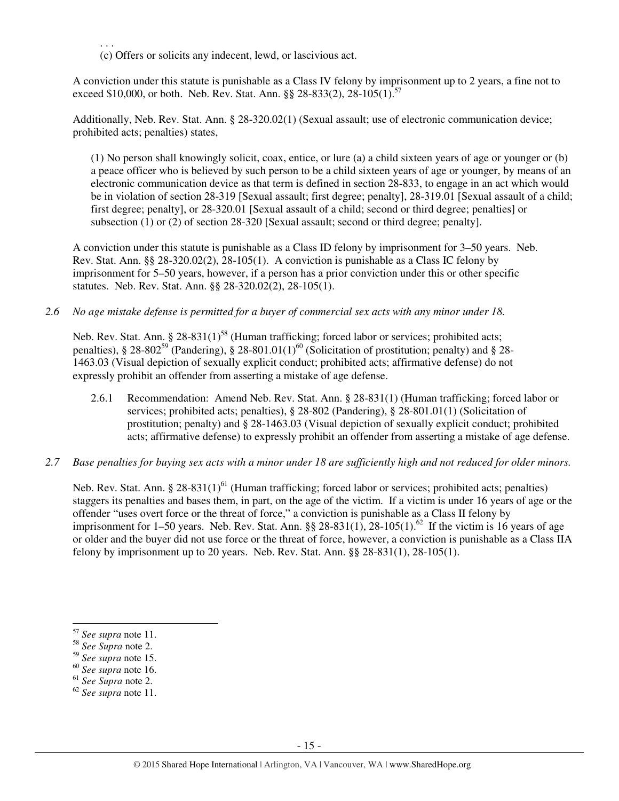. . . (c) Offers or solicits any indecent, lewd, or lascivious act.

A conviction under this statute is punishable as a Class IV felony by imprisonment up to 2 years, a fine not to exceed \$10,000, or both. Neb. Rev. Stat. Ann.  $88\,28-833(2)$ ,  $28-105(1)$ .  $57$ 

Additionally, Neb. Rev. Stat. Ann. § 28-320.02(1) (Sexual assault; use of electronic communication device; prohibited acts; penalties) states,

(1) No person shall knowingly solicit, coax, entice, or lure (a) a child sixteen years of age or younger or (b) a peace officer who is believed by such person to be a child sixteen years of age or younger, by means of an electronic communication device as that term is defined in section 28-833, to engage in an act which would be in violation of section 28-319 [Sexual assault; first degree; penalty], 28-319.01 [Sexual assault of a child; first degree; penalty], or 28-320.01 [Sexual assault of a child; second or third degree; penalties] or subsection (1) or (2) of section 28-320 [Sexual assault; second or third degree; penalty].

A conviction under this statute is punishable as a Class ID felony by imprisonment for 3–50 years. Neb. Rev. Stat. Ann. §§ 28-320.02(2), 28-105(1). A conviction is punishable as a Class IC felony by imprisonment for 5–50 years, however, if a person has a prior conviction under this or other specific statutes. Neb. Rev. Stat. Ann. §§ 28-320.02(2), 28-105(1).

*2.6 No age mistake defense is permitted for a buyer of commercial sex acts with any minor under 18.* 

Neb. Rev. Stat. Ann. §  $28-831(1)^{58}$  (Human trafficking; forced labor or services; prohibited acts; penalties), § 28-802<sup>59</sup> (Pandering), § 28-801.01(1)<sup>60</sup> (Solicitation of prostitution; penalty) and § 28-1463.03 (Visual depiction of sexually explicit conduct; prohibited acts; affirmative defense) do not expressly prohibit an offender from asserting a mistake of age defense.

- 2.6.1 Recommendation: Amend Neb. Rev. Stat. Ann. § 28-831(1) (Human trafficking; forced labor or services; prohibited acts; penalties), § 28-802 (Pandering), § 28-801.01(1) (Solicitation of prostitution; penalty) and § 28-1463.03 (Visual depiction of sexually explicit conduct; prohibited acts; affirmative defense) to expressly prohibit an offender from asserting a mistake of age defense.
- *2.7 Base penalties for buying sex acts with a minor under 18 are sufficiently high and not reduced for older minors.*

Neb. Rev. Stat. Ann. § 28-831(1)<sup>61</sup> (Human trafficking; forced labor or services; prohibited acts; penalties) staggers its penalties and bases them, in part, on the age of the victim. If a victim is under 16 years of age or the offender "uses overt force or the threat of force," a conviction is punishable as a Class II felony by imprisonment for 1–50 years. Neb. Rev. Stat. Ann. §§ 28-831(1), 28-105(1).<sup>62</sup> If the victim is 16 years of age or older and the buyer did not use force or the threat of force, however, a conviction is punishable as a Class IIA felony by imprisonment up to 20 years. Neb. Rev. Stat. Ann. §§ 28-831(1), 28-105(1).

<sup>57</sup> *See supra* note 11.

<sup>58</sup> *See Supra* note 2.

<sup>59</sup> *See supra* note 15.

<sup>60</sup> *See supra* note 16.

<sup>61</sup> *See Supra* note 2.

<sup>62</sup> *See supra* note 11.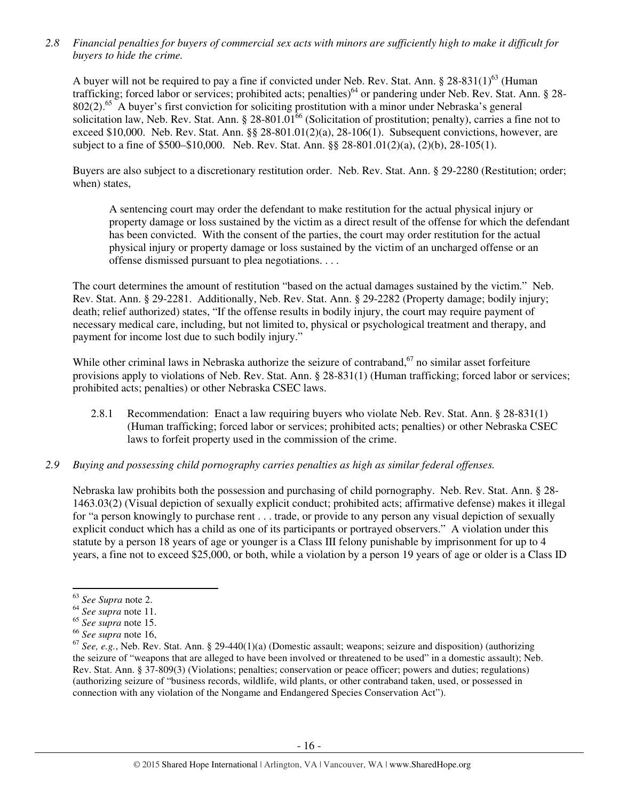*2.8 Financial penalties for buyers of commercial sex acts with minors are sufficiently high to make it difficult for buyers to hide the crime.* 

A buyer will not be required to pay a fine if convicted under Neb. Rev. Stat. Ann.  $\S 28-831(1)^{63}$  (Human trafficking; forced labor or services; prohibited acts; penalties)<sup>64</sup> or pandering under Neb. Rev. Stat. Ann. § 28-802(2).<sup>65</sup> A buyer's first conviction for soliciting prostitution with a minor under Nebraska's general solicitation law, Neb. Rev. Stat. Ann. § 28-801.01<sup>66</sup> (Solicitation of prostitution; penalty), carries a fine not to exceed \$10,000. Neb. Rev. Stat. Ann. §§ 28-801.01(2)(a), 28-106(1). Subsequent convictions, however, are subject to a fine of \$500–\$10,000. Neb. Rev. Stat. Ann. §§ 28-801.01(2)(a), (2)(b), 28-105(1).

Buyers are also subject to a discretionary restitution order. Neb. Rev. Stat. Ann. § 29-2280 (Restitution; order; when) states,

A sentencing court may order the defendant to make restitution for the actual physical injury or property damage or loss sustained by the victim as a direct result of the offense for which the defendant has been convicted. With the consent of the parties, the court may order restitution for the actual physical injury or property damage or loss sustained by the victim of an uncharged offense or an offense dismissed pursuant to plea negotiations. . . .

The court determines the amount of restitution "based on the actual damages sustained by the victim." Neb. Rev. Stat. Ann. § 29-2281. Additionally, Neb. Rev. Stat. Ann. § 29-2282 (Property damage; bodily injury; death; relief authorized) states, "If the offense results in bodily injury, the court may require payment of necessary medical care, including, but not limited to, physical or psychological treatment and therapy, and payment for income lost due to such bodily injury."

While other criminal laws in Nebraska authorize the seizure of contraband,  $67$  no similar asset forfeiture provisions apply to violations of Neb. Rev. Stat. Ann. § 28-831(1) (Human trafficking; forced labor or services; prohibited acts; penalties) or other Nebraska CSEC laws.

2.8.1 Recommendation: Enact a law requiring buyers who violate Neb. Rev. Stat. Ann. § 28-831(1) (Human trafficking; forced labor or services; prohibited acts; penalties) or other Nebraska CSEC laws to forfeit property used in the commission of the crime.

## *2.9 Buying and possessing child pornography carries penalties as high as similar federal offenses.*

Nebraska law prohibits both the possession and purchasing of child pornography. Neb. Rev. Stat. Ann. § 28- 1463.03(2) (Visual depiction of sexually explicit conduct; prohibited acts; affirmative defense) makes it illegal for "a person knowingly to purchase rent . . . trade, or provide to any person any visual depiction of sexually explicit conduct which has a child as one of its participants or portrayed observers." A violation under this statute by a person 18 years of age or younger is a Class III felony punishable by imprisonment for up to 4 years, a fine not to exceed \$25,000, or both, while a violation by a person 19 years of age or older is a Class ID

<sup>63</sup> *See Supra* note 2.

<sup>64</sup> *See supra* note 11.

<sup>65</sup> *See supra* note 15.

<sup>66</sup> *See supra* note 16,

<sup>67</sup> *See, e.g.*, Neb. Rev. Stat. Ann. § 29-440(1)(a) (Domestic assault; weapons; seizure and disposition) (authorizing the seizure of "weapons that are alleged to have been involved or threatened to be used" in a domestic assault); Neb. Rev. Stat. Ann. § 37-809(3) (Violations; penalties; conservation or peace officer; powers and duties; regulations) (authorizing seizure of "business records, wildlife, wild plants, or other contraband taken, used, or possessed in connection with any violation of the Nongame and Endangered Species Conservation Act").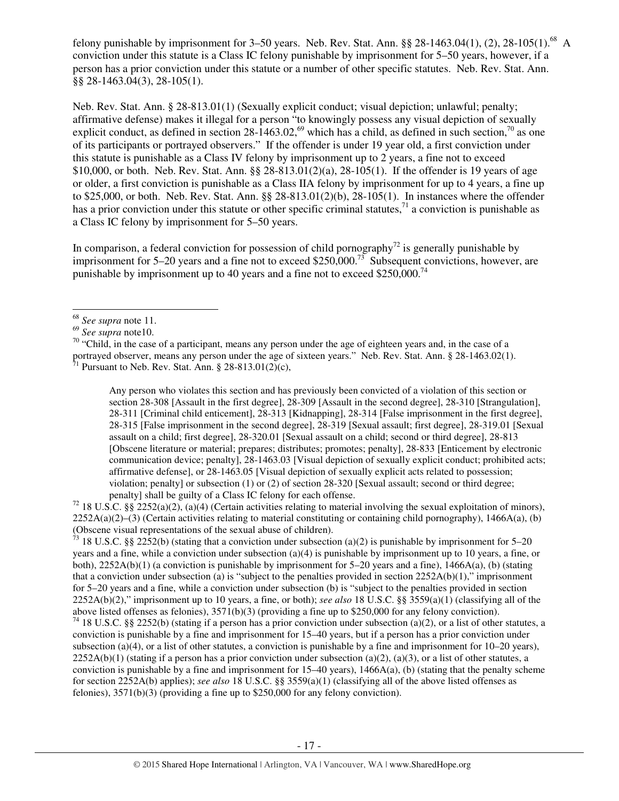felony punishable by imprisonment for 3–50 years. Neb. Rev. Stat. Ann. §§ 28-1463.04(1), (2), 28-105(1).<sup>68</sup> A conviction under this statute is a Class IC felony punishable by imprisonment for 5–50 years, however, if a person has a prior conviction under this statute or a number of other specific statutes. Neb. Rev. Stat. Ann. §§ 28-1463.04(3), 28-105(1).

Neb. Rev. Stat. Ann. § 28-813.01(1) (Sexually explicit conduct; visual depiction; unlawful; penalty; affirmative defense) makes it illegal for a person "to knowingly possess any visual depiction of sexually explicit conduct, as defined in section  $28-1463.02$ ,<sup>69</sup> which has a child, as defined in such section,<sup>70</sup> as one of its participants or portrayed observers." If the offender is under 19 year old, a first conviction under this statute is punishable as a Class IV felony by imprisonment up to 2 years, a fine not to exceed \$10,000, or both. Neb. Rev. Stat. Ann. §§ 28-813.01(2)(a), 28-105(1). If the offender is 19 years of age or older, a first conviction is punishable as a Class IIA felony by imprisonment for up to 4 years, a fine up to \$25,000, or both. Neb. Rev. Stat. Ann. §§ 28-813.01(2)(b), 28-105(1). In instances where the offender has a prior conviction under this statute or other specific criminal statutes, $^{71}$  a conviction is punishable as a Class IC felony by imprisonment for 5–50 years.

In comparison, a federal conviction for possession of child pornography<sup>72</sup> is generally punishable by imprisonment for 5–20 years and a fine not to exceed \$250,000.<sup>73</sup> Subsequent convictions, however, are punishable by imprisonment up to 40 years and a fine not to exceed \$250,000.<sup>74</sup>

l

 $\frac{71}{71}$  Pursuant to Neb. Rev. Stat. Ann. § 28-813.01(2)(c),

Any person who violates this section and has previously been convicted of a violation of this section or section 28-308 [Assault in the first degree], 28-309 [Assault in the second degree], 28-310 [Strangulation], 28-311 [Criminal child enticement], 28-313 [Kidnapping], 28-314 [False imprisonment in the first degree], 28-315 [False imprisonment in the second degree], 28-319 [Sexual assault; first degree], 28-319.01 [Sexual assault on a child; first degree], 28-320.01 [Sexual assault on a child; second or third degree], 28-813 [Obscene literature or material; prepares; distributes; promotes; penalty], 28-833 [Enticement by electronic communication device; penalty], 28-1463.03 [Visual depiction of sexually explicit conduct; prohibited acts; affirmative defense], or 28-1463.05 [Visual depiction of sexually explicit acts related to possession; violation; penalty] or subsection (1) or (2) of section 28-320 [Sexual assault; second or third degree; penalty] shall be guilty of a Class IC felony for each offense.

<sup>72</sup> 18 U.S.C. §§ 2252(a)(2), (a)(4) (Certain activities relating to material involving the sexual exploitation of minors),  $2252A(a)(2)$ –(3) (Certain activities relating to material constituting or containing child pornography), 1466A(a), (b) (Obscene visual representations of the sexual abuse of children).

<sup>73</sup> 18 U.S.C. §§ 2252(b) (stating that a conviction under subsection (a)(2) is punishable by imprisonment for 5–20 years and a fine, while a conviction under subsection (a)(4) is punishable by imprisonment up to 10 years, a fine, or both),  $2252A(b)(1)$  (a conviction is punishable by imprisonment for 5–20 years and a fine),  $1466A(a)$ , (b) (stating that a conviction under subsection (a) is "subject to the penalties provided in section  $2252A(b)(1)$ ," imprisonment for 5–20 years and a fine, while a conviction under subsection (b) is "subject to the penalties provided in section 2252A(b)(2)," imprisonment up to 10 years, a fine, or both); *see also* 18 U.S.C. §§ 3559(a)(1) (classifying all of the above listed offenses as felonies), 3571(b)(3) (providing a fine up to \$250,000 for any felony conviction).

<sup>74</sup> 18 U.S.C. §§ 2252(b) (stating if a person has a prior conviction under subsection (a)(2), or a list of other statutes, a conviction is punishable by a fine and imprisonment for 15–40 years, but if a person has a prior conviction under subsection (a)(4), or a list of other statutes, a conviction is punishable by a fine and imprisonment for  $10-20$  years),  $2252A(b)(1)$  (stating if a person has a prior conviction under subsection (a)(2), (a)(3), or a list of other statutes, a conviction is punishable by a fine and imprisonment for  $15-40$  years),  $1466A(a)$ , (b) (stating that the penalty scheme for section 2252A(b) applies); *see also* 18 U.S.C. §§ 3559(a)(1) (classifying all of the above listed offenses as felonies), 3571(b)(3) (providing a fine up to \$250,000 for any felony conviction).

<sup>68</sup> *See supra* note 11.

<sup>69</sup> *See supra* note10.

<sup>&</sup>lt;sup>70</sup> "Child, in the case of a participant, means any person under the age of eighteen years and, in the case of a portrayed observer, means any person under the age of sixteen years." Neb. Rev. Stat. Ann. § 28-1463.02(1).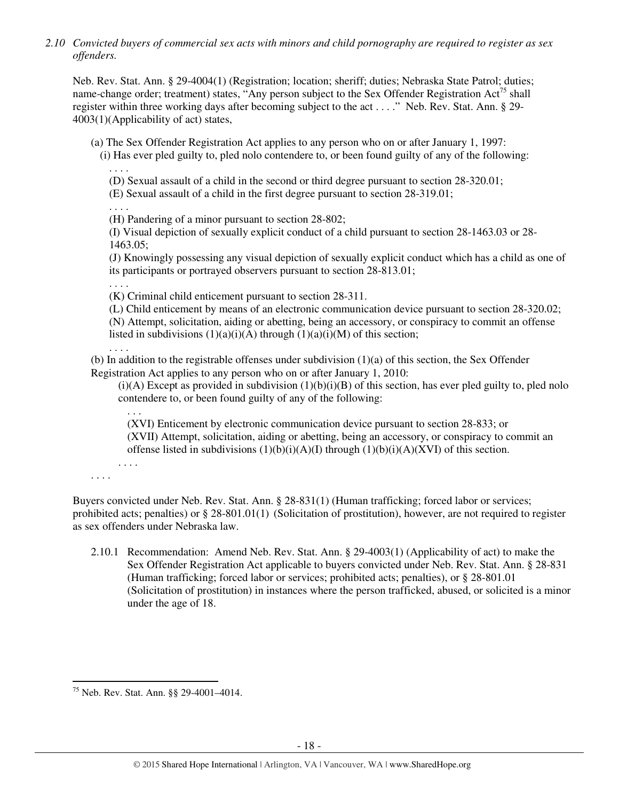*2.10 Convicted buyers of commercial sex acts with minors and child pornography are required to register as sex offenders.* 

Neb. Rev. Stat. Ann. § 29-4004(1) (Registration; location; sheriff; duties; Nebraska State Patrol; duties; name-change order; treatment) states, "Any person subject to the Sex Offender Registration  $Act^{75}$  shall register within three working days after becoming subject to the act . . . ." Neb. Rev. Stat. Ann. § 29- 4003(1)(Applicability of act) states,

(a) The Sex Offender Registration Act applies to any person who on or after January 1, 1997:

(i) Has ever pled guilty to, pled nolo contendere to, or been found guilty of any of the following: . . . .

- (D) Sexual assault of a child in the second or third degree pursuant to section 28-320.01;
- (E) Sexual assault of a child in the first degree pursuant to section 28-319.01;

. . . .

(H) Pandering of a minor pursuant to section 28-802;

(I) Visual depiction of sexually explicit conduct of a child pursuant to section 28-1463.03 or 28- 1463.05;

(J) Knowingly possessing any visual depiction of sexually explicit conduct which has a child as one of its participants or portrayed observers pursuant to section 28-813.01;

. . . .

(K) Criminal child enticement pursuant to section 28-311.

(L) Child enticement by means of an electronic communication device pursuant to section 28-320.02; (N) Attempt, solicitation, aiding or abetting, being an accessory, or conspiracy to commit an offense listed in subdivisions  $(1)(a)(i)(A)$  through  $(1)(a)(i)(M)$  of this section;

. . . .

. . .

. . . .

(b) In addition to the registrable offenses under subdivision  $(1)(a)$  of this section, the Sex Offender Registration Act applies to any person who on or after January 1, 2010:

 $(i)(A)$  Except as provided in subdivision  $(1)(b)(i)(B)$  of this section, has ever pled guilty to, pled nolo contendere to, or been found guilty of any of the following:

(XVI) Enticement by electronic communication device pursuant to section 28-833; or (XVII) Attempt, solicitation, aiding or abetting, being an accessory, or conspiracy to commit an offense listed in subdivisions  $(1)(b)(i)(A)(I)$  through  $(1)(b)(i)(A)(XVI)$  of this section.

. . . .

l

Buyers convicted under Neb. Rev. Stat. Ann. § 28-831(1) (Human trafficking; forced labor or services; prohibited acts; penalties) or § 28-801.01(1) (Solicitation of prostitution), however, are not required to register as sex offenders under Nebraska law.

2.10.1 Recommendation: Amend Neb. Rev. Stat. Ann. § 29-4003(1) (Applicability of act) to make the Sex Offender Registration Act applicable to buyers convicted under Neb. Rev. Stat. Ann. § 28-831 (Human trafficking; forced labor or services; prohibited acts; penalties), or § 28-801.01 (Solicitation of prostitution) in instances where the person trafficked, abused, or solicited is a minor under the age of 18.

<sup>75</sup> Neb. Rev. Stat. Ann. §§ 29-4001–4014.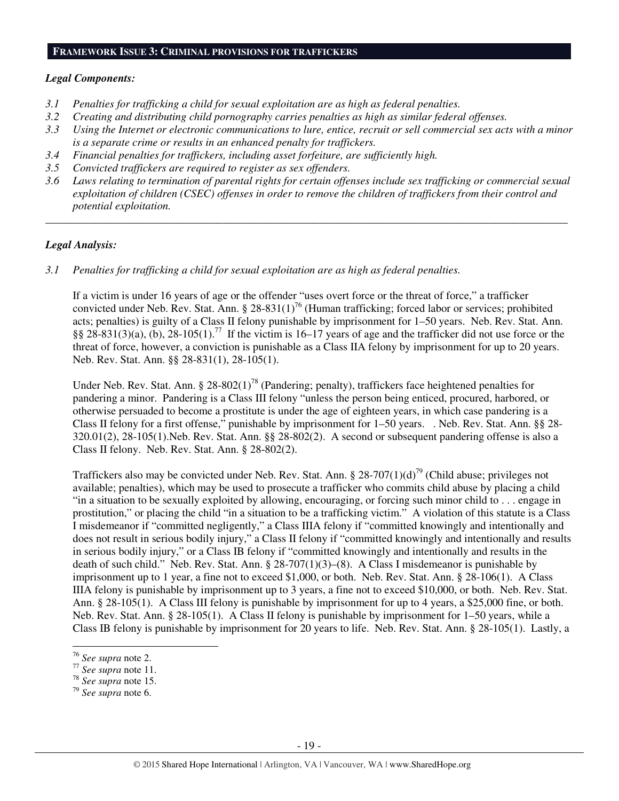#### **FRAMEWORK ISSUE 3: CRIMINAL PROVISIONS FOR TRAFFICKERS**

#### *Legal Components:*

- *3.1 Penalties for trafficking a child for sexual exploitation are as high as federal penalties.*
- *3.2 Creating and distributing child pornography carries penalties as high as similar federal offenses.*
- *3.3 Using the Internet or electronic communications to lure, entice, recruit or sell commercial sex acts with a minor is a separate crime or results in an enhanced penalty for traffickers.*
- *3.4 Financial penalties for traffickers, including asset forfeiture, are sufficiently high.*
- *3.5 Convicted traffickers are required to register as sex offenders.*
- *3.6 Laws relating to termination of parental rights for certain offenses include sex trafficking or commercial sexual exploitation of children (CSEC) offenses in order to remove the children of traffickers from their control and potential exploitation.*

*\_\_\_\_\_\_\_\_\_\_\_\_\_\_\_\_\_\_\_\_\_\_\_\_\_\_\_\_\_\_\_\_\_\_\_\_\_\_\_\_\_\_\_\_\_\_\_\_\_\_\_\_\_\_\_\_\_\_\_\_\_\_\_\_\_\_\_\_\_\_\_\_\_\_\_\_\_\_\_\_\_\_\_\_\_\_\_\_\_\_\_\_\_\_* 

#### *Legal Analysis:*

*3.1 Penalties for trafficking a child for sexual exploitation are as high as federal penalties.* 

If a victim is under 16 years of age or the offender "uses overt force or the threat of force," a trafficker convicted under Neb. Rev. Stat. Ann. § 28-831(1)<sup>76</sup> (Human trafficking; forced labor or services; prohibited acts; penalties) is guilty of a Class II felony punishable by imprisonment for 1–50 years. Neb. Rev. Stat. Ann.  $§$ § 28-831(3)(a), (b), 28-105(1).<sup>77</sup> If the victim is 16–17 years of age and the trafficker did not use force or the threat of force, however, a conviction is punishable as a Class IIA felony by imprisonment for up to 20 years. Neb. Rev. Stat. Ann. §§ 28-831(1), 28-105(1).

Under Neb. Rev. Stat. Ann. § 28-802(1)<sup>78</sup> (Pandering; penalty), traffickers face heightened penalties for pandering a minor. Pandering is a Class III felony "unless the person being enticed, procured, harbored, or otherwise persuaded to become a prostitute is under the age of eighteen years, in which case pandering is a Class II felony for a first offense," punishable by imprisonment for 1–50 years. . Neb. Rev. Stat. Ann. §§ 28- 320.01(2), 28-105(1).Neb. Rev. Stat. Ann. §§ 28-802(2). A second or subsequent pandering offense is also a Class II felony. Neb. Rev. Stat. Ann. § 28-802(2).

Traffickers also may be convicted under Neb. Rev. Stat. Ann. § 28-707(1)(d)<sup>79</sup> (Child abuse; privileges not available; penalties), which may be used to prosecute a trafficker who commits child abuse by placing a child "in a situation to be sexually exploited by allowing, encouraging, or forcing such minor child to . . . engage in prostitution," or placing the child "in a situation to be a trafficking victim." A violation of this statute is a Class I misdemeanor if "committed negligently," a Class IIIA felony if "committed knowingly and intentionally and does not result in serious bodily injury," a Class II felony if "committed knowingly and intentionally and results in serious bodily injury," or a Class IB felony if "committed knowingly and intentionally and results in the death of such child." Neb. Rev. Stat. Ann. § 28-707(1)(3)–(8). A Class I misdemeanor is punishable by imprisonment up to 1 year, a fine not to exceed \$1,000, or both. Neb. Rev. Stat. Ann. § 28-106(1). A Class IIIA felony is punishable by imprisonment up to 3 years, a fine not to exceed \$10,000, or both. Neb. Rev. Stat. Ann. § 28-105(1). A Class III felony is punishable by imprisonment for up to 4 years, a \$25,000 fine, or both. Neb. Rev. Stat. Ann. § 28-105(1). A Class II felony is punishable by imprisonment for 1–50 years, while a Class IB felony is punishable by imprisonment for 20 years to life. Neb. Rev. Stat. Ann. § 28-105(1). Lastly, a

<sup>76</sup> *See supra* note 2.

<sup>77</sup> *See supra* note 11.

<sup>78</sup> *See supra* note 15.

<sup>79</sup> *See supra* note 6.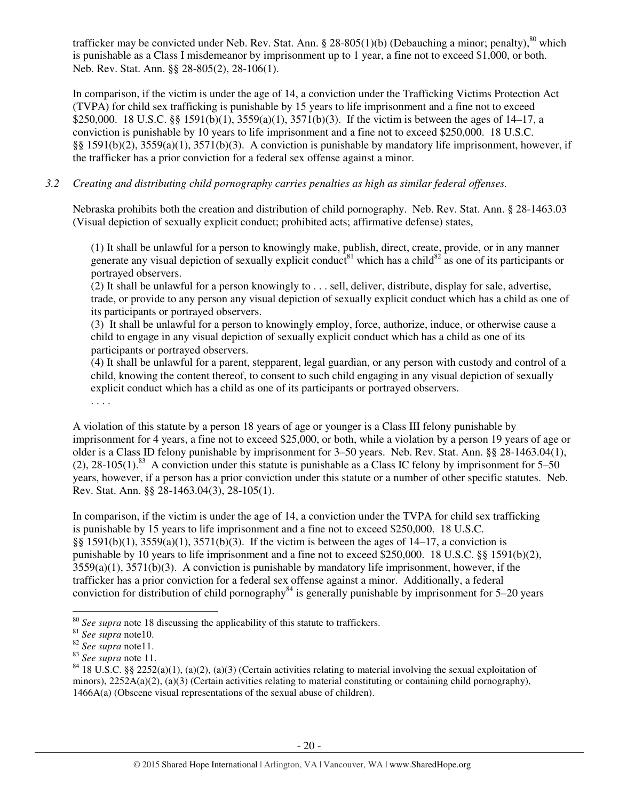trafficker may be convicted under Neb. Rev. Stat. Ann. § 28-805(1)(b) (Debauching a minor; penalty),  $80$  which is punishable as a Class I misdemeanor by imprisonment up to 1 year, a fine not to exceed \$1,000, or both. Neb. Rev. Stat. Ann. §§ 28-805(2), 28-106(1).

In comparison, if the victim is under the age of 14, a conviction under the Trafficking Victims Protection Act (TVPA) for child sex trafficking is punishable by 15 years to life imprisonment and a fine not to exceed \$250,000. 18 U.S.C. §§ 1591(b)(1), 3559(a)(1), 3571(b)(3). If the victim is between the ages of 14–17, a conviction is punishable by 10 years to life imprisonment and a fine not to exceed \$250,000. 18 U.S.C. §§ 1591(b)(2), 3559(a)(1), 3571(b)(3). A conviction is punishable by mandatory life imprisonment, however, if the trafficker has a prior conviction for a federal sex offense against a minor.

# *3.2 Creating and distributing child pornography carries penalties as high as similar federal offenses.*

Nebraska prohibits both the creation and distribution of child pornography. Neb. Rev. Stat. Ann. § 28-1463.03 (Visual depiction of sexually explicit conduct; prohibited acts; affirmative defense) states,

(1) It shall be unlawful for a person to knowingly make, publish, direct, create, provide, or in any manner generate any visual depiction of sexually explicit conduct<sup>81</sup> which has a child<sup>82</sup> as one of its participants or portrayed observers.

 $(2)$  It shall be unlawful for a person knowingly to ... sell, deliver, distribute, display for sale, advertise, trade, or provide to any person any visual depiction of sexually explicit conduct which has a child as one of its participants or portrayed observers.

(3) It shall be unlawful for a person to knowingly employ, force, authorize, induce, or otherwise cause a child to engage in any visual depiction of sexually explicit conduct which has a child as one of its participants or portrayed observers.

(4) It shall be unlawful for a parent, stepparent, legal guardian, or any person with custody and control of a child, knowing the content thereof, to consent to such child engaging in any visual depiction of sexually explicit conduct which has a child as one of its participants or portrayed observers.

. . . .

A violation of this statute by a person 18 years of age or younger is a Class III felony punishable by imprisonment for 4 years, a fine not to exceed \$25,000, or both, while a violation by a person 19 years of age or older is a Class ID felony punishable by imprisonment for 3–50 years. Neb. Rev. Stat. Ann. §§ 28-1463.04(1), (2),  $28-105(1)$ .<sup>83</sup> A conviction under this statute is punishable as a Class IC felony by imprisonment for 5–50 years, however, if a person has a prior conviction under this statute or a number of other specific statutes. Neb. Rev. Stat. Ann. §§ 28-1463.04(3), 28-105(1).

In comparison, if the victim is under the age of 14, a conviction under the TVPA for child sex trafficking is punishable by 15 years to life imprisonment and a fine not to exceed \$250,000. 18 U.S.C. §§ 1591(b)(1), 3559(a)(1), 3571(b)(3). If the victim is between the ages of 14–17, a conviction is punishable by 10 years to life imprisonment and a fine not to exceed \$250,000. 18 U.S.C. §§ 1591(b)(2), 3559(a)(1), 3571(b)(3). A conviction is punishable by mandatory life imprisonment, however, if the trafficker has a prior conviction for a federal sex offense against a minor. Additionally, a federal conviction for distribution of child pornography<sup>84</sup> is generally punishable by imprisonment for 5–20 years

<sup>80</sup> *See supra* note 18 discussing the applicability of this statute to traffickers.

<sup>81</sup> *See supra* note10.

<sup>82</sup> *See supra* note11.

<sup>83</sup> *See supra* note 11.

<sup>&</sup>lt;sup>84</sup> 18 U.S.C. §§ 2252(a)(1), (a)(2), (a)(3) (Certain activities relating to material involving the sexual exploitation of minors),  $2252A(a)(2)$ ,  $(a)(3)$  (Certain activities relating to material constituting or containing child pornography), 1466A(a) (Obscene visual representations of the sexual abuse of children).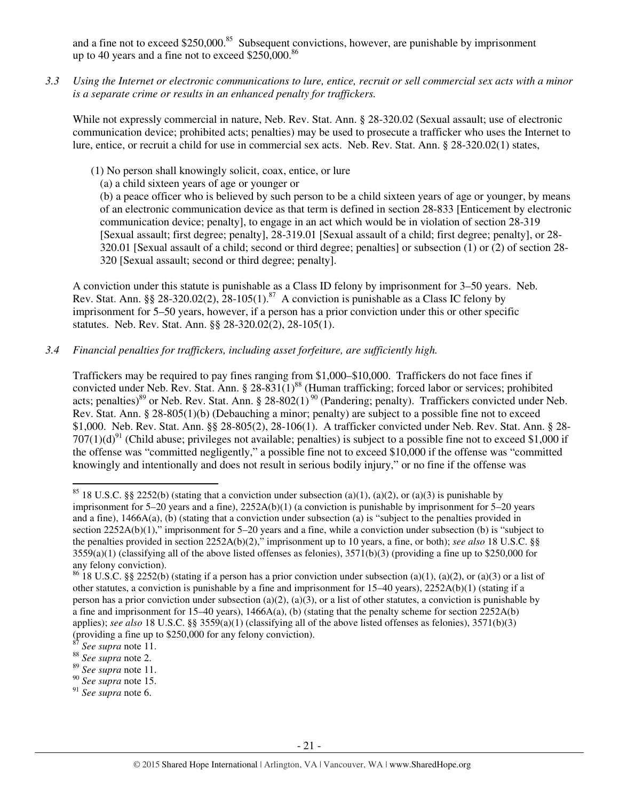and a fine not to exceed  $$250,000$ .<sup>85</sup> Subsequent convictions, however, are punishable by imprisonment up to 40 years and a fine not to exceed \$250,000. $86$ 

*3.3 Using the Internet or electronic communications to lure, entice, recruit or sell commercial sex acts with a minor is a separate crime or results in an enhanced penalty for traffickers.* 

While not expressly commercial in nature, Neb. Rev. Stat. Ann. § 28-320.02 (Sexual assault; use of electronic communication device; prohibited acts; penalties) may be used to prosecute a trafficker who uses the Internet to lure, entice, or recruit a child for use in commercial sex acts. Neb. Rev. Stat. Ann. § 28-320.02(1) states,

- (1) No person shall knowingly solicit, coax, entice, or lure
	- (a) a child sixteen years of age or younger or

(b) a peace officer who is believed by such person to be a child sixteen years of age or younger, by means of an electronic communication device as that term is defined in section 28-833 [Enticement by electronic communication device; penalty], to engage in an act which would be in violation of section 28-319 [Sexual assault; first degree; penalty], 28-319.01 [Sexual assault of a child; first degree; penalty], or 28- 320.01 [Sexual assault of a child; second or third degree; penalties] or subsection (1) or (2) of section 28- 320 [Sexual assault; second or third degree; penalty].

A conviction under this statute is punishable as a Class ID felony by imprisonment for 3–50 years. Neb. Rev. Stat. Ann. §§ 28-320.02(2),  $28-105(1)$ .<sup>87</sup> A conviction is punishable as a Class IC felony by imprisonment for 5–50 years, however, if a person has a prior conviction under this or other specific statutes. Neb. Rev. Stat. Ann. §§ 28-320.02(2), 28-105(1).

*3.4 Financial penalties for traffickers, including asset forfeiture, are sufficiently high.* 

Traffickers may be required to pay fines ranging from \$1,000–\$10,000. Traffickers do not face fines if convicted under Neb. Rev. Stat. Ann. § 28-831(1)<sup>88</sup> (Human trafficking; forced labor or services; prohibited acts; penalties)<sup>89</sup> or Neb. Rev. Stat. Ann. § 28-802(1)<sup>90</sup> (Pandering; penalty). Traffickers convicted under Neb. Rev. Stat. Ann. § 28-805(1)(b) (Debauching a minor; penalty) are subject to a possible fine not to exceed \$1,000. Neb. Rev. Stat. Ann. §§ 28-805(2), 28-106(1). A trafficker convicted under Neb. Rev. Stat. Ann. § 28-  $707(1)(d)^{91}$  (Child abuse; privileges not available; penalties) is subject to a possible fine not to exceed \$1,000 if the offense was "committed negligently," a possible fine not to exceed \$10,000 if the offense was "committed knowingly and intentionally and does not result in serious bodily injury," or no fine if the offense was

l

<sup>89</sup> *See supra* note 11.

<sup>91</sup> *See supra* note 6.

<sup>&</sup>lt;sup>85</sup> 18 U.S.C. §§ 2252(b) (stating that a conviction under subsection (a)(1), (a)(2), or (a)(3) is punishable by imprisonment for 5–20 years and a fine), 2252A(b)(1) (a conviction is punishable by imprisonment for 5–20 years and a fine), 1466A(a), (b) (stating that a conviction under subsection (a) is "subject to the penalties provided in section 2252A(b)(1)," imprisonment for 5–20 years and a fine, while a conviction under subsection (b) is "subject to the penalties provided in section 2252A(b)(2)," imprisonment up to 10 years, a fine, or both); *see also* 18 U.S.C. §§  $3559(a)(1)$  (classifying all of the above listed offenses as felonies),  $3571(b)(3)$  (providing a fine up to \$250,000 for any felony conviction).

<sup>&</sup>lt;sup>86</sup> 18 U.S.C. §§ 2252(b) (stating if a person has a prior conviction under subsection (a)(1), (a)(2), or (a)(3) or a list of other statutes, a conviction is punishable by a fine and imprisonment for 15–40 years), 2252A(b)(1) (stating if a person has a prior conviction under subsection (a)(2), (a)(3), or a list of other statutes, a conviction is punishable by a fine and imprisonment for 15–40 years), 1466A(a), (b) (stating that the penalty scheme for section 2252A(b) applies); *see also* 18 U.S.C. §§ 3559(a)(1) (classifying all of the above listed offenses as felonies), 3571(b)(3) (providing a fine up to \$250,000 for any felony conviction).

<sup>87</sup> *See supra* note 11.

<sup>88</sup> *See supra* note 2.

<sup>90</sup> *See supra* note 15.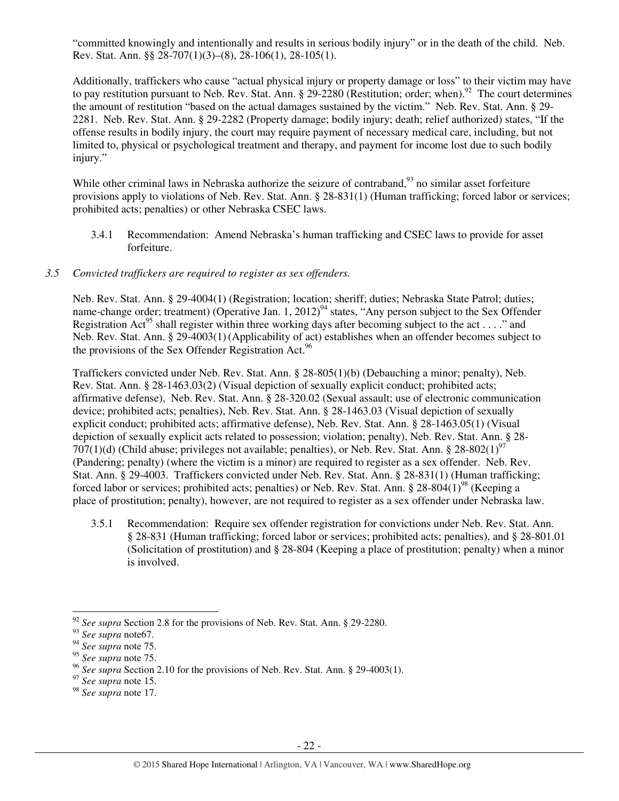"committed knowingly and intentionally and results in serious bodily injury" or in the death of the child. Neb. Rev. Stat. Ann. §§ 28-707(1)(3)–(8), 28-106(1), 28-105(1).

Additionally, traffickers who cause "actual physical injury or property damage or loss" to their victim may have to pay restitution pursuant to Neb. Rev. Stat. Ann.  $\S 29-2280$  (Restitution; order; when).<sup>92</sup> The court determines the amount of restitution "based on the actual damages sustained by the victim." Neb. Rev. Stat. Ann. § 29- 2281. Neb. Rev. Stat. Ann. § 29-2282 (Property damage; bodily injury; death; relief authorized) states, "If the offense results in bodily injury, the court may require payment of necessary medical care, including, but not limited to, physical or psychological treatment and therapy, and payment for income lost due to such bodily injury."

While other criminal laws in Nebraska authorize the seizure of contraband, $93$  no similar asset forfeiture provisions apply to violations of Neb. Rev. Stat. Ann. § 28-831(1) (Human trafficking; forced labor or services; prohibited acts; penalties) or other Nebraska CSEC laws.

3.4.1 Recommendation: Amend Nebraska's human trafficking and CSEC laws to provide for asset forfeiture.

## *3.5 Convicted traffickers are required to register as sex offenders.*

Neb. Rev. Stat. Ann. § 29-4004(1) (Registration; location; sheriff; duties; Nebraska State Patrol; duties; name-change order; treatment) (Operative Jan. 1,  $2012$ <sup>94</sup> states, "Any person subject to the Sex Offender Registration Act<sup>95</sup> shall register within three working days after becoming subject to the act . . . ." and Neb. Rev. Stat. Ann. § 29-4003(1) (Applicability of act) establishes when an offender becomes subject to the provisions of the Sex Offender Registration Act.<sup>96</sup>

Traffickers convicted under Neb. Rev. Stat. Ann. § 28-805(1)(b) (Debauching a minor; penalty), Neb. Rev. Stat. Ann. § 28-1463.03(2) (Visual depiction of sexually explicit conduct; prohibited acts; affirmative defense), Neb. Rev. Stat. Ann. § 28-320.02 (Sexual assault; use of electronic communication device; prohibited acts; penalties), Neb. Rev. Stat. Ann. § 28-1463.03 (Visual depiction of sexually explicit conduct; prohibited acts; affirmative defense), Neb. Rev. Stat. Ann. § 28-1463.05(1) (Visual depiction of sexually explicit acts related to possession; violation; penalty), Neb. Rev. Stat. Ann. § 28- 707(1)(d) (Child abuse; privileges not available; penalties), or Neb. Rev. Stat. Ann. § 28-802(1)<sup>97</sup> (Pandering; penalty) (where the victim is a minor) are required to register as a sex offender. Neb. Rev. Stat. Ann. § 29-4003. Traffickers convicted under Neb. Rev. Stat. Ann. § 28-831(1) (Human trafficking; forced labor or services; prohibited acts; penalties) or Neb. Rev. Stat. Ann. § 28-804(1)<sup>98</sup> (Keeping a place of prostitution; penalty), however, are not required to register as a sex offender under Nebraska law.

3.5.1 Recommendation: Require sex offender registration for convictions under Neb. Rev. Stat. Ann. § 28-831 (Human trafficking; forced labor or services; prohibited acts; penalties), and § 28-801.01 (Solicitation of prostitution) and § 28-804 (Keeping a place of prostitution; penalty) when a minor is involved.

<sup>&</sup>lt;sup>92</sup> See supra Section 2.8 for the provisions of Neb. Rev. Stat. Ann. § 29-2280.

<sup>93</sup> *See supra* note67.

<sup>94</sup> *See supra* note 75.

<sup>95</sup> *See supra* note 75.

<sup>96</sup> *See supra* Section 2.10 for the provisions of Neb. Rev. Stat. Ann. § 29-4003(1).

<sup>97</sup> *See supra* note 15.

<sup>98</sup> *See supra* note 17.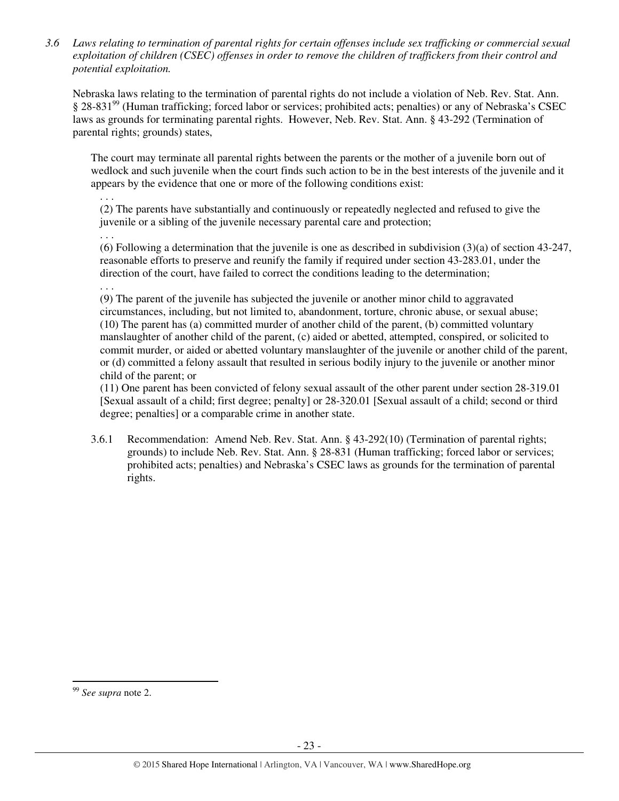*3.6 Laws relating to termination of parental rights for certain offenses include sex trafficking or commercial sexual exploitation of children (CSEC) offenses in order to remove the children of traffickers from their control and potential exploitation.* 

Nebraska laws relating to the termination of parental rights do not include a violation of Neb. Rev. Stat. Ann. § 28-831<sup>99</sup> (Human trafficking; forced labor or services; prohibited acts; penalties) or any of Nebraska's CSEC laws as grounds for terminating parental rights. However, Neb. Rev. Stat. Ann. § 43-292 (Termination of parental rights; grounds) states,

The court may terminate all parental rights between the parents or the mother of a juvenile born out of wedlock and such juvenile when the court finds such action to be in the best interests of the juvenile and it appears by the evidence that one or more of the following conditions exist:

. . . (2) The parents have substantially and continuously or repeatedly neglected and refused to give the juvenile or a sibling of the juvenile necessary parental care and protection;

. . .

(6) Following a determination that the juvenile is one as described in subdivision (3)(a) of section 43-247, reasonable efforts to preserve and reunify the family if required under section 43-283.01, under the direction of the court, have failed to correct the conditions leading to the determination;

. . .

(9) The parent of the juvenile has subjected the juvenile or another minor child to aggravated circumstances, including, but not limited to, abandonment, torture, chronic abuse, or sexual abuse; (10) The parent has (a) committed murder of another child of the parent, (b) committed voluntary manslaughter of another child of the parent, (c) aided or abetted, attempted, conspired, or solicited to commit murder, or aided or abetted voluntary manslaughter of the juvenile or another child of the parent, or (d) committed a felony assault that resulted in serious bodily injury to the juvenile or another minor child of the parent; or

(11) One parent has been convicted of felony sexual assault of the other parent under section 28-319.01 [Sexual assault of a child; first degree; penalty] or 28-320.01 [Sexual assault of a child; second or third degree; penalties] or a comparable crime in another state.

3.6.1 Recommendation: Amend Neb. Rev. Stat. Ann. § 43-292(10) (Termination of parental rights; grounds) to include Neb. Rev. Stat. Ann. § 28-831 (Human trafficking; forced labor or services; prohibited acts; penalties) and Nebraska's CSEC laws as grounds for the termination of parental rights.

<sup>99</sup> *See supra* note 2.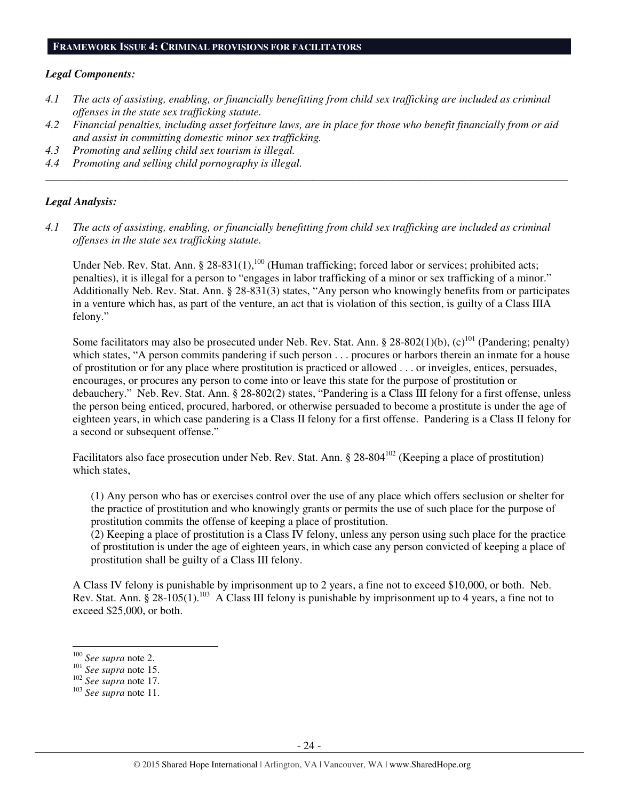#### **FRAMEWORK ISSUE 4: CRIMINAL PROVISIONS FOR FACILITATORS**

#### *Legal Components:*

- *4.1 The acts of assisting, enabling, or financially benefitting from child sex trafficking are included as criminal offenses in the state sex trafficking statute.*
- *4.2 Financial penalties, including asset forfeiture laws, are in place for those who benefit financially from or aid and assist in committing domestic minor sex trafficking.*

*\_\_\_\_\_\_\_\_\_\_\_\_\_\_\_\_\_\_\_\_\_\_\_\_\_\_\_\_\_\_\_\_\_\_\_\_\_\_\_\_\_\_\_\_\_\_\_\_\_\_\_\_\_\_\_\_\_\_\_\_\_\_\_\_\_\_\_\_\_\_\_\_\_\_\_\_\_\_\_\_\_\_\_\_\_\_\_\_\_\_\_\_\_\_* 

- *4.3 Promoting and selling child sex tourism is illegal.*
- *4.4 Promoting and selling child pornography is illegal.*

#### *Legal Analysis:*

*4.1 The acts of assisting, enabling, or financially benefitting from child sex trafficking are included as criminal offenses in the state sex trafficking statute.* 

Under Neb. Rev. Stat. Ann. § 28-831(1),<sup>100</sup> (Human trafficking; forced labor or services; prohibited acts; penalties), it is illegal for a person to "engages in labor trafficking of a minor or sex trafficking of a minor." Additionally Neb. Rev. Stat. Ann. § 28-831(3) states, "Any person who knowingly benefits from or participates in a venture which has, as part of the venture, an act that is violation of this section, is guilty of a Class IIIA felony."

Some facilitators may also be prosecuted under Neb. Rev. Stat. Ann. § 28-802(1)(b),  $(c)^{101}$  (Pandering; penalty) which states, "A person commits pandering if such person . . . procures or harbors therein an inmate for a house of prostitution or for any place where prostitution is practiced or allowed . . . or inveigles, entices, persuades, encourages, or procures any person to come into or leave this state for the purpose of prostitution or debauchery." Neb. Rev. Stat. Ann. § 28-802(2) states, "Pandering is a Class III felony for a first offense, unless the person being enticed, procured, harbored, or otherwise persuaded to become a prostitute is under the age of eighteen years, in which case pandering is a Class II felony for a first offense. Pandering is a Class II felony for a second or subsequent offense."

Facilitators also face prosecution under Neb. Rev. Stat. Ann. § 28-804<sup>102</sup> (Keeping a place of prostitution) which states,

(1) Any person who has or exercises control over the use of any place which offers seclusion or shelter for the practice of prostitution and who knowingly grants or permits the use of such place for the purpose of prostitution commits the offense of keeping a place of prostitution.

(2) Keeping a place of prostitution is a Class IV felony, unless any person using such place for the practice of prostitution is under the age of eighteen years, in which case any person convicted of keeping a place of prostitution shall be guilty of a Class III felony.

A Class IV felony is punishable by imprisonment up to 2 years, a fine not to exceed \$10,000, or both. Neb. Rev. Stat. Ann. § 28-105(1).<sup>103</sup> A Class III felony is punishable by imprisonment up to 4 years, a fine not to exceed \$25,000, or both.

<sup>100</sup> *See supra* note 2.

<sup>101</sup> *See supra* note 15.

<sup>102</sup> *See supra* note 17.

<sup>103</sup> *See supra* note 11.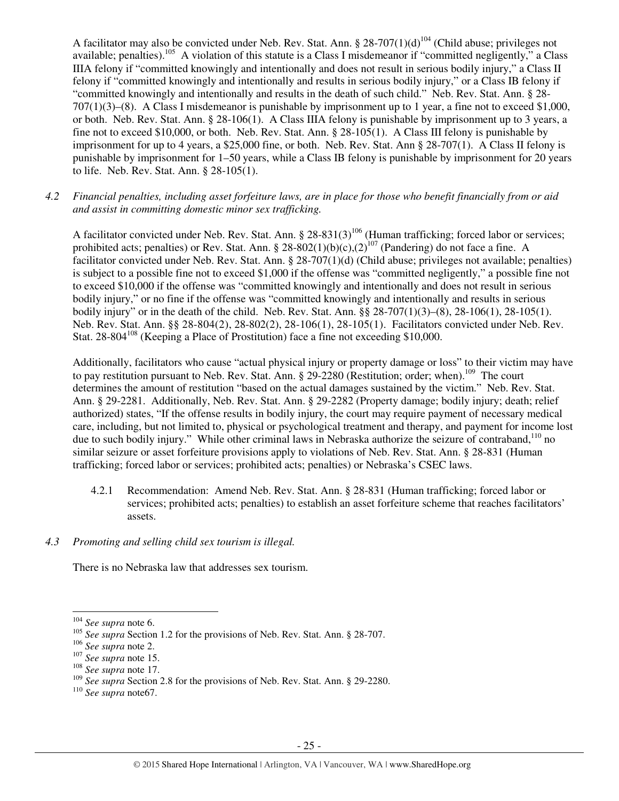A facilitator may also be convicted under Neb. Rev. Stat. Ann. § 28-707(1)(d)<sup>104</sup> (Child abuse; privileges not available; penalties).<sup>105</sup> A violation of this statute is a Class I misdemeanor if "committed negligently," a Class IIIA felony if "committed knowingly and intentionally and does not result in serious bodily injury," a Class II felony if "committed knowingly and intentionally and results in serious bodily injury," or a Class IB felony if "committed knowingly and intentionally and results in the death of such child." Neb. Rev. Stat. Ann. § 28- 707(1)(3)–(8). A Class I misdemeanor is punishable by imprisonment up to 1 year, a fine not to exceed \$1,000, or both. Neb. Rev. Stat. Ann. § 28-106(1). A Class IIIA felony is punishable by imprisonment up to 3 years, a fine not to exceed \$10,000, or both. Neb. Rev. Stat. Ann. § 28-105(1). A Class III felony is punishable by imprisonment for up to 4 years, a \$25,000 fine, or both. Neb. Rev. Stat. Ann § 28-707(1). A Class II felony is punishable by imprisonment for 1–50 years, while a Class IB felony is punishable by imprisonment for 20 years to life. Neb. Rev. Stat. Ann. § 28-105(1).

*4.2 Financial penalties, including asset forfeiture laws, are in place for those who benefit financially from or aid and assist in committing domestic minor sex trafficking.* 

A facilitator convicted under Neb. Rev. Stat. Ann.  $\S 28-831(3)^{106}$  (Human trafficking; forced labor or services; prohibited acts; penalties) or Rev. Stat. Ann. § 28-802(1)(b)(c),(2)<sup>107</sup> (Pandering) do not face a fine. A facilitator convicted under Neb. Rev. Stat. Ann. § 28-707(1)(d) (Child abuse; privileges not available; penalties) is subject to a possible fine not to exceed \$1,000 if the offense was "committed negligently," a possible fine not to exceed \$10,000 if the offense was "committed knowingly and intentionally and does not result in serious bodily injury," or no fine if the offense was "committed knowingly and intentionally and results in serious bodily injury" or in the death of the child. Neb. Rev. Stat. Ann. §§ 28-707(1)(3)–(8), 28-106(1), 28-105(1). Neb. Rev. Stat. Ann. §§ 28-804(2), 28-802(2), 28-106(1), 28-105(1). Facilitators convicted under Neb. Rev. Stat. 28-804<sup>108</sup> (Keeping a Place of Prostitution) face a fine not exceeding \$10,000.

Additionally, facilitators who cause "actual physical injury or property damage or loss" to their victim may have to pay restitution pursuant to Neb. Rev. Stat. Ann. § 29-2280 (Restitution; order; when).<sup>109</sup> The court determines the amount of restitution "based on the actual damages sustained by the victim." Neb. Rev. Stat. Ann. § 29-2281. Additionally, Neb. Rev. Stat. Ann. § 29-2282 (Property damage; bodily injury; death; relief authorized) states, "If the offense results in bodily injury, the court may require payment of necessary medical care, including, but not limited to, physical or psychological treatment and therapy, and payment for income lost due to such bodily injury." While other criminal laws in Nebraska authorize the seizure of contraband,<sup>110</sup> no similar seizure or asset forfeiture provisions apply to violations of Neb. Rev. Stat. Ann. § 28-831 (Human trafficking; forced labor or services; prohibited acts; penalties) or Nebraska's CSEC laws.

- 4.2.1 Recommendation: Amend Neb. Rev. Stat. Ann. § 28-831 (Human trafficking; forced labor or services; prohibited acts; penalties) to establish an asset forfeiture scheme that reaches facilitators' assets.
- *4.3 Promoting and selling child sex tourism is illegal.*

There is no Nebraska law that addresses sex tourism.

<sup>104</sup> *See supra* note 6.

<sup>&</sup>lt;sup>105</sup> *See supra* Section 1.2 for the provisions of Neb. Rev. Stat. Ann. § 28-707.

<sup>106</sup> *See supra* note 2.

<sup>107</sup> *See supra* note 15.

<sup>108</sup> *See supra* note 17.

<sup>109</sup> *See supra* Section 2.8 for the provisions of Neb. Rev. Stat. Ann. § 29-2280.

<sup>110</sup> *See supra* note67.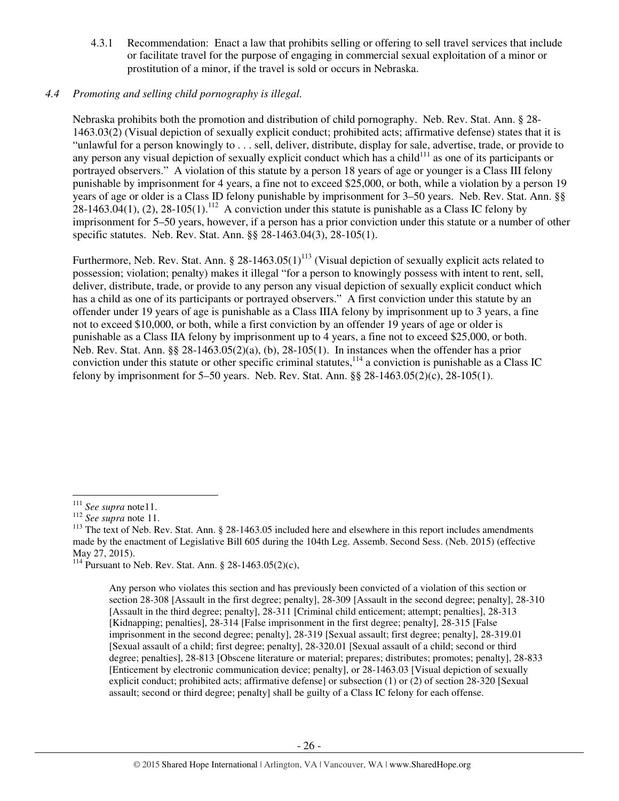4.3.1 Recommendation: Enact a law that prohibits selling or offering to sell travel services that include or facilitate travel for the purpose of engaging in commercial sexual exploitation of a minor or prostitution of a minor, if the travel is sold or occurs in Nebraska.

# *4.4 Promoting and selling child pornography is illegal.*

Nebraska prohibits both the promotion and distribution of child pornography. Neb. Rev. Stat. Ann. § 28- 1463.03(2) (Visual depiction of sexually explicit conduct; prohibited acts; affirmative defense) states that it is "unlawful for a person knowingly to . . . sell, deliver, distribute, display for sale, advertise, trade, or provide to any person any visual depiction of sexually explicit conduct which has a child<sup>111</sup> as one of its participants or portrayed observers." A violation of this statute by a person 18 years of age or younger is a Class III felony punishable by imprisonment for 4 years, a fine not to exceed \$25,000, or both, while a violation by a person 19 years of age or older is a Class ID felony punishable by imprisonment for 3–50 years. Neb. Rev. Stat. Ann. §§ 28-1463.04(1), (2), 28-105(1).<sup>112</sup> A conviction under this statute is punishable as a Class IC felony by imprisonment for 5–50 years, however, if a person has a prior conviction under this statute or a number of other specific statutes. Neb. Rev. Stat. Ann. §§ 28-1463.04(3), 28-105(1).

Furthermore, Neb. Rev. Stat. Ann. § 28-1463.05(1)<sup>113</sup> (Visual depiction of sexually explicit acts related to possession; violation; penalty) makes it illegal "for a person to knowingly possess with intent to rent, sell, deliver, distribute, trade, or provide to any person any visual depiction of sexually explicit conduct which has a child as one of its participants or portrayed observers." A first conviction under this statute by an offender under 19 years of age is punishable as a Class IIIA felony by imprisonment up to 3 years, a fine not to exceed \$10,000, or both, while a first conviction by an offender 19 years of age or older is punishable as a Class IIA felony by imprisonment up to 4 years, a fine not to exceed \$25,000, or both. Neb. Rev. Stat. Ann. §§ 28-1463.05(2)(a), (b), 28-105(1). In instances when the offender has a prior conviction under this statute or other specific criminal statutes, $114$  a conviction is punishable as a Class IC felony by imprisonment for 5–50 years. Neb. Rev. Stat. Ann. §§ 28-1463.05(2)(c), 28-105(1).

l

<sup>114</sup> Pursuant to Neb. Rev. Stat. Ann. § 28-1463.05(2)(c),

<sup>111</sup> *See supra* note11.

<sup>112</sup> *See supra* note 11.

<sup>&</sup>lt;sup>113</sup> The text of Neb. Rev. Stat. Ann. § 28-1463.05 included here and elsewhere in this report includes amendments made by the enactment of Legislative Bill 605 during the 104th Leg. Assemb. Second Sess. (Neb. 2015) (effective May 27, 2015).

Any person who violates this section and has previously been convicted of a violation of this section or section 28-308 [Assault in the first degree; penalty], 28-309 [Assault in the second degree; penalty], 28-310 [Assault in the third degree; penalty], 28-311 [Criminal child enticement; attempt; penalties], 28-313 [Kidnapping; penalties], 28-314 [False imprisonment in the first degree; penalty], 28-315 [False imprisonment in the second degree; penalty], 28-319 [Sexual assault; first degree; penalty], 28-319.01 [Sexual assault of a child; first degree; penalty], 28-320.01 [Sexual assault of a child; second or third degree; penalties], 28-813 [Obscene literature or material; prepares; distributes; promotes; penalty], 28-833 [Enticement by electronic communication device; penalty], or 28-1463.03 [Visual depiction of sexually explicit conduct; prohibited acts; affirmative defense] or subsection (1) or (2) of section 28-320 [Sexual assault; second or third degree; penalty] shall be guilty of a Class IC felony for each offense.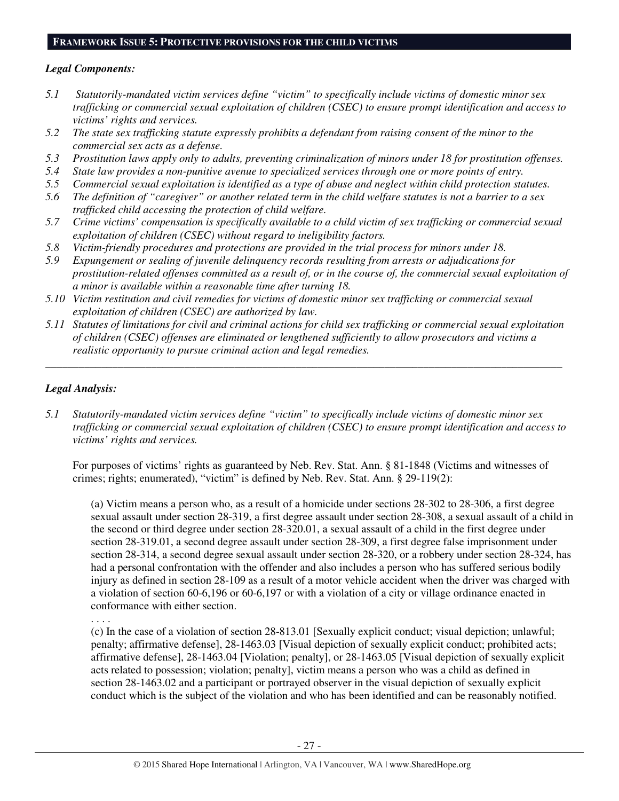# **FRAMEWORK ISSUE 5: PROTECTIVE PROVISIONS FOR THE CHILD VICTIMS**

# *Legal Components:*

- *5.1 Statutorily-mandated victim services define "victim" to specifically include victims of domestic minor sex trafficking or commercial sexual exploitation of children (CSEC) to ensure prompt identification and access to victims' rights and services.*
- *5.2 The state sex trafficking statute expressly prohibits a defendant from raising consent of the minor to the commercial sex acts as a defense.*
- *5.3 Prostitution laws apply only to adults, preventing criminalization of minors under 18 for prostitution offenses.*
- *5.4 State law provides a non-punitive avenue to specialized services through one or more points of entry.*
- *5.5 Commercial sexual exploitation is identified as a type of abuse and neglect within child protection statutes.*
- *5.6 The definition of "caregiver" or another related term in the child welfare statutes is not a barrier to a sex trafficked child accessing the protection of child welfare.*
- *5.7 Crime victims' compensation is specifically available to a child victim of sex trafficking or commercial sexual exploitation of children (CSEC) without regard to ineligibility factors.*
- *5.8 Victim-friendly procedures and protections are provided in the trial process for minors under 18.*
- *5.9 Expungement or sealing of juvenile delinquency records resulting from arrests or adjudications for prostitution-related offenses committed as a result of, or in the course of, the commercial sexual exploitation of a minor is available within a reasonable time after turning 18.*
- *5.10 Victim restitution and civil remedies for victims of domestic minor sex trafficking or commercial sexual exploitation of children (CSEC) are authorized by law.*
- *5.11 Statutes of limitations for civil and criminal actions for child sex trafficking or commercial sexual exploitation of children (CSEC) offenses are eliminated or lengthened sufficiently to allow prosecutors and victims a realistic opportunity to pursue criminal action and legal remedies.*

*\_\_\_\_\_\_\_\_\_\_\_\_\_\_\_\_\_\_\_\_\_\_\_\_\_\_\_\_\_\_\_\_\_\_\_\_\_\_\_\_\_\_\_\_\_\_\_\_\_\_\_\_\_\_\_\_\_\_\_\_\_\_\_\_\_\_\_\_\_\_\_\_\_\_\_\_\_\_\_\_\_\_\_\_\_\_\_\_\_\_\_\_\_* 

# *Legal Analysis:*

*5.1 Statutorily-mandated victim services define "victim" to specifically include victims of domestic minor sex trafficking or commercial sexual exploitation of children (CSEC) to ensure prompt identification and access to victims' rights and services.* 

For purposes of victims' rights as guaranteed by Neb. Rev. Stat. Ann. § 81-1848 (Victims and witnesses of crimes; rights; enumerated), "victim" is defined by Neb. Rev. Stat. Ann. § 29-119(2):

(a) Victim means a person who, as a result of a homicide under sections 28-302 to 28-306, a first degree sexual assault under section 28-319, a first degree assault under section 28-308, a sexual assault of a child in the second or third degree under section 28-320.01, a sexual assault of a child in the first degree under section 28-319.01, a second degree assault under section 28-309, a first degree false imprisonment under section 28-314, a second degree sexual assault under section 28-320, or a robbery under section 28-324, has had a personal confrontation with the offender and also includes a person who has suffered serious bodily injury as defined in section 28-109 as a result of a motor vehicle accident when the driver was charged with a violation of section 60-6,196 or 60-6,197 or with a violation of a city or village ordinance enacted in conformance with either section.

. . . .

(c) In the case of a violation of section 28-813.01 [Sexually explicit conduct; visual depiction; unlawful; penalty; affirmative defense], 28-1463.03 [Visual depiction of sexually explicit conduct; prohibited acts; affirmative defense], 28-1463.04 [Violation; penalty], or 28-1463.05 [Visual depiction of sexually explicit acts related to possession; violation; penalty], victim means a person who was a child as defined in section 28-1463.02 and a participant or portrayed observer in the visual depiction of sexually explicit conduct which is the subject of the violation and who has been identified and can be reasonably notified.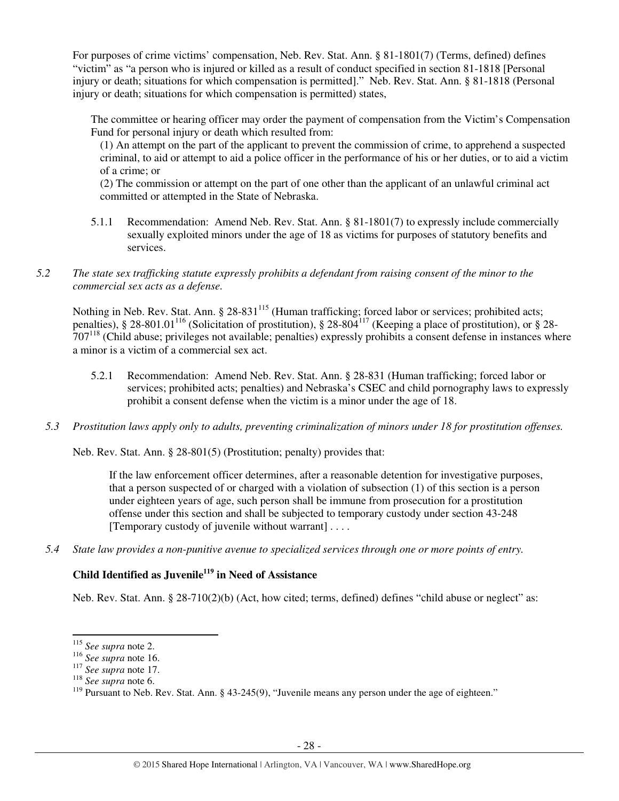For purposes of crime victims' compensation, Neb. Rev. Stat. Ann. § 81-1801(7) (Terms, defined) defines "victim" as "a person who is injured or killed as a result of conduct specified in section 81-1818 [Personal injury or death; situations for which compensation is permitted]." Neb. Rev. Stat. Ann. § 81-1818 (Personal injury or death; situations for which compensation is permitted) states,

The committee or hearing officer may order the payment of compensation from the Victim's Compensation Fund for personal injury or death which resulted from:

(1) An attempt on the part of the applicant to prevent the commission of crime, to apprehend a suspected criminal, to aid or attempt to aid a police officer in the performance of his or her duties, or to aid a victim of a crime; or

(2) The commission or attempt on the part of one other than the applicant of an unlawful criminal act committed or attempted in the State of Nebraska.

5.1.1 Recommendation: Amend Neb. Rev. Stat. Ann. § 81-1801(7) to expressly include commercially sexually exploited minors under the age of 18 as victims for purposes of statutory benefits and services.

# *5.2 The state sex trafficking statute expressly prohibits a defendant from raising consent of the minor to the commercial sex acts as a defense.*

Nothing in Neb. Rev. Stat. Ann. § 28-831<sup>115</sup> (Human trafficking; forced labor or services; prohibited acts; penalties), § 28-801.01<sup>116</sup> (Solicitation of prostitution), § 28-804<sup>117</sup> (Keeping a place of prostitution), or § 28- $707^{118}$  (Child abuse; privileges not available; penalties) expressly prohibits a consent defense in instances where a minor is a victim of a commercial sex act.

- 5.2.1 Recommendation: Amend Neb. Rev. Stat. Ann. § 28-831 (Human trafficking; forced labor or services; prohibited acts; penalties) and Nebraska's CSEC and child pornography laws to expressly prohibit a consent defense when the victim is a minor under the age of 18.
- *5.3 Prostitution laws apply only to adults, preventing criminalization of minors under 18 for prostitution offenses.*

Neb. Rev. Stat. Ann. § 28-801(5) (Prostitution; penalty) provides that:

If the law enforcement officer determines, after a reasonable detention for investigative purposes, that a person suspected of or charged with a violation of subsection (1) of this section is a person under eighteen years of age, such person shall be immune from prosecution for a prostitution offense under this section and shall be subjected to temporary custody under section 43-248 [Temporary custody of juvenile without warrant] . . . .

*5.4 State law provides a non-punitive avenue to specialized services through one or more points of entry.* 

# **Child Identified as Juvenile<sup>119</sup> in Need of Assistance**

Neb. Rev. Stat. Ann. § 28-710(2)(b) (Act, how cited; terms, defined) defines "child abuse or neglect" as:

<sup>115</sup> *See supra* note 2.

<sup>116</sup> *See supra* note 16.

<sup>117</sup> *See supra* note 17.

<sup>118</sup> *See supra* note 6.

<sup>&</sup>lt;sup>119</sup> Pursuant to Neb. Rev. Stat. Ann. § 43-245(9), "Juvenile means any person under the age of eighteen."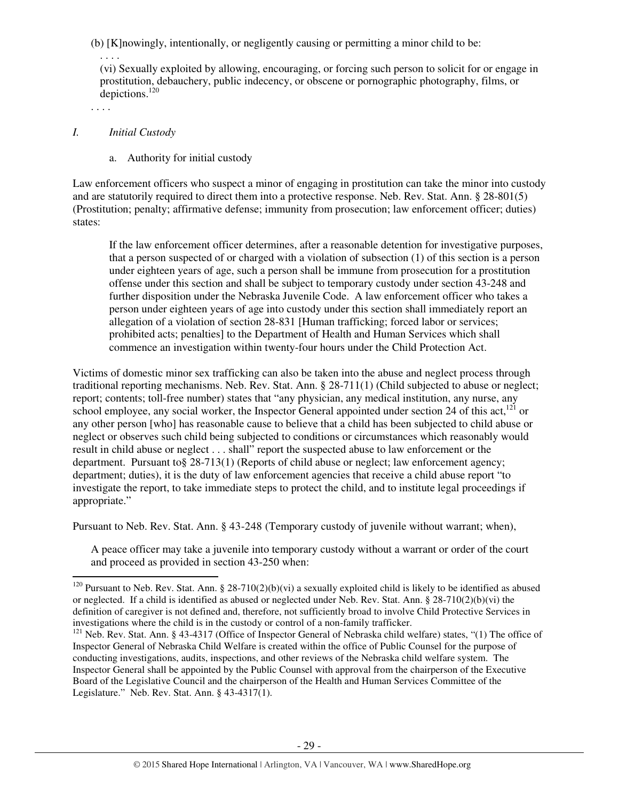(b) [K]nowingly, intentionally, or negligently causing or permitting a minor child to be:

. . . . (vi) Sexually exploited by allowing, encouraging, or forcing such person to solicit for or engage in prostitution, debauchery, public indecency, or obscene or pornographic photography, films, or depictions.<sup>120</sup>

. . . .

l

#### *I. Initial Custody*

a. Authority for initial custody

Law enforcement officers who suspect a minor of engaging in prostitution can take the minor into custody and are statutorily required to direct them into a protective response. Neb. Rev. Stat. Ann. § 28-801(5) (Prostitution; penalty; affirmative defense; immunity from prosecution; law enforcement officer; duties) states:

If the law enforcement officer determines, after a reasonable detention for investigative purposes, that a person suspected of or charged with a violation of subsection (1) of this section is a person under eighteen years of age, such a person shall be immune from prosecution for a prostitution offense under this section and shall be subject to temporary custody under section 43-248 and further disposition under the Nebraska Juvenile Code. A law enforcement officer who takes a person under eighteen years of age into custody under this section shall immediately report an allegation of a violation of section 28-831 [Human trafficking; forced labor or services; prohibited acts; penalties] to the Department of Health and Human Services which shall commence an investigation within twenty-four hours under the Child Protection Act.

Victims of domestic minor sex trafficking can also be taken into the abuse and neglect process through traditional reporting mechanisms. Neb. Rev. Stat. Ann. § 28-711(1) (Child subjected to abuse or neglect; report; contents; toll-free number) states that "any physician, any medical institution, any nurse, any school employee, any social worker, the Inspector General appointed under section 24 of this act, $^{121}$  or any other person [who] has reasonable cause to believe that a child has been subjected to child abuse or neglect or observes such child being subjected to conditions or circumstances which reasonably would result in child abuse or neglect . . . shall" report the suspected abuse to law enforcement or the department. Pursuant to§ 28-713(1) (Reports of child abuse or neglect; law enforcement agency; department; duties), it is the duty of law enforcement agencies that receive a child abuse report "to investigate the report, to take immediate steps to protect the child, and to institute legal proceedings if appropriate."

Pursuant to Neb. Rev. Stat. Ann. § 43-248 (Temporary custody of juvenile without warrant; when),

A peace officer may take a juvenile into temporary custody without a warrant or order of the court and proceed as provided in section 43-250 when:

<sup>&</sup>lt;sup>120</sup> Pursuant to Neb. Rev. Stat. Ann. § 28-710(2)(b)(vi) a sexually exploited child is likely to be identified as abused or neglected. If a child is identified as abused or neglected under Neb. Rev. Stat. Ann. § 28-710(2)(b)(vi) the definition of caregiver is not defined and, therefore, not sufficiently broad to involve Child Protective Services in investigations where the child is in the custody or control of a non-family trafficker.

<sup>&</sup>lt;sup>121</sup> Neb. Rev. Stat. Ann. § 43-4317 (Office of Inspector General of Nebraska child welfare) states, "(1) The office of Inspector General of Nebraska Child Welfare is created within the office of Public Counsel for the purpose of conducting investigations, audits, inspections, and other reviews of the Nebraska child welfare system. The Inspector General shall be appointed by the Public Counsel with approval from the chairperson of the Executive Board of the Legislative Council and the chairperson of the Health and Human Services Committee of the Legislature." Neb. Rev. Stat. Ann. § 43-4317(1).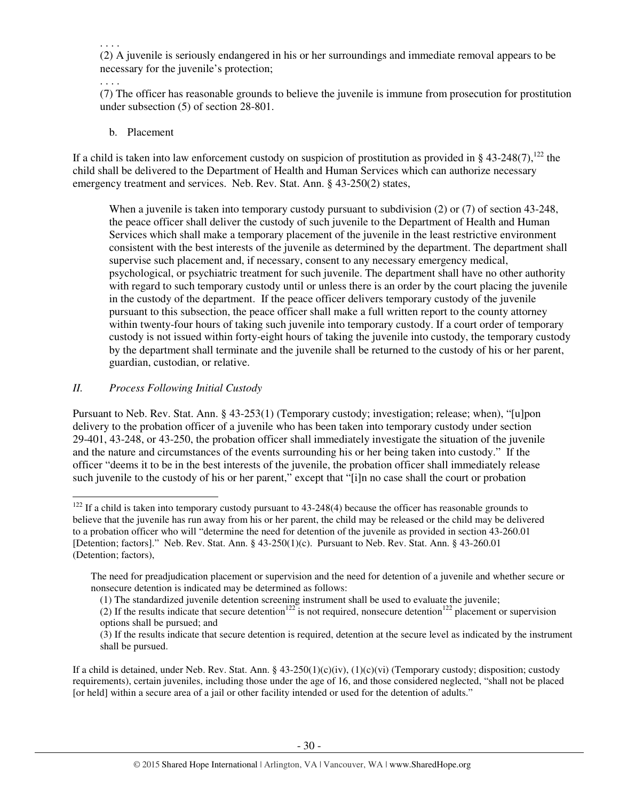. . . .

(2) A juvenile is seriously endangered in his or her surroundings and immediate removal appears to be necessary for the juvenile's protection;

. . . .

l

(7) The officer has reasonable grounds to believe the juvenile is immune from prosecution for prostitution under subsection (5) of section 28-801.

b. Placement

If a child is taken into law enforcement custody on suspicion of prostitution as provided in § 43-248(7), $^{122}$  the child shall be delivered to the Department of Health and Human Services which can authorize necessary emergency treatment and services. Neb. Rev. Stat. Ann. § 43-250(2) states,

When a juvenile is taken into temporary custody pursuant to subdivision (2) or (7) of section 43-248, the peace officer shall deliver the custody of such juvenile to the Department of Health and Human Services which shall make a temporary placement of the juvenile in the least restrictive environment consistent with the best interests of the juvenile as determined by the department. The department shall supervise such placement and, if necessary, consent to any necessary emergency medical, psychological, or psychiatric treatment for such juvenile. The department shall have no other authority with regard to such temporary custody until or unless there is an order by the court placing the juvenile in the custody of the department. If the peace officer delivers temporary custody of the juvenile pursuant to this subsection, the peace officer shall make a full written report to the county attorney within twenty-four hours of taking such juvenile into temporary custody. If a court order of temporary custody is not issued within forty-eight hours of taking the juvenile into custody, the temporary custody by the department shall terminate and the juvenile shall be returned to the custody of his or her parent, guardian, custodian, or relative.

# *II. Process Following Initial Custody*

Pursuant to Neb. Rev. Stat. Ann. § 43-253(1) (Temporary custody; investigation; release; when), "[u]pon delivery to the probation officer of a juvenile who has been taken into temporary custody under section 29-401, 43-248, or 43-250, the probation officer shall immediately investigate the situation of the juvenile and the nature and circumstances of the events surrounding his or her being taken into custody." If the officer "deems it to be in the best interests of the juvenile, the probation officer shall immediately release such juvenile to the custody of his or her parent," except that "[i]n no case shall the court or probation

If a child is detained, under Neb. Rev. Stat. Ann. §  $43-250(1)(c)(iv)$ ,  $(1)(c)(vi)$  (Temporary custody; disposition; custody requirements), certain juveniles, including those under the age of 16, and those considered neglected, "shall not be placed [or held] within a secure area of a jail or other facility intended or used for the detention of adults."

 $122$  If a child is taken into temporary custody pursuant to 43-248(4) because the officer has reasonable grounds to believe that the juvenile has run away from his or her parent, the child may be released or the child may be delivered to a probation officer who will "determine the need for detention of the juvenile as provided in section 43-260.01 [Detention; factors]." Neb. Rev. Stat. Ann. § 43-250(1)(c). Pursuant to Neb. Rev. Stat. Ann. § 43-260.01 (Detention; factors),

The need for preadjudication placement or supervision and the need for detention of a juvenile and whether secure or nonsecure detention is indicated may be determined as follows:

<sup>(1)</sup> The standardized juvenile detention screening instrument shall be used to evaluate the juvenile;

<sup>(2)</sup> If the results indicate that secure detention<sup>122</sup> is not required, nonsecure detention<sup>122</sup> placement or supervision options shall be pursued; and

<sup>(3)</sup> If the results indicate that secure detention is required, detention at the secure level as indicated by the instrument shall be pursued.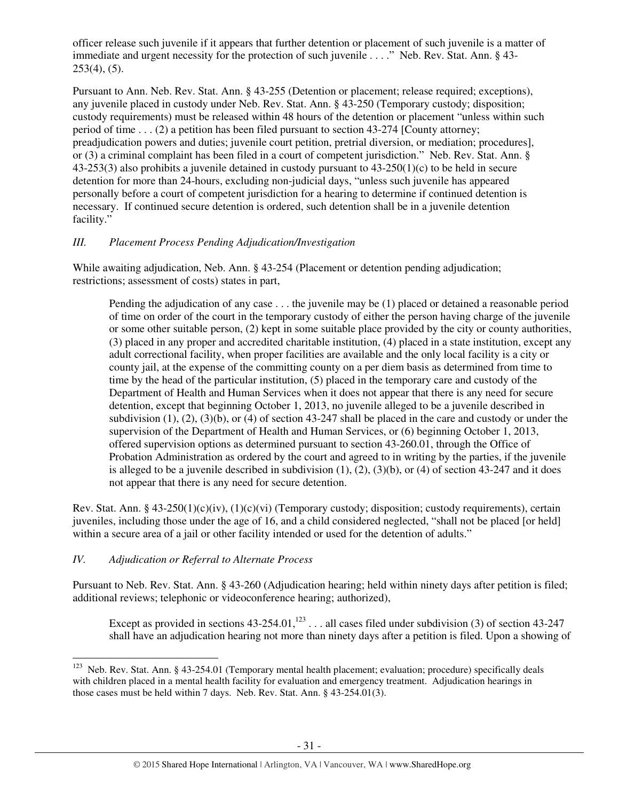officer release such juvenile if it appears that further detention or placement of such juvenile is a matter of immediate and urgent necessity for the protection of such juvenile . . . ." Neb. Rev. Stat. Ann. § 43-  $253(4)$ ,  $(5)$ .

Pursuant to Ann. Neb. Rev. Stat. Ann. § 43-255 (Detention or placement; release required; exceptions), any juvenile placed in custody under Neb. Rev. Stat. Ann. § 43-250 (Temporary custody; disposition; custody requirements) must be released within 48 hours of the detention or placement "unless within such period of time . . . (2) a petition has been filed pursuant to section 43-274 [County attorney; preadjudication powers and duties; juvenile court petition, pretrial diversion, or mediation; procedures], or (3) a criminal complaint has been filed in a court of competent jurisdiction." Neb. Rev. Stat. Ann. § 43-253(3) also prohibits a juvenile detained in custody pursuant to 43-250(1)(c) to be held in secure detention for more than 24-hours, excluding non-judicial days, "unless such juvenile has appeared personally before a court of competent jurisdiction for a hearing to determine if continued detention is necessary. If continued secure detention is ordered, such detention shall be in a juvenile detention facility."

# *III. Placement Process Pending Adjudication/Investigation*

While awaiting adjudication, Neb. Ann. § 43-254 (Placement or detention pending adjudication; restrictions; assessment of costs) states in part,

Pending the adjudication of any case . . . the juvenile may be (1) placed or detained a reasonable period of time on order of the court in the temporary custody of either the person having charge of the juvenile or some other suitable person, (2) kept in some suitable place provided by the city or county authorities, (3) placed in any proper and accredited charitable institution, (4) placed in a state institution, except any adult correctional facility, when proper facilities are available and the only local facility is a city or county jail, at the expense of the committing county on a per diem basis as determined from time to time by the head of the particular institution, (5) placed in the temporary care and custody of the Department of Health and Human Services when it does not appear that there is any need for secure detention, except that beginning October 1, 2013, no juvenile alleged to be a juvenile described in subdivision  $(1)$ ,  $(2)$ ,  $(3)(b)$ , or  $(4)$  of section 43-247 shall be placed in the care and custody or under the supervision of the Department of Health and Human Services, or (6) beginning October 1, 2013, offered supervision options as determined pursuant to section 43-260.01, through the Office of Probation Administration as ordered by the court and agreed to in writing by the parties, if the juvenile is alleged to be a juvenile described in subdivision  $(1)$ ,  $(2)$ ,  $(3)(b)$ , or  $(4)$  of section 43-247 and it does not appear that there is any need for secure detention.

Rev. Stat. Ann. § 43-250(1)(c)(iv), (1)(c)(vi) (Temporary custody; disposition; custody requirements), certain juveniles, including those under the age of 16, and a child considered neglected, "shall not be placed [or held] within a secure area of a jail or other facility intended or used for the detention of adults."

# *IV. Adjudication or Referral to Alternate Process*

 $\overline{a}$ 

Pursuant to Neb. Rev. Stat. Ann. § 43-260 (Adjudication hearing; held within ninety days after petition is filed; additional reviews; telephonic or videoconference hearing; authorized),

Except as provided in sections  $43-254.01$ ,<sup>123</sup> . . . all cases filed under subdivision (3) of section  $43-247$ shall have an adjudication hearing not more than ninety days after a petition is filed. Upon a showing of

<sup>&</sup>lt;sup>123</sup> Neb. Rev. Stat. Ann. § 43-254.01 (Temporary mental health placement; evaluation; procedure) specifically deals with children placed in a mental health facility for evaluation and emergency treatment. Adjudication hearings in those cases must be held within 7 days. Neb. Rev. Stat. Ann. § 43-254.01(3).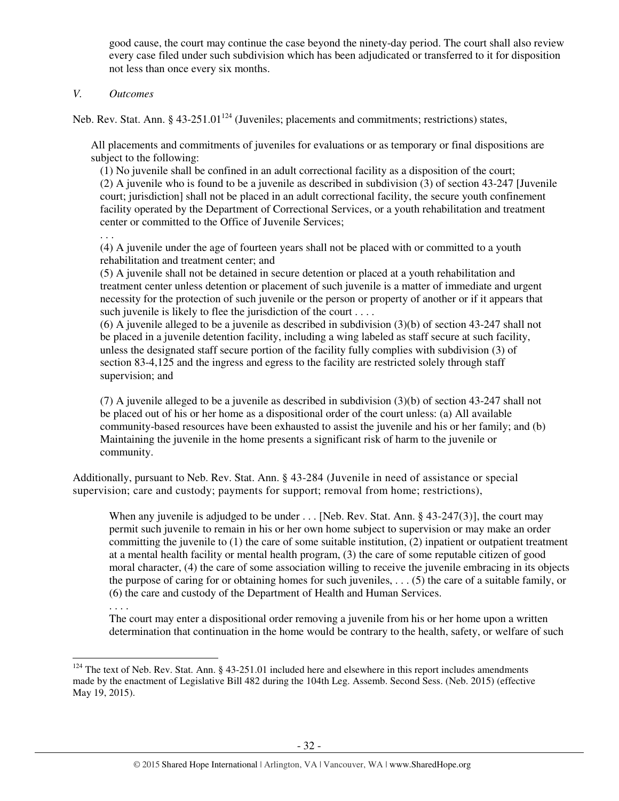good cause, the court may continue the case beyond the ninety-day period. The court shall also review every case filed under such subdivision which has been adjudicated or transferred to it for disposition not less than once every six months.

## *V. Outcomes*

Neb. Rev. Stat. Ann. §  $43-251.01^{124}$  (Juveniles; placements and commitments; restrictions) states,

All placements and commitments of juveniles for evaluations or as temporary or final dispositions are subject to the following:

(1) No juvenile shall be confined in an adult correctional facility as a disposition of the court; (2) A juvenile who is found to be a juvenile as described in subdivision (3) of section 43-247 [Juvenile court; jurisdiction] shall not be placed in an adult correctional facility, the secure youth confinement facility operated by the Department of Correctional Services, or a youth rehabilitation and treatment center or committed to the Office of Juvenile Services;

. . .

(4) A juvenile under the age of fourteen years shall not be placed with or committed to a youth rehabilitation and treatment center; and

(5) A juvenile shall not be detained in secure detention or placed at a youth rehabilitation and treatment center unless detention or placement of such juvenile is a matter of immediate and urgent necessity for the protection of such juvenile or the person or property of another or if it appears that such juvenile is likely to flee the jurisdiction of the court . . . .

(6) A juvenile alleged to be a juvenile as described in subdivision (3)(b) of section 43-247 shall not be placed in a juvenile detention facility, including a wing labeled as staff secure at such facility, unless the designated staff secure portion of the facility fully complies with subdivision (3) of section 83-4,125 and the ingress and egress to the facility are restricted solely through staff supervision; and

(7) A juvenile alleged to be a juvenile as described in subdivision (3)(b) of section 43-247 shall not be placed out of his or her home as a dispositional order of the court unless: (a) All available community-based resources have been exhausted to assist the juvenile and his or her family; and (b) Maintaining the juvenile in the home presents a significant risk of harm to the juvenile or community.

Additionally, pursuant to Neb. Rev. Stat. Ann. § 43-284 (Juvenile in need of assistance or special supervision; care and custody; payments for support; removal from home; restrictions),

When any juvenile is adjudged to be under . . . [Neb. Rev. Stat. Ann. § 43-247(3)], the court may permit such juvenile to remain in his or her own home subject to supervision or may make an order committing the juvenile to  $(1)$  the care of some suitable institution,  $(2)$  inpatient or outpatient treatment at a mental health facility or mental health program, (3) the care of some reputable citizen of good moral character, (4) the care of some association willing to receive the juvenile embracing in its objects the purpose of caring for or obtaining homes for such juveniles, . . . (5) the care of a suitable family, or (6) the care and custody of the Department of Health and Human Services.

l

The court may enter a dispositional order removing a juvenile from his or her home upon a written determination that continuation in the home would be contrary to the health, safety, or welfare of such

<sup>. . . .</sup> 

 $124$  The text of Neb. Rev. Stat. Ann. § 43-251.01 included here and elsewhere in this report includes amendments made by the enactment of Legislative Bill 482 during the 104th Leg. Assemb. Second Sess. (Neb. 2015) (effective May 19, 2015).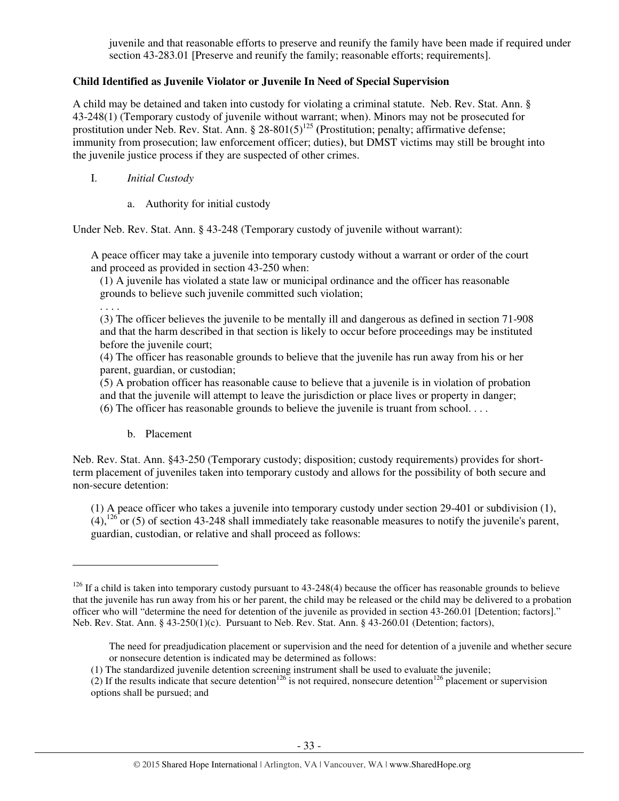juvenile and that reasonable efforts to preserve and reunify the family have been made if required under section 43-283.01 [Preserve and reunify the family; reasonable efforts; requirements].

# **Child Identified as Juvenile Violator or Juvenile In Need of Special Supervision**

A child may be detained and taken into custody for violating a criminal statute. Neb. Rev. Stat. Ann. § 43-248(1) (Temporary custody of juvenile without warrant; when). Minors may not be prosecuted for prostitution under Neb. Rev. Stat. Ann. § 28-801(5)<sup>125</sup> (Prostitution; penalty; affirmative defense; immunity from prosecution; law enforcement officer; duties**)**, but DMST victims may still be brought into the juvenile justice process if they are suspected of other crimes.

- I. *Initial Custody* 
	- a. Authority for initial custody

Under Neb. Rev. Stat. Ann. § 43-248 (Temporary custody of juvenile without warrant):

A peace officer may take a juvenile into temporary custody without a warrant or order of the court and proceed as provided in section 43-250 when:

(1) A juvenile has violated a state law or municipal ordinance and the officer has reasonable grounds to believe such juvenile committed such violation;

. . . .

l

(3) The officer believes the juvenile to be mentally ill and dangerous as defined in section 71-908 and that the harm described in that section is likely to occur before proceedings may be instituted before the juvenile court;

(4) The officer has reasonable grounds to believe that the juvenile has run away from his or her parent, guardian, or custodian;

(5) A probation officer has reasonable cause to believe that a juvenile is in violation of probation and that the juvenile will attempt to leave the jurisdiction or place lives or property in danger;

(6) The officer has reasonable grounds to believe the juvenile is truant from school. . . .

b. Placement

Neb. Rev. Stat. Ann. §43-250 (Temporary custody; disposition; custody requirements) provides for shortterm placement of juveniles taken into temporary custody and allows for the possibility of both secure and non-secure detention:

(1) A peace officer who takes a juvenile into temporary custody under section 29-401 or subdivision (1),  $(4)$ ,<sup>126</sup> or (5) of section 43-248 shall immediately take reasonable measures to notify the juvenile's parent, guardian, custodian, or relative and shall proceed as follows:

 $126$  If a child is taken into temporary custody pursuant to 43-248(4) because the officer has reasonable grounds to believe that the juvenile has run away from his or her parent, the child may be released or the child may be delivered to a probation officer who will "determine the need for detention of the juvenile as provided in section 43-260.01 [Detention; factors]." Neb. Rev. Stat. Ann. § 43-250(1)(c). Pursuant to Neb. Rev. Stat. Ann. § 43-260.01 (Detention; factors),

The need for preadjudication placement or supervision and the need for detention of a juvenile and whether secure or nonsecure detention is indicated may be determined as follows:

<sup>(1)</sup> The standardized juvenile detention screening instrument shall be used to evaluate the juvenile;

<sup>(2)</sup> If the results indicate that secure detention<sup>126</sup> is not required, nonsecure detention<sup>126</sup> placement or supervision options shall be pursued; and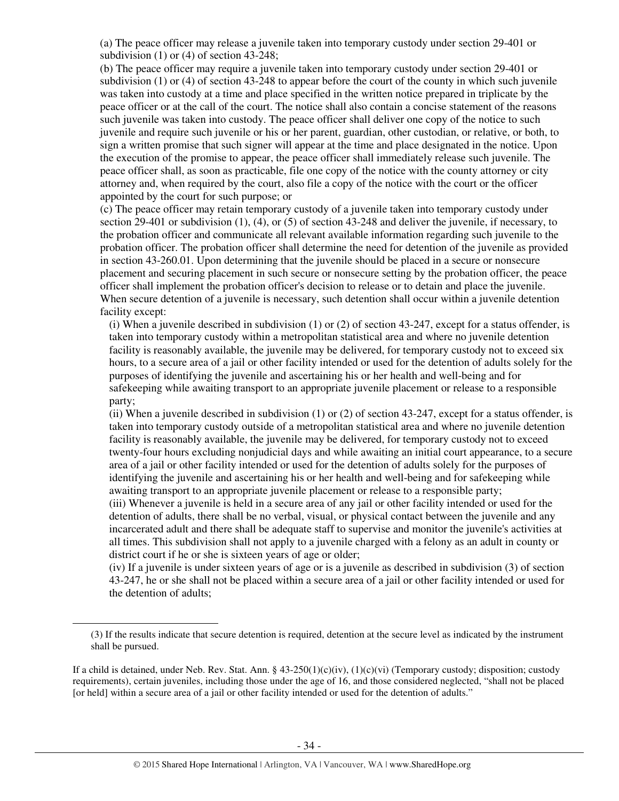(a) The peace officer may release a juvenile taken into temporary custody under section 29-401 or subdivision (1) or (4) of section 43-248;

(b) The peace officer may require a juvenile taken into temporary custody under section 29-401 or subdivision (1) or (4) of section 43-248 to appear before the court of the county in which such juvenile was taken into custody at a time and place specified in the written notice prepared in triplicate by the peace officer or at the call of the court. The notice shall also contain a concise statement of the reasons such juvenile was taken into custody. The peace officer shall deliver one copy of the notice to such juvenile and require such juvenile or his or her parent, guardian, other custodian, or relative, or both, to sign a written promise that such signer will appear at the time and place designated in the notice. Upon the execution of the promise to appear, the peace officer shall immediately release such juvenile. The peace officer shall, as soon as practicable, file one copy of the notice with the county attorney or city attorney and, when required by the court, also file a copy of the notice with the court or the officer appointed by the court for such purpose; or

(c) The peace officer may retain temporary custody of a juvenile taken into temporary custody under section 29-401 or subdivision (1), (4), or (5) of section 43-248 and deliver the juvenile, if necessary, to the probation officer and communicate all relevant available information regarding such juvenile to the probation officer. The probation officer shall determine the need for detention of the juvenile as provided in section 43-260.01. Upon determining that the juvenile should be placed in a secure or nonsecure placement and securing placement in such secure or nonsecure setting by the probation officer, the peace officer shall implement the probation officer's decision to release or to detain and place the juvenile. When secure detention of a juvenile is necessary, such detention shall occur within a juvenile detention facility except:

(i) When a juvenile described in subdivision (1) or (2) of section 43-247, except for a status offender, is taken into temporary custody within a metropolitan statistical area and where no juvenile detention facility is reasonably available, the juvenile may be delivered, for temporary custody not to exceed six hours, to a secure area of a jail or other facility intended or used for the detention of adults solely for the purposes of identifying the juvenile and ascertaining his or her health and well-being and for safekeeping while awaiting transport to an appropriate juvenile placement or release to a responsible party;

(ii) When a juvenile described in subdivision (1) or (2) of section 43-247, except for a status offender, is taken into temporary custody outside of a metropolitan statistical area and where no juvenile detention facility is reasonably available, the juvenile may be delivered, for temporary custody not to exceed twenty-four hours excluding nonjudicial days and while awaiting an initial court appearance, to a secure area of a jail or other facility intended or used for the detention of adults solely for the purposes of identifying the juvenile and ascertaining his or her health and well-being and for safekeeping while awaiting transport to an appropriate juvenile placement or release to a responsible party;

(iii) Whenever a juvenile is held in a secure area of any jail or other facility intended or used for the detention of adults, there shall be no verbal, visual, or physical contact between the juvenile and any incarcerated adult and there shall be adequate staff to supervise and monitor the juvenile's activities at all times. This subdivision shall not apply to a juvenile charged with a felony as an adult in county or district court if he or she is sixteen years of age or older;

(iv) If a juvenile is under sixteen years of age or is a juvenile as described in subdivision (3) of section 43-247, he or she shall not be placed within a secure area of a jail or other facility intended or used for the detention of adults;

<sup>(3)</sup> If the results indicate that secure detention is required, detention at the secure level as indicated by the instrument shall be pursued.

If a child is detained, under Neb. Rev. Stat. Ann. §  $43-250(1)(c)(iv)$ ,  $(1)(c)(vi)$  (Temporary custody; disposition; custody requirements), certain juveniles, including those under the age of 16, and those considered neglected, "shall not be placed [or held] within a secure area of a jail or other facility intended or used for the detention of adults."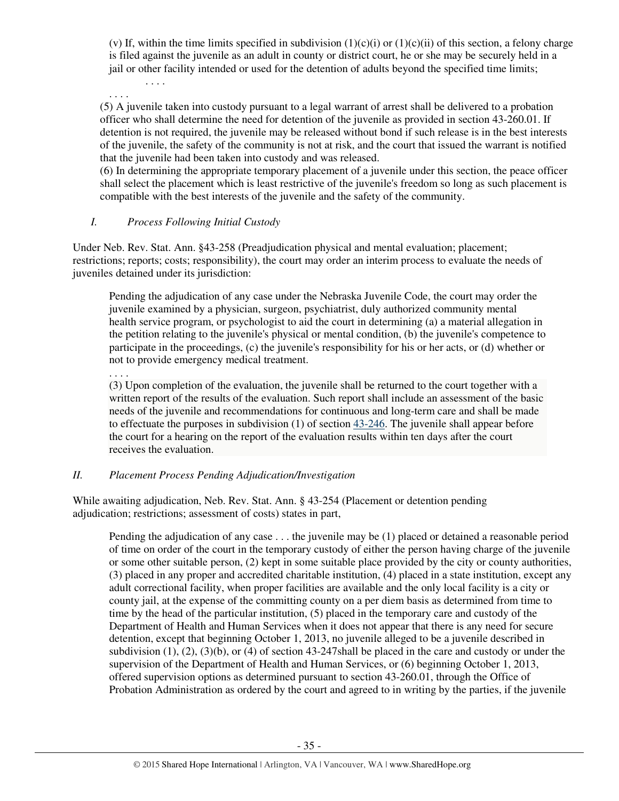(v) If, within the time limits specified in subdivision  $(1)(c)(i)$  or  $(1)(c)(ii)$  of this section, a felony charge is filed against the juvenile as an adult in county or district court, he or she may be securely held in a jail or other facility intended or used for the detention of adults beyond the specified time limits;

. . . . . . . .

(5) A juvenile taken into custody pursuant to a legal warrant of arrest shall be delivered to a probation officer who shall determine the need for detention of the juvenile as provided in section 43-260.01. If detention is not required, the juvenile may be released without bond if such release is in the best interests of the juvenile, the safety of the community is not at risk, and the court that issued the warrant is notified that the juvenile had been taken into custody and was released.

(6) In determining the appropriate temporary placement of a juvenile under this section, the peace officer shall select the placement which is least restrictive of the juvenile's freedom so long as such placement is compatible with the best interests of the juvenile and the safety of the community.

## *I. Process Following Initial Custody*

Under Neb. Rev. Stat. Ann. §43-258 (Preadjudication physical and mental evaluation; placement; restrictions; reports; costs; responsibility), the court may order an interim process to evaluate the needs of juveniles detained under its jurisdiction:

Pending the adjudication of any case under the Nebraska Juvenile Code, the court may order the juvenile examined by a physician, surgeon, psychiatrist, duly authorized community mental health service program, or psychologist to aid the court in determining (a) a material allegation in the petition relating to the juvenile's physical or mental condition, (b) the juvenile's competence to participate in the proceedings, (c) the juvenile's responsibility for his or her acts, or (d) whether or not to provide emergency medical treatment.

. . . .

(3) Upon completion of the evaluation, the juvenile shall be returned to the court together with a written report of the results of the evaluation. Such report shall include an assessment of the basic needs of the juvenile and recommendations for continuous and long-term care and shall be made to effectuate the purposes in subdivision (1) of section 43-246. The juvenile shall appear before the court for a hearing on the report of the evaluation results within ten days after the court receives the evaluation.

# *II. Placement Process Pending Adjudication/Investigation*

While awaiting adjudication, Neb. Rev. Stat. Ann. § 43-254 (Placement or detention pending adjudication; restrictions; assessment of costs) states in part,

Pending the adjudication of any case . . . the juvenile may be (1) placed or detained a reasonable period of time on order of the court in the temporary custody of either the person having charge of the juvenile or some other suitable person, (2) kept in some suitable place provided by the city or county authorities, (3) placed in any proper and accredited charitable institution, (4) placed in a state institution, except any adult correctional facility, when proper facilities are available and the only local facility is a city or county jail, at the expense of the committing county on a per diem basis as determined from time to time by the head of the particular institution, (5) placed in the temporary care and custody of the Department of Health and Human Services when it does not appear that there is any need for secure detention, except that beginning October 1, 2013, no juvenile alleged to be a juvenile described in subdivision  $(1)$ ,  $(2)$ ,  $(3)(b)$ , or  $(4)$  of section 43-247shall be placed in the care and custody or under the supervision of the Department of Health and Human Services, or (6) beginning October 1, 2013, offered supervision options as determined pursuant to section 43-260.01, through the Office of Probation Administration as ordered by the court and agreed to in writing by the parties, if the juvenile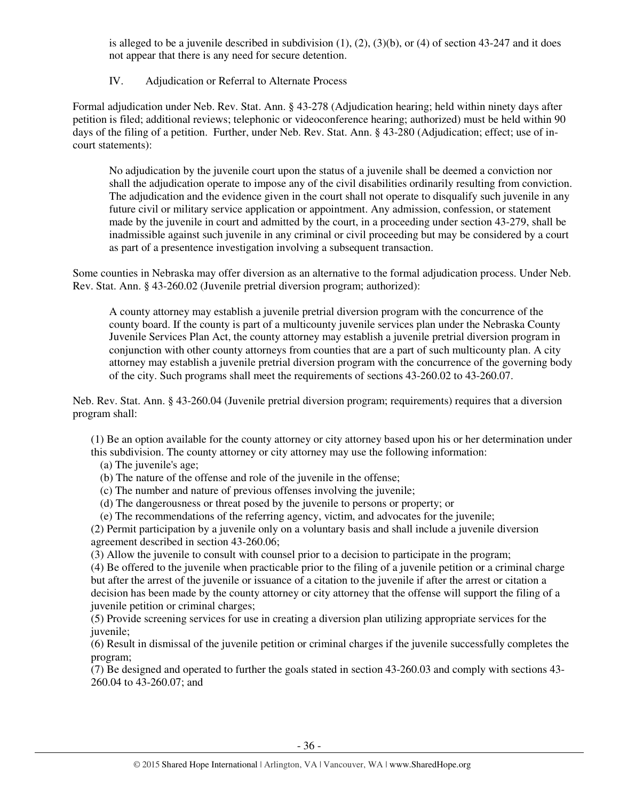is alleged to be a juvenile described in subdivision  $(1)$ ,  $(2)$ ,  $(3)(b)$ , or  $(4)$  of section 43-247 and it does not appear that there is any need for secure detention.

# IV. Adjudication or Referral to Alternate Process

Formal adjudication under Neb. Rev. Stat. Ann. § 43-278 (Adjudication hearing; held within ninety days after petition is filed; additional reviews; telephonic or videoconference hearing; authorized) must be held within 90 days of the filing of a petition. Further, under Neb. Rev. Stat. Ann. § 43-280 (Adjudication; effect; use of incourt statements):

No adjudication by the juvenile court upon the status of a juvenile shall be deemed a conviction nor shall the adjudication operate to impose any of the civil disabilities ordinarily resulting from conviction. The adjudication and the evidence given in the court shall not operate to disqualify such juvenile in any future civil or military service application or appointment. Any admission, confession, or statement made by the juvenile in court and admitted by the court, in a proceeding under section 43-279, shall be inadmissible against such juvenile in any criminal or civil proceeding but may be considered by a court as part of a presentence investigation involving a subsequent transaction.

Some counties in Nebraska may offer diversion as an alternative to the formal adjudication process. Under Neb. Rev. Stat. Ann. § 43-260.02 (Juvenile pretrial diversion program; authorized):

A county attorney may establish a juvenile pretrial diversion program with the concurrence of the county board. If the county is part of a multicounty juvenile services plan under the Nebraska County Juvenile Services Plan Act, the county attorney may establish a juvenile pretrial diversion program in conjunction with other county attorneys from counties that are a part of such multicounty plan. A city attorney may establish a juvenile pretrial diversion program with the concurrence of the governing body of the city. Such programs shall meet the requirements of sections 43-260.02 to 43-260.07.

Neb. Rev. Stat. Ann. § 43-260.04 (Juvenile pretrial diversion program; requirements) requires that a diversion program shall:

(1) Be an option available for the county attorney or city attorney based upon his or her determination under this subdivision. The county attorney or city attorney may use the following information:

(a) The juvenile's age;

- (b) The nature of the offense and role of the juvenile in the offense;
- (c) The number and nature of previous offenses involving the juvenile;
- (d) The dangerousness or threat posed by the juvenile to persons or property; or
- (e) The recommendations of the referring agency, victim, and advocates for the juvenile;

(2) Permit participation by a juvenile only on a voluntary basis and shall include a juvenile diversion agreement described in section 43-260.06;

(3) Allow the juvenile to consult with counsel prior to a decision to participate in the program;

(4) Be offered to the juvenile when practicable prior to the filing of a juvenile petition or a criminal charge but after the arrest of the juvenile or issuance of a citation to the juvenile if after the arrest or citation a decision has been made by the county attorney or city attorney that the offense will support the filing of a juvenile petition or criminal charges;

(5) Provide screening services for use in creating a diversion plan utilizing appropriate services for the juvenile;

(6) Result in dismissal of the juvenile petition or criminal charges if the juvenile successfully completes the program;

(7) Be designed and operated to further the goals stated in section 43-260.03 and comply with sections 43- 260.04 to 43-260.07; and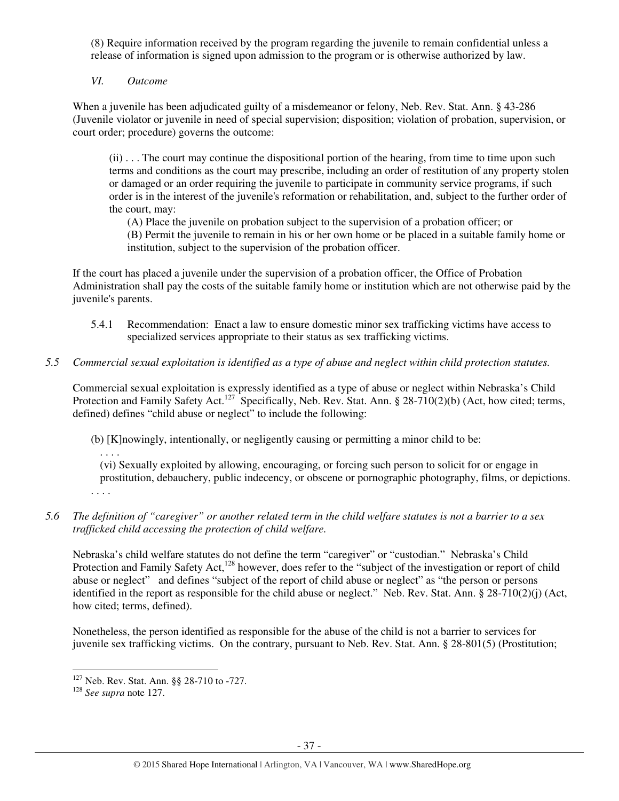(8) Require information received by the program regarding the juvenile to remain confidential unless a release of information is signed upon admission to the program or is otherwise authorized by law.

*VI. Outcome* 

When a juvenile has been adjudicated guilty of a misdemeanor or felony, Neb. Rev. Stat. Ann. § 43-286 (Juvenile violator or juvenile in need of special supervision; disposition; violation of probation, supervision, or court order; procedure) governs the outcome:

(ii) . . . The court may continue the dispositional portion of the hearing, from time to time upon such terms and conditions as the court may prescribe, including an order of restitution of any property stolen or damaged or an order requiring the juvenile to participate in community service programs, if such order is in the interest of the juvenile's reformation or rehabilitation, and, subject to the further order of the court, may:

(A) Place the juvenile on probation subject to the supervision of a probation officer; or (B) Permit the juvenile to remain in his or her own home or be placed in a suitable family home or institution, subject to the supervision of the probation officer.

If the court has placed a juvenile under the supervision of a probation officer, the Office of Probation Administration shall pay the costs of the suitable family home or institution which are not otherwise paid by the juvenile's parents.

- 5.4.1 Recommendation: Enact a law to ensure domestic minor sex trafficking victims have access to specialized services appropriate to their status as sex trafficking victims.
- *5.5 Commercial sexual exploitation is identified as a type of abuse and neglect within child protection statutes.*

Commercial sexual exploitation is expressly identified as a type of abuse or neglect within Nebraska's Child Protection and Family Safety Act.<sup>127</sup> Specifically, Neb. Rev. Stat. Ann. § 28-710(2)(b) (Act, how cited; terms, defined) defines "child abuse or neglect" to include the following:

(b) [K]nowingly, intentionally, or negligently causing or permitting a minor child to be:

(vi) Sexually exploited by allowing, encouraging, or forcing such person to solicit for or engage in prostitution, debauchery, public indecency, or obscene or pornographic photography, films, or depictions. . . . .

# *5.6 The definition of "caregiver" or another related term in the child welfare statutes is not a barrier to a sex trafficked child accessing the protection of child welfare.*

Nebraska's child welfare statutes do not define the term "caregiver" or "custodian." Nebraska's Child Protection and Family Safety Act,<sup>128</sup> however, does refer to the "subject of the investigation or report of child abuse or neglect" and defines "subject of the report of child abuse or neglect" as "the person or persons identified in the report as responsible for the child abuse or neglect." Neb. Rev. Stat. Ann. § 28-710(2)(j) (Act, how cited; terms, defined).

Nonetheless, the person identified as responsible for the abuse of the child is not a barrier to services for juvenile sex trafficking victims. On the contrary, pursuant to Neb. Rev. Stat. Ann. § 28-801(5) (Prostitution;

l

. . . .

<sup>127</sup> Neb. Rev. Stat. Ann. §§ 28-710 to -727.

<sup>128</sup> *See supra* note 127.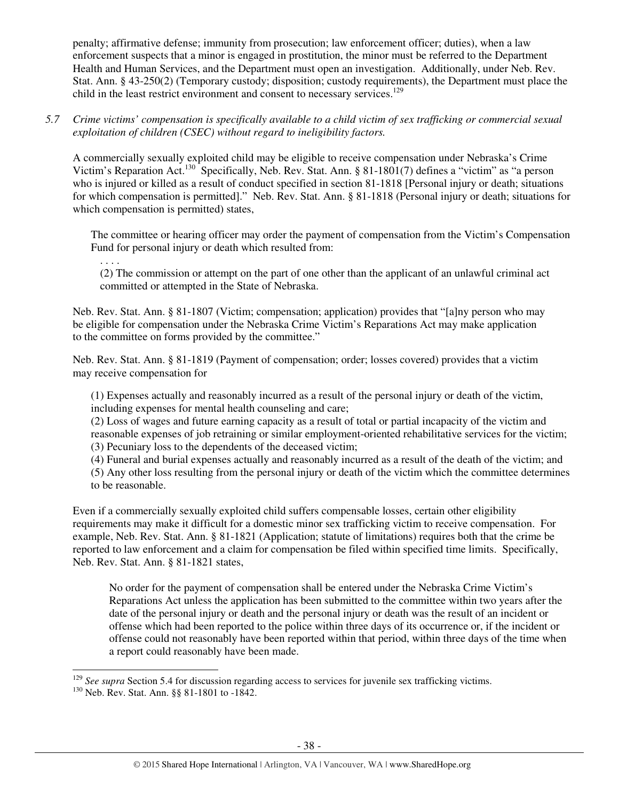penalty; affirmative defense; immunity from prosecution; law enforcement officer; duties), when a law enforcement suspects that a minor is engaged in prostitution, the minor must be referred to the Department Health and Human Services, and the Department must open an investigation. Additionally, under Neb. Rev. Stat. Ann. § 43-250(2) (Temporary custody; disposition; custody requirements), the Department must place the child in the least restrict environment and consent to necessary services.<sup>129</sup>

*5.7 Crime victims' compensation is specifically available to a child victim of sex trafficking or commercial sexual exploitation of children (CSEC) without regard to ineligibility factors.* 

A commercially sexually exploited child may be eligible to receive compensation under Nebraska's Crime Victim's Reparation Act.<sup>130</sup> Specifically, Neb. Rev. Stat. Ann. § 81-1801(7) defines a "victim" as "a person who is injured or killed as a result of conduct specified in section 81-1818 [Personal injury or death; situations for which compensation is permitted]." Neb. Rev. Stat. Ann. § 81-1818 (Personal injury or death; situations for which compensation is permitted) states,

The committee or hearing officer may order the payment of compensation from the Victim's Compensation Fund for personal injury or death which resulted from:

(2) The commission or attempt on the part of one other than the applicant of an unlawful criminal act committed or attempted in the State of Nebraska.

Neb. Rev. Stat. Ann. § 81-1807 (Victim; compensation; application) provides that "[a]ny person who may be eligible for compensation under the Nebraska Crime Victim's Reparations Act may make application to the committee on forms provided by the committee."

Neb. Rev. Stat. Ann. § 81-1819 (Payment of compensation; order; losses covered) provides that a victim may receive compensation for

(1) Expenses actually and reasonably incurred as a result of the personal injury or death of the victim, including expenses for mental health counseling and care;

(2) Loss of wages and future earning capacity as a result of total or partial incapacity of the victim and reasonable expenses of job retraining or similar employment-oriented rehabilitative services for the victim; (3) Pecuniary loss to the dependents of the deceased victim;

(4) Funeral and burial expenses actually and reasonably incurred as a result of the death of the victim; and

(5) Any other loss resulting from the personal injury or death of the victim which the committee determines to be reasonable.

Even if a commercially sexually exploited child suffers compensable losses, certain other eligibility requirements may make it difficult for a domestic minor sex trafficking victim to receive compensation. For example, Neb. Rev. Stat. Ann. § 81-1821 (Application; statute of limitations) requires both that the crime be reported to law enforcement and a claim for compensation be filed within specified time limits. Specifically, Neb. Rev. Stat. Ann. § 81-1821 states,

No order for the payment of compensation shall be entered under the Nebraska Crime Victim's Reparations Act unless the application has been submitted to the committee within two years after the date of the personal injury or death and the personal injury or death was the result of an incident or offense which had been reported to the police within three days of its occurrence or, if the incident or offense could not reasonably have been reported within that period, within three days of the time when a report could reasonably have been made.

 $\overline{a}$ 

. . . .

<sup>&</sup>lt;sup>129</sup> *See supra* Section 5.4 for discussion regarding access to services for juvenile sex trafficking victims.

<sup>&</sup>lt;sup>130</sup> Neb. Rev. Stat. Ann. §§ 81-1801 to -1842.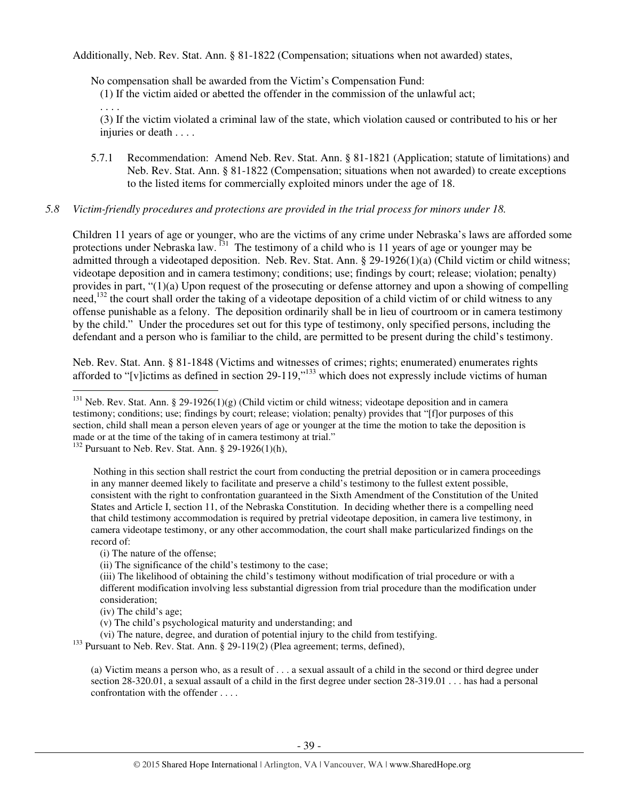Additionally, Neb. Rev. Stat. Ann. § 81-1822 (Compensation; situations when not awarded) states,

No compensation shall be awarded from the Victim's Compensation Fund:

(1) If the victim aided or abetted the offender in the commission of the unlawful act;

(3) If the victim violated a criminal law of the state, which violation caused or contributed to his or her injuries or death . . . .

5.7.1 Recommendation: Amend Neb. Rev. Stat. Ann. § 81-1821 (Application; statute of limitations) and Neb. Rev. Stat. Ann. § 81-1822 (Compensation; situations when not awarded) to create exceptions to the listed items for commercially exploited minors under the age of 18.

# *5.8 Victim-friendly procedures and protections are provided in the trial process for minors under 18.*

Children 11 years of age or younger, who are the victims of any crime under Nebraska's laws are afforded some protections under Nebraska law.<sup>131</sup> The testimony of a child who is 11 years of age or younger may be admitted through a videotaped deposition. Neb. Rev. Stat. Ann. § 29-1926(1)(a) (Child victim or child witness; videotape deposition and in camera testimony; conditions; use; findings by court; release; violation; penalty) provides in part, "(1)(a) Upon request of the prosecuting or defense attorney and upon a showing of compelling need, $132$  the court shall order the taking of a videotape deposition of a child victim of or child witness to any offense punishable as a felony. The deposition ordinarily shall be in lieu of courtroom or in camera testimony by the child." Under the procedures set out for this type of testimony, only specified persons, including the defendant and a person who is familiar to the child, are permitted to be present during the child's testimony.

Neb. Rev. Stat. Ann. § 81-1848 (Victims and witnesses of crimes; rights; enumerated) enumerates rights afforded to "[v]ictims as defined in section 29-119,"<sup>133</sup> which does not expressly include victims of human l

(i) The nature of the offense;

(ii) The significance of the child's testimony to the case;

(iv) The child's age;

. . . .

(vi) The nature, degree, and duration of potential injury to the child from testifying.

<sup>133</sup> Pursuant to Neb. Rev. Stat. Ann. § 29-119(2) (Plea agreement; terms, defined),

(a) Victim means a person who, as a result of . . . a sexual assault of a child in the second or third degree under section 28-320.01, a sexual assault of a child in the first degree under section 28-319.01 . . . has had a personal confrontation with the offender . . . .

<sup>&</sup>lt;sup>131</sup> Neb. Rev. Stat. Ann. § 29-1926(1)(g) (Child victim or child witness; videotape deposition and in camera testimony; conditions; use; findings by court; release; violation; penalty) provides that "[f]or purposes of this section, child shall mean a person eleven years of age or younger at the time the motion to take the deposition is made or at the time of the taking of in camera testimony at trial."

 $132$  Pursuant to Neb. Rev. Stat. Ann. § 29-1926(1)(h),

Nothing in this section shall restrict the court from conducting the pretrial deposition or in camera proceedings in any manner deemed likely to facilitate and preserve a child's testimony to the fullest extent possible, consistent with the right to confrontation guaranteed in the Sixth Amendment of the Constitution of the United States and Article I, section 11, of the Nebraska Constitution. In deciding whether there is a compelling need that child testimony accommodation is required by pretrial videotape deposition, in camera live testimony, in camera videotape testimony, or any other accommodation, the court shall make particularized findings on the record of:

<sup>(</sup>iii) The likelihood of obtaining the child's testimony without modification of trial procedure or with a different modification involving less substantial digression from trial procedure than the modification under consideration;

<sup>(</sup>v) The child's psychological maturity and understanding; and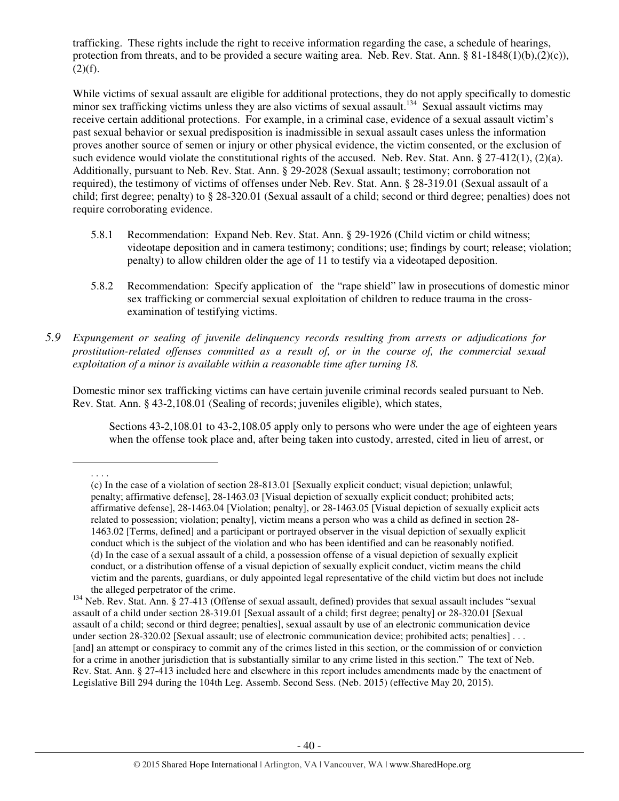trafficking. These rights include the right to receive information regarding the case, a schedule of hearings, protection from threats, and to be provided a secure waiting area. Neb. Rev. Stat. Ann. § 81-1848(1)(b),(2)(c)),  $(2)(f)$ .

While victims of sexual assault are eligible for additional protections, they do not apply specifically to domestic minor sex trafficking victims unless they are also victims of sexual assault.<sup>134</sup> Sexual assault victims may receive certain additional protections. For example, in a criminal case, evidence of a sexual assault victim's past sexual behavior or sexual predisposition is inadmissible in sexual assault cases unless the information proves another source of semen or injury or other physical evidence, the victim consented, or the exclusion of such evidence would violate the constitutional rights of the accused. Neb. Rev. Stat. Ann. § 27-412(1), (2)(a). Additionally, pursuant to Neb. Rev. Stat. Ann. § 29-2028 (Sexual assault; testimony; corroboration not required), the testimony of victims of offenses under Neb. Rev. Stat. Ann. § 28-319.01 (Sexual assault of a child; first degree; penalty) to § 28-320.01 (Sexual assault of a child; second or third degree; penalties) does not require corroborating evidence.

- 5.8.1 Recommendation: Expand Neb. Rev. Stat. Ann. § 29-1926 (Child victim or child witness; videotape deposition and in camera testimony; conditions; use; findings by court; release; violation; penalty) to allow children older the age of 11 to testify via a videotaped deposition.
- 5.8.2 Recommendation: Specify application of the "rape shield" law in prosecutions of domestic minor sex trafficking or commercial sexual exploitation of children to reduce trauma in the crossexamination of testifying victims.
- *5.9 Expungement or sealing of juvenile delinquency records resulting from arrests or adjudications for prostitution-related offenses committed as a result of, or in the course of, the commercial sexual exploitation of a minor is available within a reasonable time after turning 18.*

Domestic minor sex trafficking victims can have certain juvenile criminal records sealed pursuant to Neb. Rev. Stat. Ann. § 43-2,108.01 (Sealing of records; juveniles eligible), which states,

Sections 43-2,108.01 to 43-2,108.05 apply only to persons who were under the age of eighteen years when the offense took place and, after being taken into custody, arrested, cited in lieu of arrest, or

. . . .

<sup>(</sup>c) In the case of a violation of section 28-813.01 [Sexually explicit conduct; visual depiction; unlawful; penalty; affirmative defense], 28-1463.03 [Visual depiction of sexually explicit conduct; prohibited acts; affirmative defense], 28-1463.04 [Violation; penalty], or 28-1463.05 [Visual depiction of sexually explicit acts related to possession; violation; penalty], victim means a person who was a child as defined in section 28- 1463.02 [Terms, defined] and a participant or portrayed observer in the visual depiction of sexually explicit conduct which is the subject of the violation and who has been identified and can be reasonably notified. (d) In the case of a sexual assault of a child, a possession offense of a visual depiction of sexually explicit conduct, or a distribution offense of a visual depiction of sexually explicit conduct, victim means the child victim and the parents, guardians, or duly appointed legal representative of the child victim but does not include the alleged perpetrator of the crime.

<sup>&</sup>lt;sup>134</sup> Neb. Rev. Stat. Ann. § 27-413 (Offense of sexual assault, defined) provides that sexual assault includes "sexual assault of a child under section 28-319.01 [Sexual assault of a child; first degree; penalty] or 28-320.01 [Sexual assault of a child; second or third degree; penalties], sexual assault by use of an electronic communication device under section 28-320.02 [Sexual assault; use of electronic communication device; prohibited acts; penalties] . . . [and] an attempt or conspiracy to commit any of the crimes listed in this section, or the commission of or conviction for a crime in another jurisdiction that is substantially similar to any crime listed in this section." The text of Neb. Rev. Stat. Ann. § 27-413 included here and elsewhere in this report includes amendments made by the enactment of Legislative Bill 294 during the 104th Leg. Assemb. Second Sess. (Neb. 2015) (effective May 20, 2015).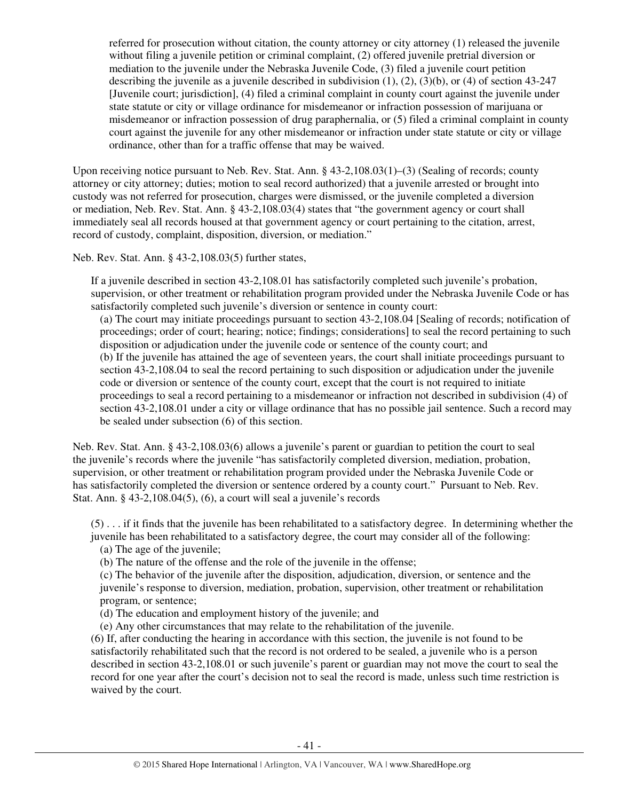referred for prosecution without citation, the county attorney or city attorney (1) released the juvenile without filing a juvenile petition or criminal complaint, (2) offered juvenile pretrial diversion or mediation to the juvenile under the Nebraska Juvenile Code, (3) filed a juvenile court petition describing the juvenile as a juvenile described in subdivision  $(1)$ ,  $(2)$ ,  $(3)(b)$ , or  $(4)$  of section 43-247 [Juvenile court; jurisdiction], (4) filed a criminal complaint in county court against the juvenile under state statute or city or village ordinance for misdemeanor or infraction possession of marijuana or misdemeanor or infraction possession of drug paraphernalia, or (5) filed a criminal complaint in county court against the juvenile for any other misdemeanor or infraction under state statute or city or village ordinance, other than for a traffic offense that may be waived.

Upon receiving notice pursuant to Neb. Rev. Stat. Ann. § 43-2,108.03(1)–(3) (Sealing of records; county attorney or city attorney; duties; motion to seal record authorized) that a juvenile arrested or brought into custody was not referred for prosecution, charges were dismissed, or the juvenile completed a diversion or mediation, Neb. Rev. Stat. Ann. § 43-2,108.03(4) states that "the government agency or court shall immediately seal all records housed at that government agency or court pertaining to the citation, arrest, record of custody, complaint, disposition, diversion, or mediation."

Neb. Rev. Stat. Ann. § 43-2,108.03(5) further states,

If a juvenile described in section 43-2,108.01 has satisfactorily completed such juvenile's probation, supervision, or other treatment or rehabilitation program provided under the Nebraska Juvenile Code or has satisfactorily completed such juvenile's diversion or sentence in county court:

(a) The court may initiate proceedings pursuant to section 43-2,108.04 [Sealing of records; notification of proceedings; order of court; hearing; notice; findings; considerations] to seal the record pertaining to such disposition or adjudication under the juvenile code or sentence of the county court; and (b) If the juvenile has attained the age of seventeen years, the court shall initiate proceedings pursuant to section 43-2,108.04 to seal the record pertaining to such disposition or adjudication under the juvenile code or diversion or sentence of the county court, except that the court is not required to initiate proceedings to seal a record pertaining to a misdemeanor or infraction not described in subdivision (4) of section 43-2,108.01 under a city or village ordinance that has no possible jail sentence. Such a record may be sealed under subsection (6) of this section.

Neb. Rev. Stat. Ann. § 43-2,108.03(6) allows a juvenile's parent or guardian to petition the court to seal the juvenile's records where the juvenile "has satisfactorily completed diversion, mediation, probation, supervision, or other treatment or rehabilitation program provided under the Nebraska Juvenile Code or has satisfactorily completed the diversion or sentence ordered by a county court." Pursuant to Neb. Rev. Stat. Ann. § 43-2,108.04(5), (6), a court will seal a juvenile's records

(5) . . . if it finds that the juvenile has been rehabilitated to a satisfactory degree. In determining whether the juvenile has been rehabilitated to a satisfactory degree, the court may consider all of the following:

(a) The age of the juvenile;

(b) The nature of the offense and the role of the juvenile in the offense;

(c) The behavior of the juvenile after the disposition, adjudication, diversion, or sentence and the juvenile's response to diversion, mediation, probation, supervision, other treatment or rehabilitation program, or sentence;

(d) The education and employment history of the juvenile; and

(e) Any other circumstances that may relate to the rehabilitation of the juvenile.

(6) If, after conducting the hearing in accordance with this section, the juvenile is not found to be satisfactorily rehabilitated such that the record is not ordered to be sealed, a juvenile who is a person described in section 43-2,108.01 or such juvenile's parent or guardian may not move the court to seal the record for one year after the court's decision not to seal the record is made, unless such time restriction is waived by the court.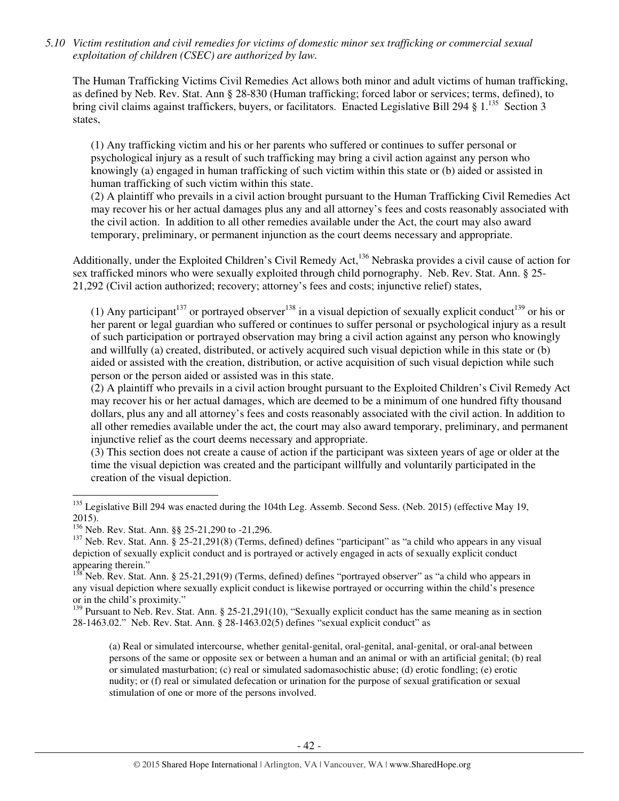*5.10 Victim restitution and civil remedies for victims of domestic minor sex trafficking or commercial sexual exploitation of children (CSEC) are authorized by law.* 

The Human Trafficking Victims Civil Remedies Act allows both minor and adult victims of human trafficking, as defined by Neb. Rev. Stat. Ann § 28-830 (Human trafficking; forced labor or services; terms, defined), to bring civil claims against traffickers, buyers, or facilitators. Enacted Legislative Bill 294 § 1.<sup>135</sup> Section 3 states,

(1) Any trafficking victim and his or her parents who suffered or continues to suffer personal or psychological injury as a result of such trafficking may bring a civil action against any person who knowingly (a) engaged in human trafficking of such victim within this state or (b) aided or assisted in human trafficking of such victim within this state.

(2) A plaintiff who prevails in a civil action brought pursuant to the Human Trafficking Civil Remedies Act may recover his or her actual damages plus any and all attorney's fees and costs reasonably associated with the civil action. In addition to all other remedies available under the Act, the court may also award temporary, preliminary, or permanent injunction as the court deems necessary and appropriate.

Additionally, under the Exploited Children's Civil Remedy Act,<sup>136</sup> Nebraska provides a civil cause of action for sex trafficked minors who were sexually exploited through child pornography. Neb. Rev. Stat. Ann. § 25- 21,292 (Civil action authorized; recovery; attorney's fees and costs; injunctive relief) states,

(1) Any participant<sup>137</sup> or portrayed observer<sup>138</sup> in a visual depiction of sexually explicit conduct<sup>139</sup> or his or her parent or legal guardian who suffered or continues to suffer personal or psychological injury as a result of such participation or portrayed observation may bring a civil action against any person who knowingly and willfully (a) created, distributed, or actively acquired such visual depiction while in this state or (b) aided or assisted with the creation, distribution, or active acquisition of such visual depiction while such person or the person aided or assisted was in this state.

(2) A plaintiff who prevails in a civil action brought pursuant to the Exploited Children's Civil Remedy Act may recover his or her actual damages, which are deemed to be a minimum of one hundred fifty thousand dollars, plus any and all attorney's fees and costs reasonably associated with the civil action. In addition to all other remedies available under the act, the court may also award temporary, preliminary, and permanent injunctive relief as the court deems necessary and appropriate.

(3) This section does not create a cause of action if the participant was sixteen years of age or older at the time the visual depiction was created and the participant willfully and voluntarily participated in the creation of the visual depiction.

l

<sup>139</sup> Pursuant to Neb. Rev. Stat. Ann. § 25-21,291(10), "Sexually explicit conduct has the same meaning as in section 28-1463.02." Neb. Rev. Stat. Ann. § 28-1463.02(5) defines "sexual explicit conduct" as

(a) Real or simulated intercourse, whether genital-genital, oral-genital, anal-genital, or oral-anal between persons of the same or opposite sex or between a human and an animal or with an artificial genital; (b) real or simulated masturbation; (c) real or simulated sadomasochistic abuse; (d) erotic fondling; (e) erotic nudity; or (f) real or simulated defecation or urination for the purpose of sexual gratification or sexual stimulation of one or more of the persons involved.

<sup>&</sup>lt;sup>135</sup> Legislative Bill 294 was enacted during the 104th Leg. Assemb. Second Sess. (Neb. 2015) (effective May 19, 2015).

<sup>136</sup> Neb. Rev. Stat. Ann. §§ 25-21,290 to -21,296.

 $137$  Neb. Rev. Stat. Ann. § 25-21,291(8) (Terms, defined) defines "participant" as "a child who appears in any visual depiction of sexually explicit conduct and is portrayed or actively engaged in acts of sexually explicit conduct appearing therein."

<sup>138.</sup> Neb. Rev. Stat. Ann. § 25-21,291(9) (Terms, defined) defines "portrayed observer" as "a child who appears in any visual depiction where sexually explicit conduct is likewise portrayed or occurring within the child's presence or in the child's proximity."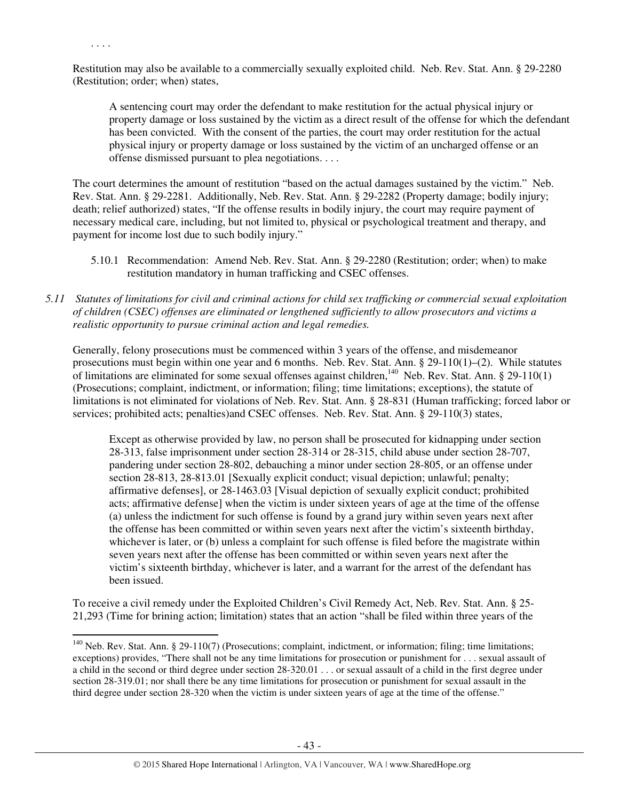. . . .

l

Restitution may also be available to a commercially sexually exploited child. Neb. Rev. Stat. Ann. § 29-2280 (Restitution; order; when) states,

A sentencing court may order the defendant to make restitution for the actual physical injury or property damage or loss sustained by the victim as a direct result of the offense for which the defendant has been convicted. With the consent of the parties, the court may order restitution for the actual physical injury or property damage or loss sustained by the victim of an uncharged offense or an offense dismissed pursuant to plea negotiations. . . .

The court determines the amount of restitution "based on the actual damages sustained by the victim." Neb. Rev. Stat. Ann. § 29-2281. Additionally, Neb. Rev. Stat. Ann. § 29-2282 (Property damage; bodily injury; death; relief authorized) states, "If the offense results in bodily injury, the court may require payment of necessary medical care, including, but not limited to, physical or psychological treatment and therapy, and payment for income lost due to such bodily injury."

- 5.10.1 Recommendation: Amend Neb. Rev. Stat. Ann. § 29-2280 (Restitution; order; when) to make restitution mandatory in human trafficking and CSEC offenses.
- *5.11 Statutes of limitations for civil and criminal actions for child sex trafficking or commercial sexual exploitation of children (CSEC) offenses are eliminated or lengthened sufficiently to allow prosecutors and victims a realistic opportunity to pursue criminal action and legal remedies.*

Generally, felony prosecutions must be commenced within 3 years of the offense, and misdemeanor prosecutions must begin within one year and 6 months. Neb. Rev. Stat. Ann. § 29-110(1)–(2). While statutes of limitations are eliminated for some sexual offenses against children,<sup>140</sup> Neb. Rev. Stat. Ann. § 29-110(1) (Prosecutions; complaint, indictment, or information; filing; time limitations; exceptions), the statute of limitations is not eliminated for violations of Neb. Rev. Stat. Ann. § 28-831 (Human trafficking; forced labor or services; prohibited acts; penalties)and CSEC offenses. Neb. Rev. Stat. Ann. § 29-110(3) states,

Except as otherwise provided by law, no person shall be prosecuted for kidnapping under section 28-313, false imprisonment under section 28-314 or 28-315, child abuse under section 28-707, pandering under section 28-802, debauching a minor under section 28-805, or an offense under section 28-813, 28-813.01 [Sexually explicit conduct; visual depiction; unlawful; penalty; affirmative defenses], or 28-1463.03 [Visual depiction of sexually explicit conduct; prohibited acts; affirmative defense] when the victim is under sixteen years of age at the time of the offense (a) unless the indictment for such offense is found by a grand jury within seven years next after the offense has been committed or within seven years next after the victim's sixteenth birthday, whichever is later, or (b) unless a complaint for such offense is filed before the magistrate within seven years next after the offense has been committed or within seven years next after the victim's sixteenth birthday, whichever is later, and a warrant for the arrest of the defendant has been issued.

To receive a civil remedy under the Exploited Children's Civil Remedy Act, Neb. Rev. Stat. Ann. § 25- 21,293 (Time for brining action; limitation) states that an action "shall be filed within three years of the

<sup>&</sup>lt;sup>140</sup> Neb. Rev. Stat. Ann. § 29-110(7) (Prosecutions; complaint, indictment, or information; filing; time limitations; exceptions) provides, "There shall not be any time limitations for prosecution or punishment for . . . sexual assault of a child in the second or third degree under section 28-320.01 . . . or sexual assault of a child in the first degree under section 28-319.01; nor shall there be any time limitations for prosecution or punishment for sexual assault in the third degree under section 28-320 when the victim is under sixteen years of age at the time of the offense."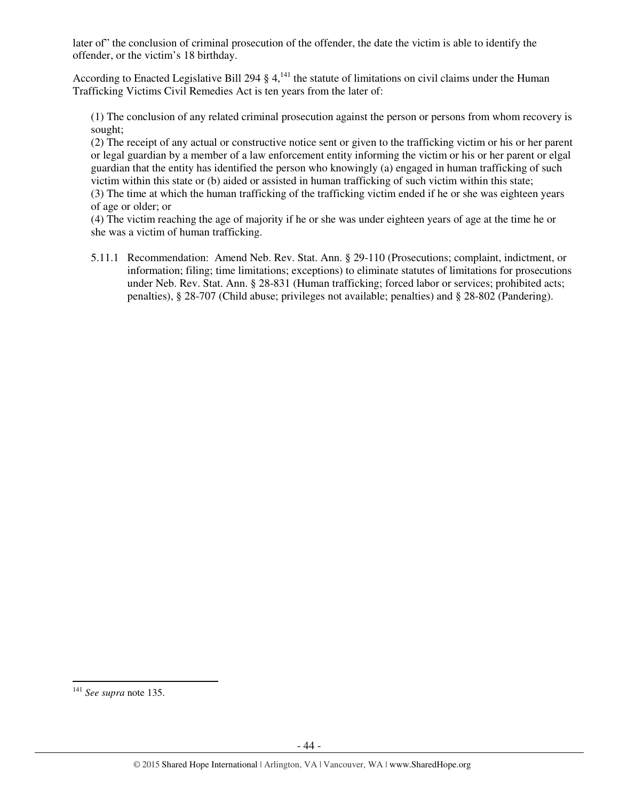later of" the conclusion of criminal prosecution of the offender, the date the victim is able to identify the offender, or the victim's 18 birthday.

According to Enacted Legislative Bill 294  $\S 4$ ,<sup>141</sup>, the statute of limitations on civil claims under the Human Trafficking Victims Civil Remedies Act is ten years from the later of:

(1) The conclusion of any related criminal prosecution against the person or persons from whom recovery is sought;

(2) The receipt of any actual or constructive notice sent or given to the trafficking victim or his or her parent or legal guardian by a member of a law enforcement entity informing the victim or his or her parent or elgal guardian that the entity has identified the person who knowingly (a) engaged in human trafficking of such victim within this state or (b) aided or assisted in human trafficking of such victim within this state;

(3) The time at which the human trafficking of the trafficking victim ended if he or she was eighteen years of age or older; or

(4) The victim reaching the age of majority if he or she was under eighteen years of age at the time he or she was a victim of human trafficking.

5.11.1 Recommendation: Amend Neb. Rev. Stat. Ann. § 29-110 (Prosecutions; complaint, indictment, or information; filing; time limitations; exceptions) to eliminate statutes of limitations for prosecutions under Neb. Rev. Stat. Ann. § 28-831 (Human trafficking; forced labor or services; prohibited acts; penalties), § 28-707 (Child abuse; privileges not available; penalties) and § 28-802 (Pandering).

<sup>141</sup> *See supra* note 135.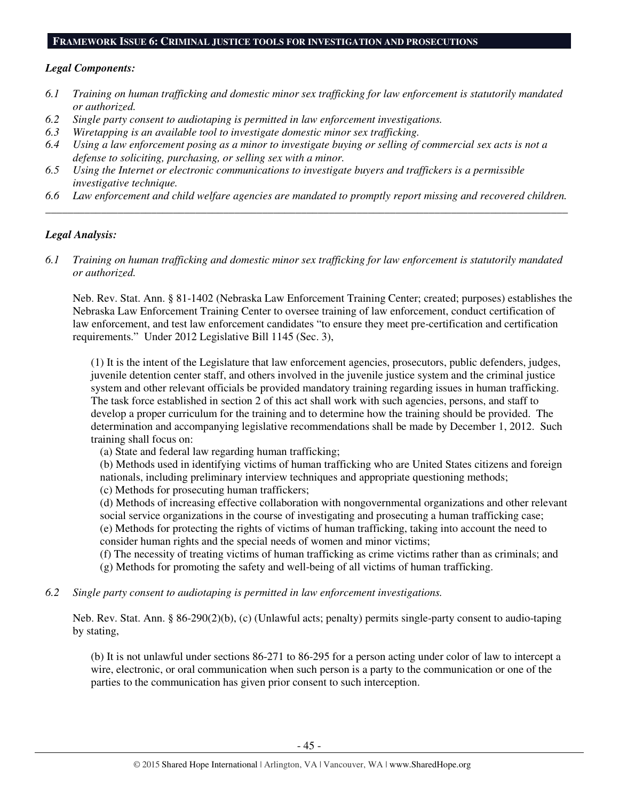#### **FRAMEWORK ISSUE 6: CRIMINAL JUSTICE TOOLS FOR INVESTIGATION AND PROSECUTIONS**

#### *Legal Components:*

- *6.1 Training on human trafficking and domestic minor sex trafficking for law enforcement is statutorily mandated or authorized.*
- *6.2 Single party consent to audiotaping is permitted in law enforcement investigations.*
- *6.3 Wiretapping is an available tool to investigate domestic minor sex trafficking.*
- *6.4 Using a law enforcement posing as a minor to investigate buying or selling of commercial sex acts is not a defense to soliciting, purchasing, or selling sex with a minor.*
- *6.5 Using the Internet or electronic communications to investigate buyers and traffickers is a permissible investigative technique.*
- *6.6 Law enforcement and child welfare agencies are mandated to promptly report missing and recovered children. \_\_\_\_\_\_\_\_\_\_\_\_\_\_\_\_\_\_\_\_\_\_\_\_\_\_\_\_\_\_\_\_\_\_\_\_\_\_\_\_\_\_\_\_\_\_\_\_\_\_\_\_\_\_\_\_\_\_\_\_\_\_\_\_\_\_\_\_\_\_\_\_\_\_\_\_\_\_\_\_\_\_\_\_\_\_\_\_\_\_\_\_\_\_*

## *Legal Analysis:*

*6.1 Training on human trafficking and domestic minor sex trafficking for law enforcement is statutorily mandated or authorized.* 

Neb. Rev. Stat. Ann. § 81-1402 (Nebraska Law Enforcement Training Center; created; purposes) establishes the Nebraska Law Enforcement Training Center to oversee training of law enforcement, conduct certification of law enforcement, and test law enforcement candidates "to ensure they meet pre-certification and certification requirements." Under 2012 Legislative Bill 1145 (Sec. 3),

(1) It is the intent of the Legislature that law enforcement agencies, prosecutors, public defenders, judges, juvenile detention center staff, and others involved in the juvenile justice system and the criminal justice system and other relevant officials be provided mandatory training regarding issues in human trafficking. The task force established in section 2 of this act shall work with such agencies, persons, and staff to develop a proper curriculum for the training and to determine how the training should be provided. The determination and accompanying legislative recommendations shall be made by December 1, 2012. Such training shall focus on:

(a) State and federal law regarding human trafficking;

(b) Methods used in identifying victims of human trafficking who are United States citizens and foreign nationals, including preliminary interview techniques and appropriate questioning methods;

(c) Methods for prosecuting human traffickers;

(d) Methods of increasing effective collaboration with nongovernmental organizations and other relevant social service organizations in the course of investigating and prosecuting a human trafficking case; (e) Methods for protecting the rights of victims of human trafficking, taking into account the need to consider human rights and the special needs of women and minor victims;

(f) The necessity of treating victims of human trafficking as crime victims rather than as criminals; and (g) Methods for promoting the safety and well-being of all victims of human trafficking.

*6.2 Single party consent to audiotaping is permitted in law enforcement investigations.* 

Neb. Rev. Stat. Ann. § 86-290(2)(b), (c) (Unlawful acts; penalty) permits single-party consent to audio-taping by stating,

(b) It is not unlawful under sections 86-271 to 86-295 for a person acting under color of law to intercept a wire, electronic, or oral communication when such person is a party to the communication or one of the parties to the communication has given prior consent to such interception.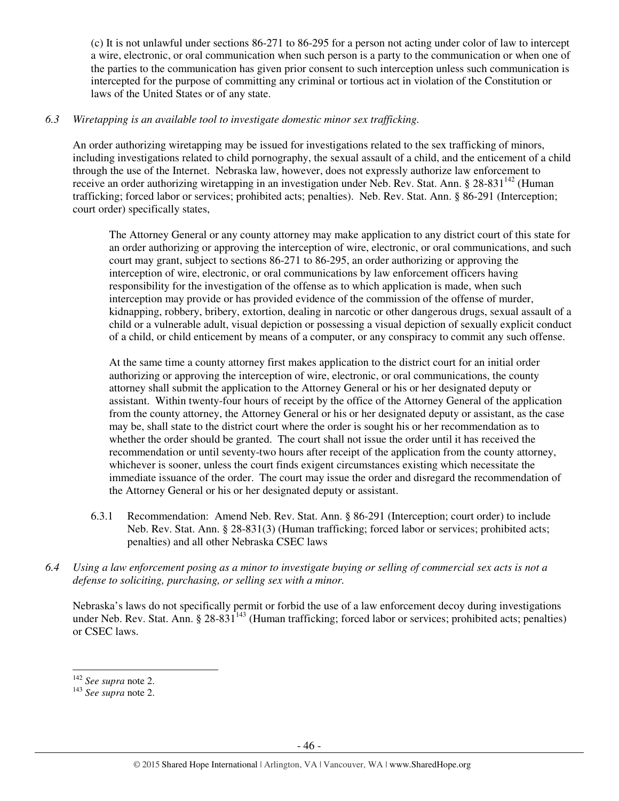(c) It is not unlawful under sections 86-271 to 86-295 for a person not acting under color of law to intercept a wire, electronic, or oral communication when such person is a party to the communication or when one of the parties to the communication has given prior consent to such interception unless such communication is intercepted for the purpose of committing any criminal or tortious act in violation of the Constitution or laws of the United States or of any state.

# *6.3 Wiretapping is an available tool to investigate domestic minor sex trafficking.*

An order authorizing wiretapping may be issued for investigations related to the sex trafficking of minors, including investigations related to child pornography, the sexual assault of a child, and the enticement of a child through the use of the Internet. Nebraska law, however, does not expressly authorize law enforcement to receive an order authorizing wiretapping in an investigation under Neb. Rev. Stat. Ann. § 28-831<sup>142</sup> (Human trafficking; forced labor or services; prohibited acts; penalties). Neb. Rev. Stat. Ann. § 86-291 (Interception; court order) specifically states,

The Attorney General or any county attorney may make application to any district court of this state for an order authorizing or approving the interception of wire, electronic, or oral communications, and such court may grant, subject to sections 86-271 to 86-295, an order authorizing or approving the interception of wire, electronic, or oral communications by law enforcement officers having responsibility for the investigation of the offense as to which application is made, when such interception may provide or has provided evidence of the commission of the offense of murder, kidnapping, robbery, bribery, extortion, dealing in narcotic or other dangerous drugs, sexual assault of a child or a vulnerable adult, visual depiction or possessing a visual depiction of sexually explicit conduct of a child, or child enticement by means of a computer, or any conspiracy to commit any such offense.

At the same time a county attorney first makes application to the district court for an initial order authorizing or approving the interception of wire, electronic, or oral communications, the county attorney shall submit the application to the Attorney General or his or her designated deputy or assistant. Within twenty-four hours of receipt by the office of the Attorney General of the application from the county attorney, the Attorney General or his or her designated deputy or assistant, as the case may be, shall state to the district court where the order is sought his or her recommendation as to whether the order should be granted. The court shall not issue the order until it has received the recommendation or until seventy-two hours after receipt of the application from the county attorney, whichever is sooner, unless the court finds exigent circumstances existing which necessitate the immediate issuance of the order. The court may issue the order and disregard the recommendation of the Attorney General or his or her designated deputy or assistant.

- 6.3.1 Recommendation: Amend Neb. Rev. Stat. Ann. § 86-291 (Interception; court order) to include Neb. Rev. Stat. Ann. § 28-831(3) (Human trafficking; forced labor or services; prohibited acts; penalties) and all other Nebraska CSEC laws
- *6.4 Using a law enforcement posing as a minor to investigate buying or selling of commercial sex acts is not a defense to soliciting, purchasing, or selling sex with a minor.*

Nebraska's laws do not specifically permit or forbid the use of a law enforcement decoy during investigations under Neb. Rev. Stat. Ann. § 28-831<sup>143</sup> (Human trafficking; forced labor or services; prohibited acts; penalties) or CSEC laws.

<sup>142</sup> *See supra* note 2.

<sup>143</sup> *See supra* note 2.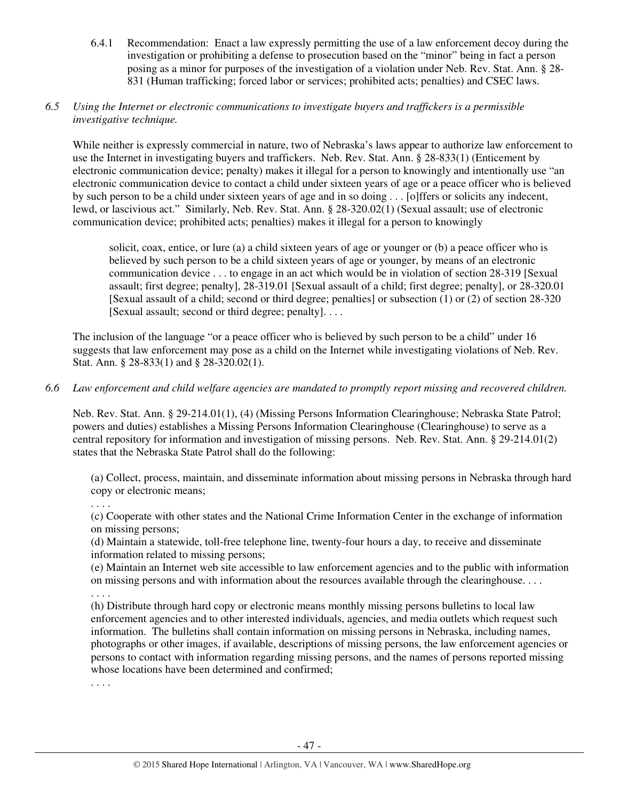6.4.1 Recommendation: Enact a law expressly permitting the use of a law enforcement decoy during the investigation or prohibiting a defense to prosecution based on the "minor" being in fact a person posing as a minor for purposes of the investigation of a violation under Neb. Rev. Stat. Ann. § 28- 831 (Human trafficking; forced labor or services; prohibited acts; penalties) and CSEC laws.

## *6.5 Using the Internet or electronic communications to investigate buyers and traffickers is a permissible investigative technique.*

While neither is expressly commercial in nature, two of Nebraska's laws appear to authorize law enforcement to use the Internet in investigating buyers and traffickers. Neb. Rev. Stat. Ann. § 28-833(1) (Enticement by electronic communication device; penalty) makes it illegal for a person to knowingly and intentionally use "an electronic communication device to contact a child under sixteen years of age or a peace officer who is believed by such person to be a child under sixteen years of age and in so doing . . . [o]ffers or solicits any indecent, lewd, or lascivious act." Similarly, Neb. Rev. Stat. Ann. § 28-320.02(1) (Sexual assault; use of electronic communication device; prohibited acts; penalties) makes it illegal for a person to knowingly

solicit, coax, entice, or lure (a) a child sixteen years of age or younger or (b) a peace officer who is believed by such person to be a child sixteen years of age or younger, by means of an electronic communication device . . . to engage in an act which would be in violation of section 28-319 [Sexual assault; first degree; penalty], 28-319.01 [Sexual assault of a child; first degree; penalty], or 28-320.01 [Sexual assault of a child; second or third degree; penalties] or subsection (1) or (2) of section 28-320 [Sexual assault; second or third degree; penalty]. . . .

The inclusion of the language "or a peace officer who is believed by such person to be a child" under 16 suggests that law enforcement may pose as a child on the Internet while investigating violations of Neb. Rev. Stat. Ann. § 28-833(1) and § 28-320.02(1).

# *6.6 Law enforcement and child welfare agencies are mandated to promptly report missing and recovered children.*

Neb. Rev. Stat. Ann. § 29-214.01(1), (4) (Missing Persons Information Clearinghouse; Nebraska State Patrol; powers and duties) establishes a Missing Persons Information Clearinghouse (Clearinghouse) to serve as a central repository for information and investigation of missing persons. Neb. Rev. Stat. Ann. § 29-214.01(2) states that the Nebraska State Patrol shall do the following:

(a) Collect, process, maintain, and disseminate information about missing persons in Nebraska through hard copy or electronic means;

. . . .

(c) Cooperate with other states and the National Crime Information Center in the exchange of information on missing persons;

(d) Maintain a statewide, toll-free telephone line, twenty-four hours a day, to receive and disseminate information related to missing persons;

(e) Maintain an Internet web site accessible to law enforcement agencies and to the public with information on missing persons and with information about the resources available through the clearinghouse. . . .

. . . .

(h) Distribute through hard copy or electronic means monthly missing persons bulletins to local law enforcement agencies and to other interested individuals, agencies, and media outlets which request such information. The bulletins shall contain information on missing persons in Nebraska, including names, photographs or other images, if available, descriptions of missing persons, the law enforcement agencies or persons to contact with information regarding missing persons, and the names of persons reported missing whose locations have been determined and confirmed;

. . . .